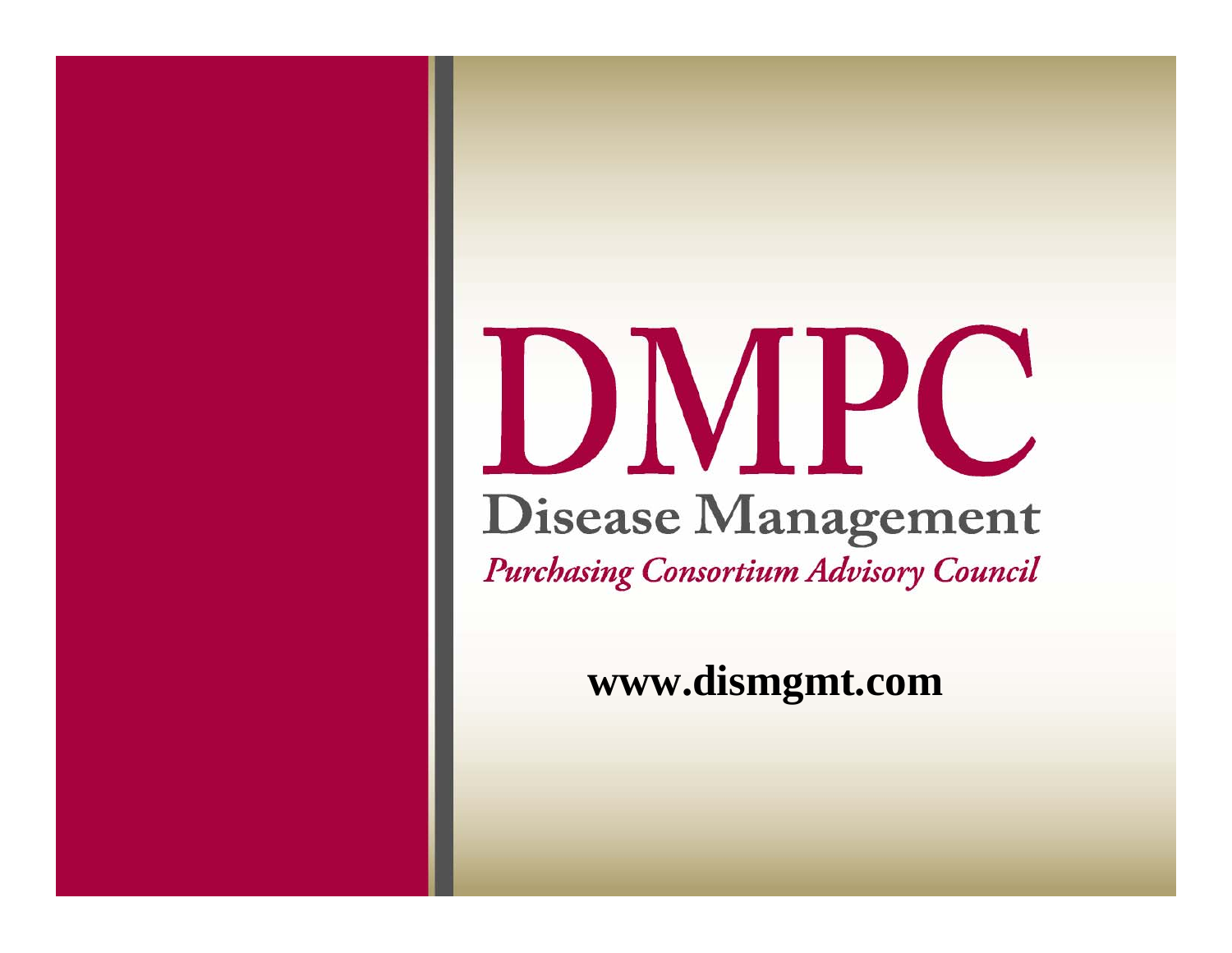# DMPC Disease Management **Purchasing Consortium Advisory Council**

**www.dismgmt.com**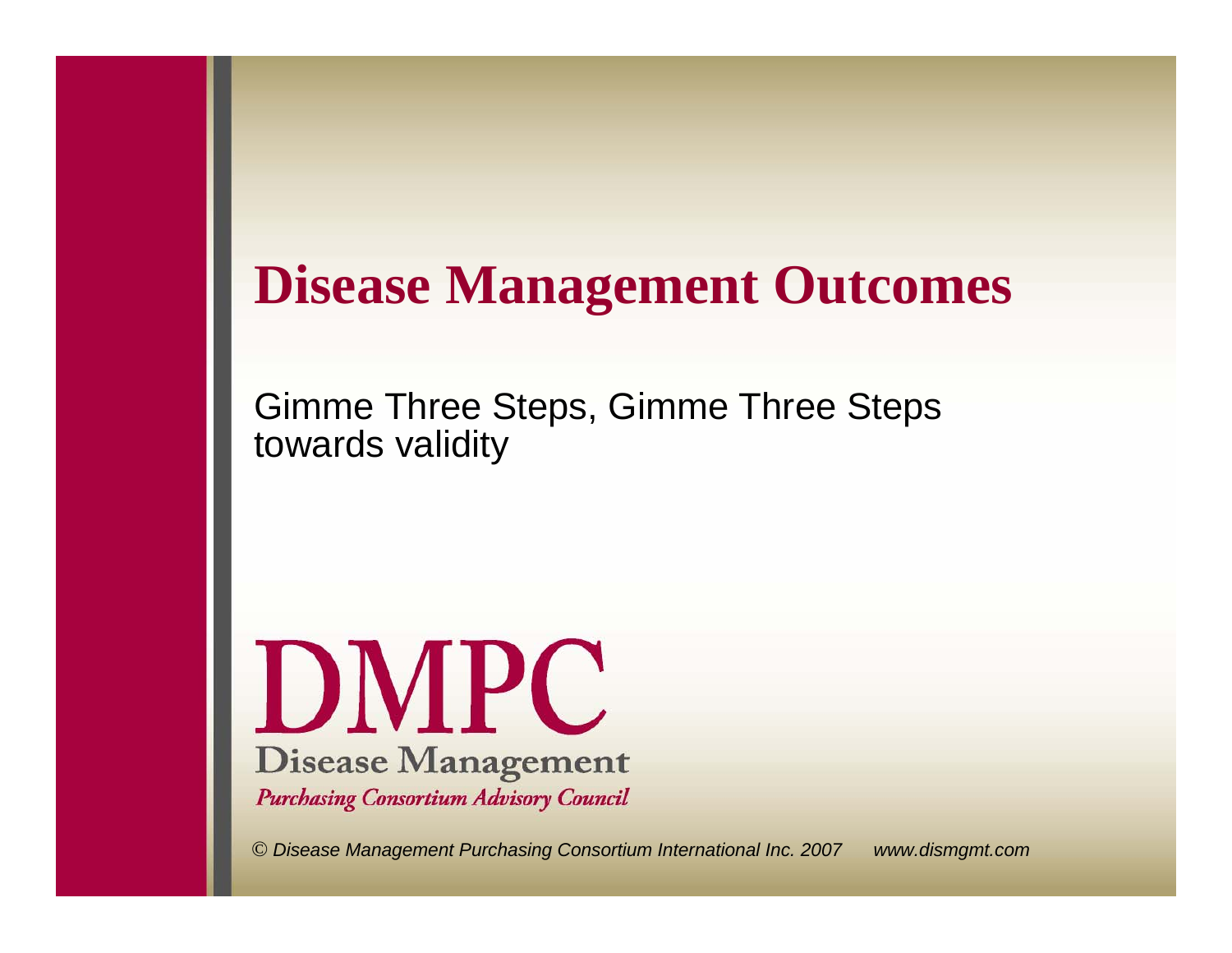# **Disease Management Outcomes**

Gimme Three Steps, Gimme Three Steps towards validity

DMPC **Disease Management Purchasing Consortium Advisory Council** 

*© Disease Management Purchasing Consortium International Inc. 2007 www.dismgmt.com*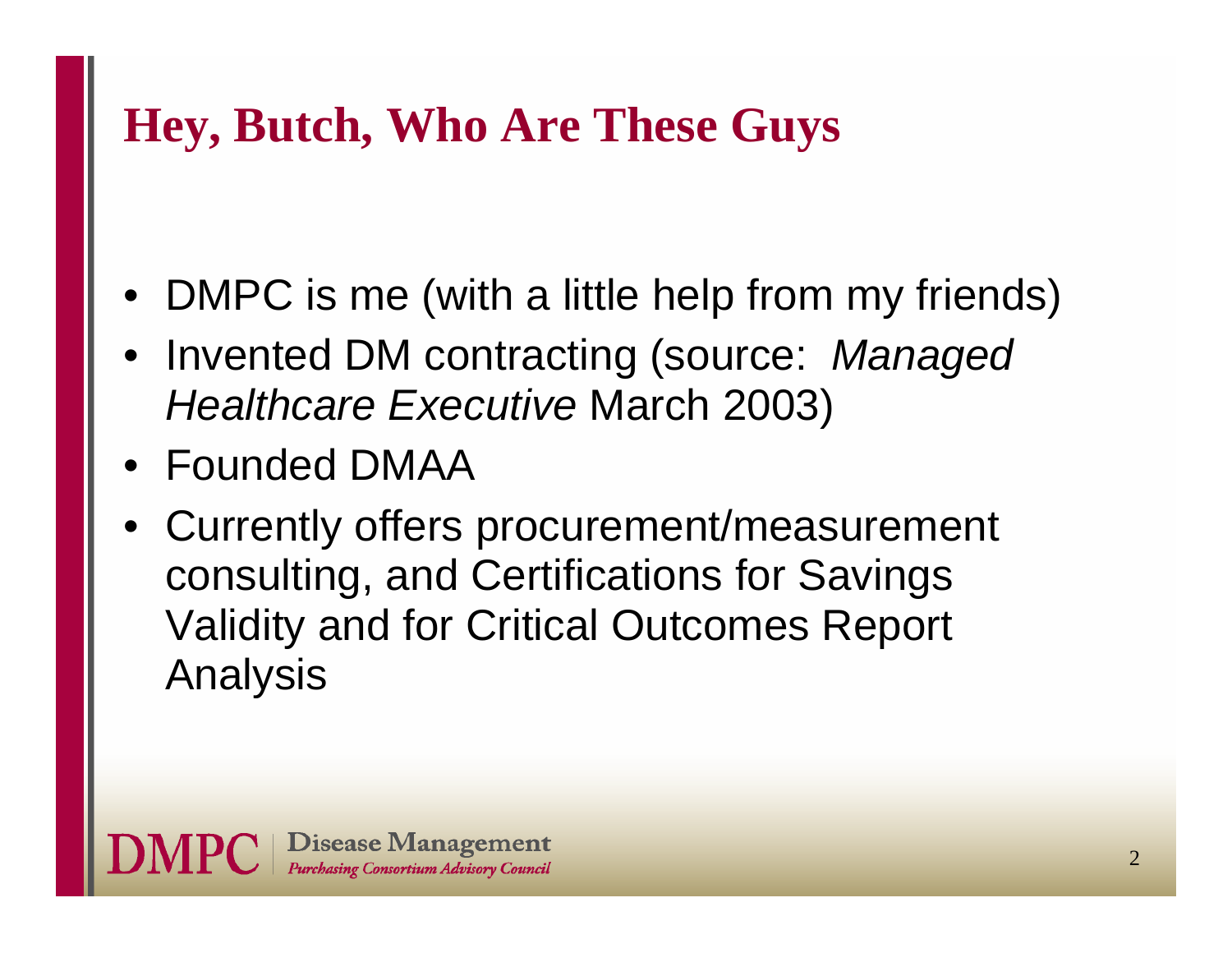# **Hey, Butch, Who Are These Guys**

- DMPC is me (with a little help from my friends)
- Invented DM contracting (source: *Managed Healthcare Executive* March 2003)
- Founded DMAA
- • Currently offers procurement/measurement consulting, and Certifications for Savings Validity and for Critical Outcomes Report Analysis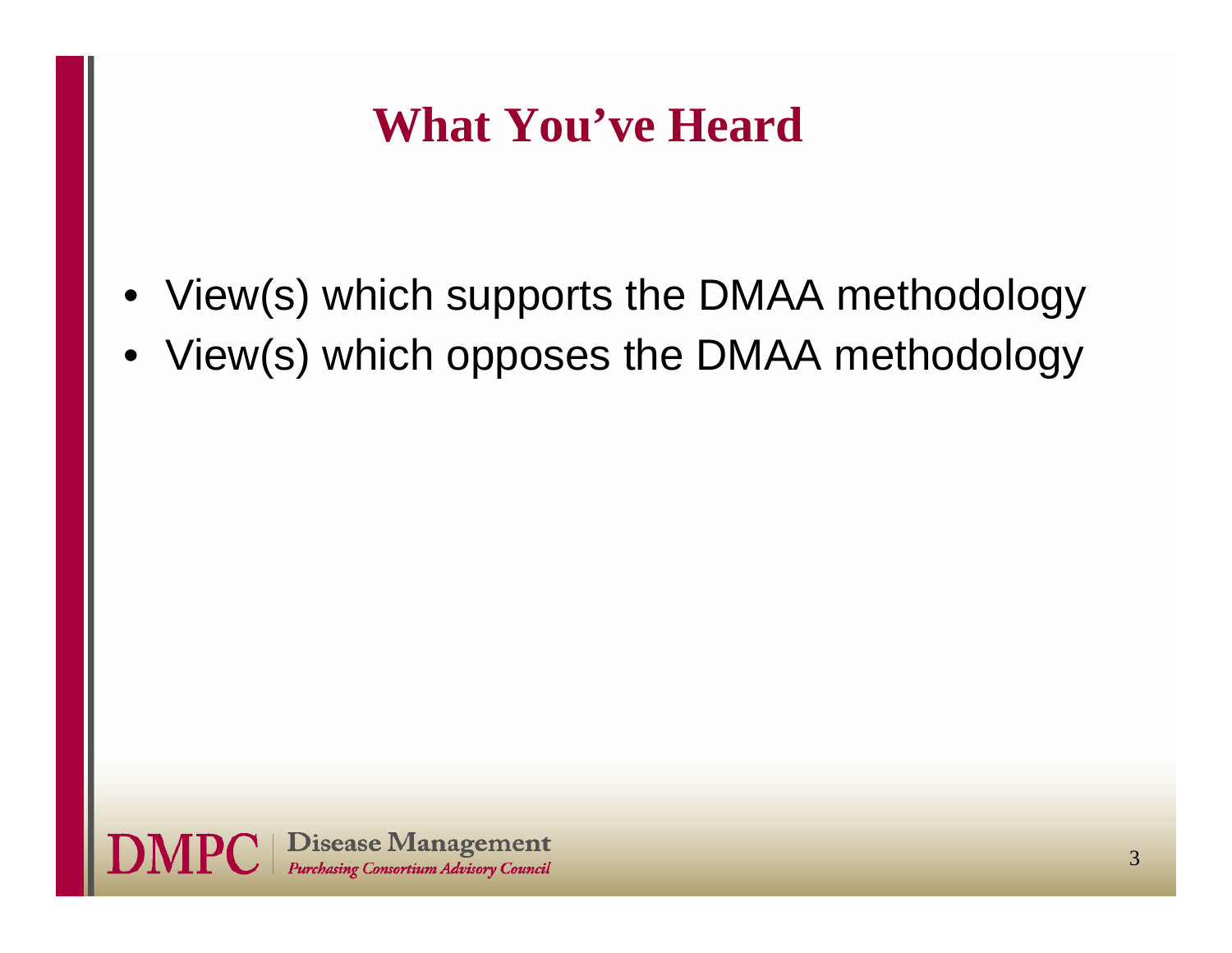# **What You've Heard**

- View(s) which supports the DMAA methodology
- View(s) which opposes the DMAA methodology

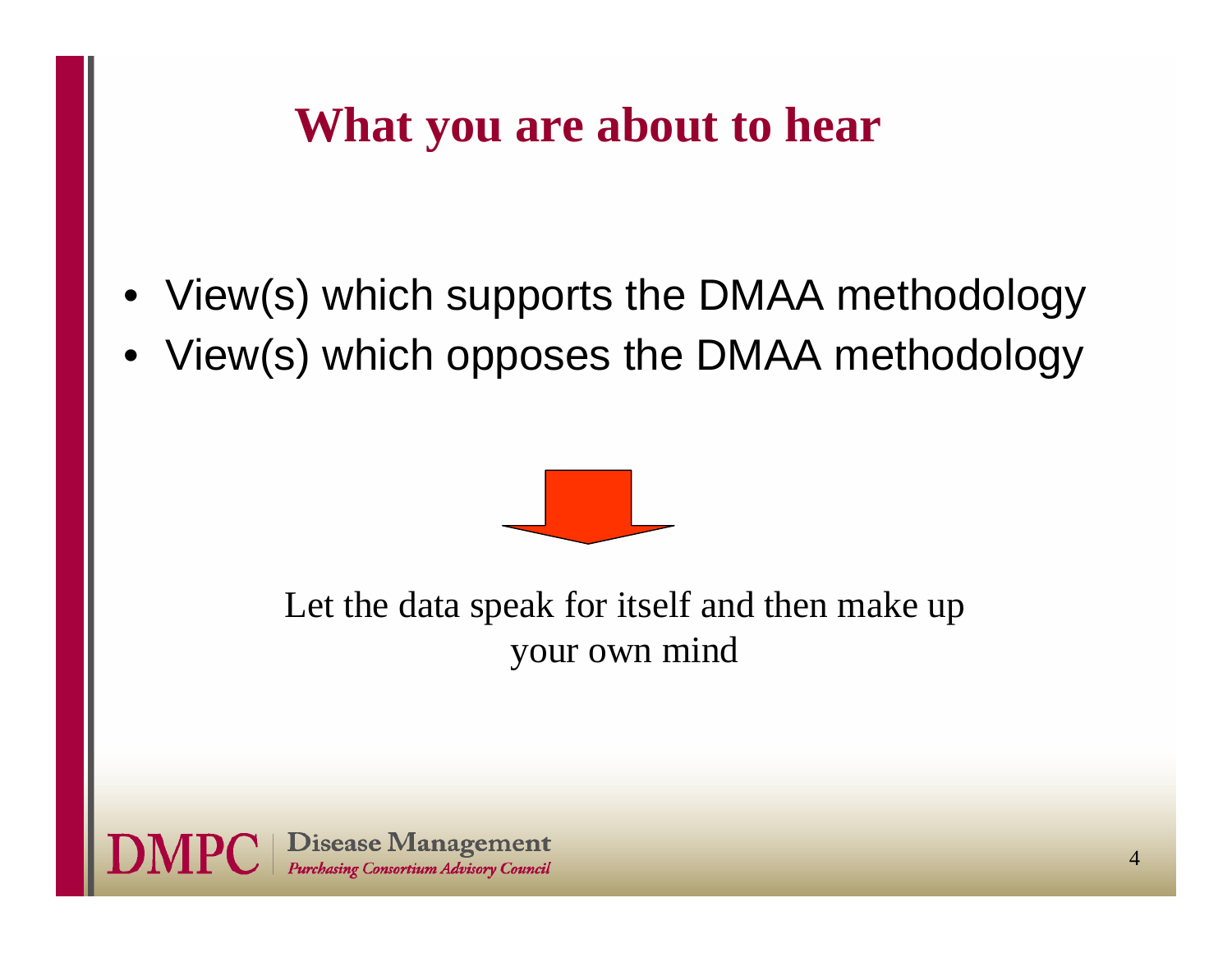## **What you are about to hear**

- View(s) which supports the DMAA methodology
- View(s) which opposes the DMAA methodology



#### Let the data speak for itself and then make up your own mind

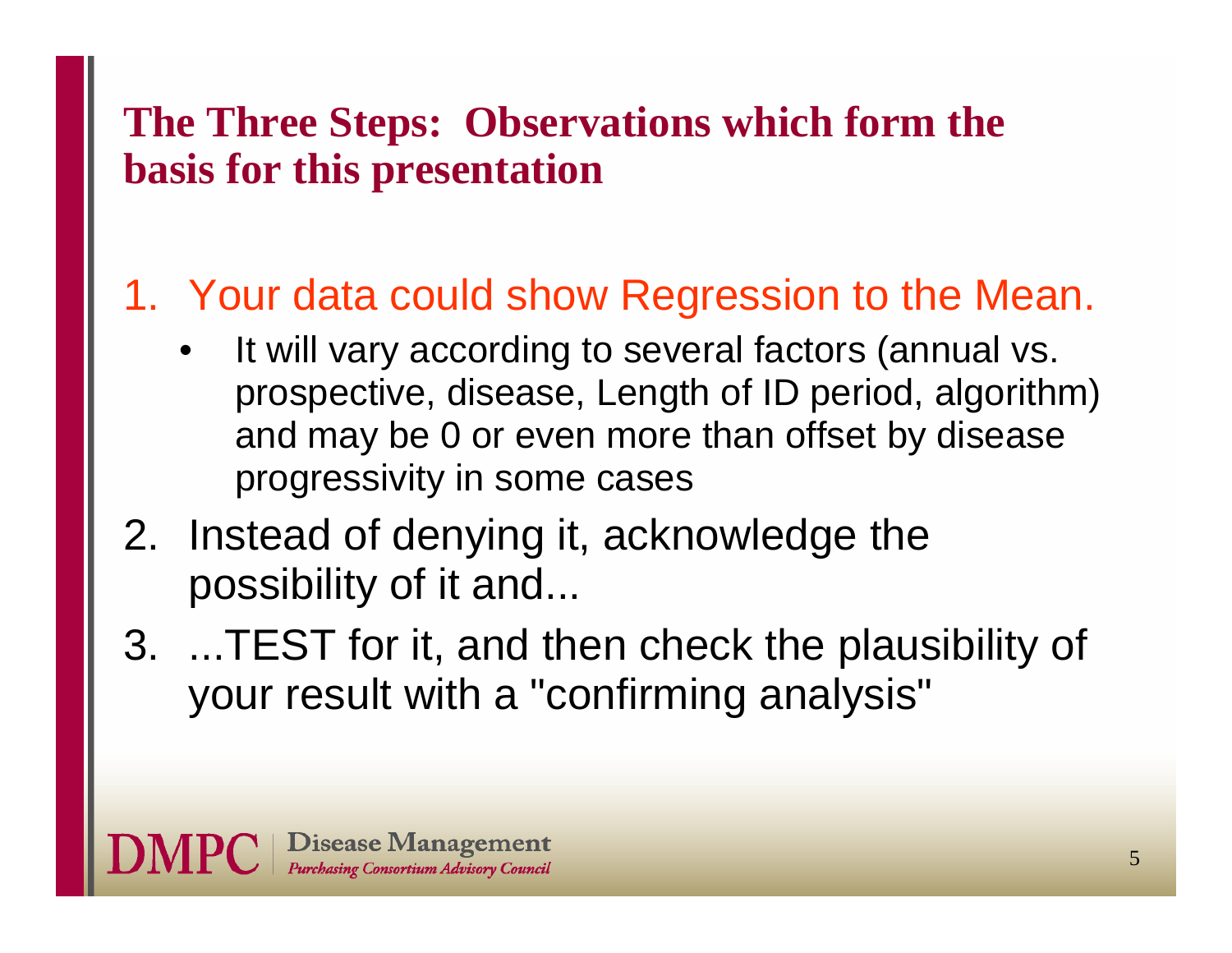#### **The Three Steps: Observations which form the basis for this presentation**

### 1. Your data could show Regression to the Mean.

- • It will vary according to several factors (annual vs. prospective, disease, Length of ID period, algorithm) and may be 0 or even more than offset by disease progressivity in some cases
- 2. Instead of denying it, acknowledge the possibility of it and...
- 3. ...TEST for it, and then check the plausibility of your result with a "confirming analysis"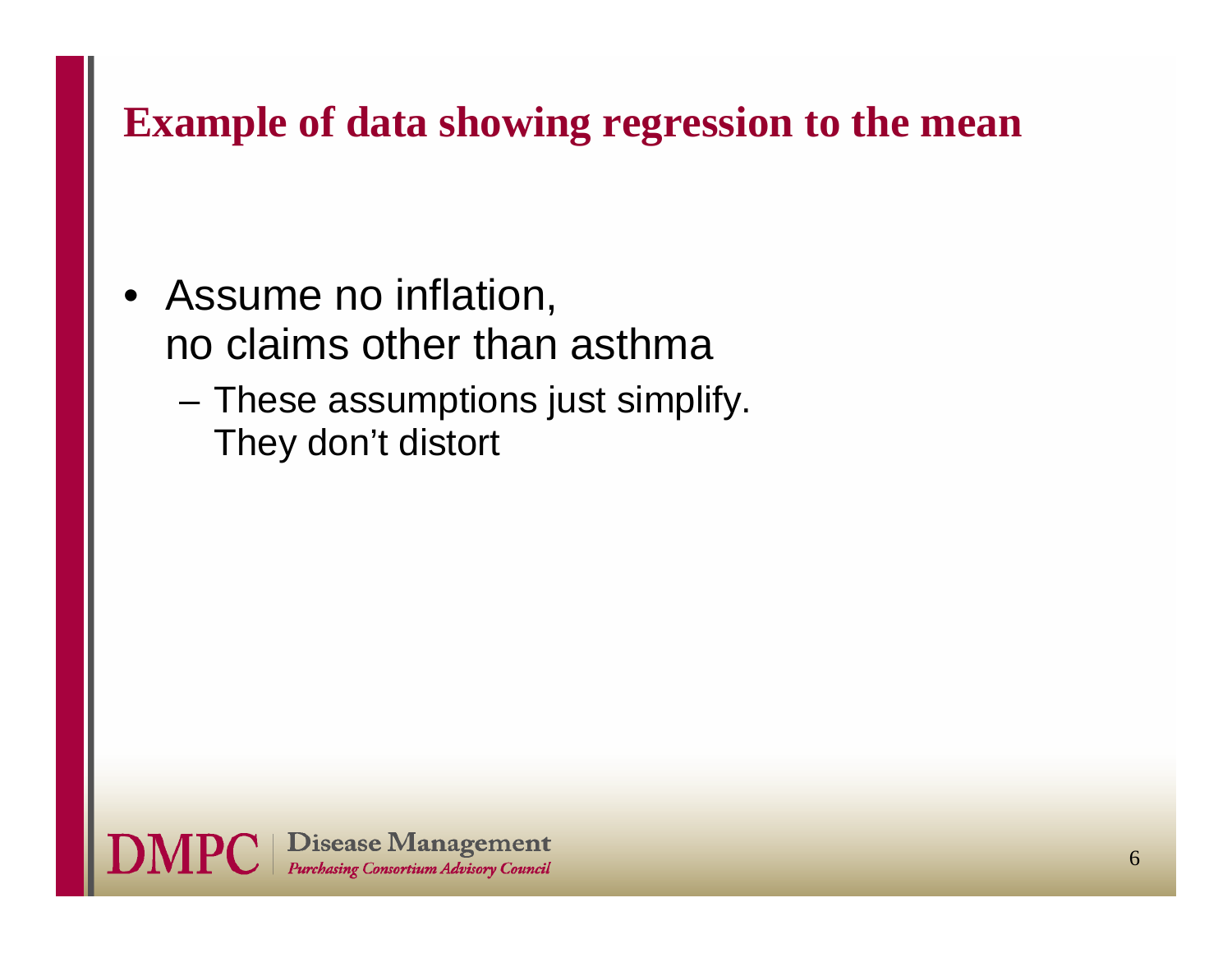#### **Example of data showing regression to the mean**

- Assume no inflation, no claims other than asthma
	- These assumptions just simplify. They don't distort

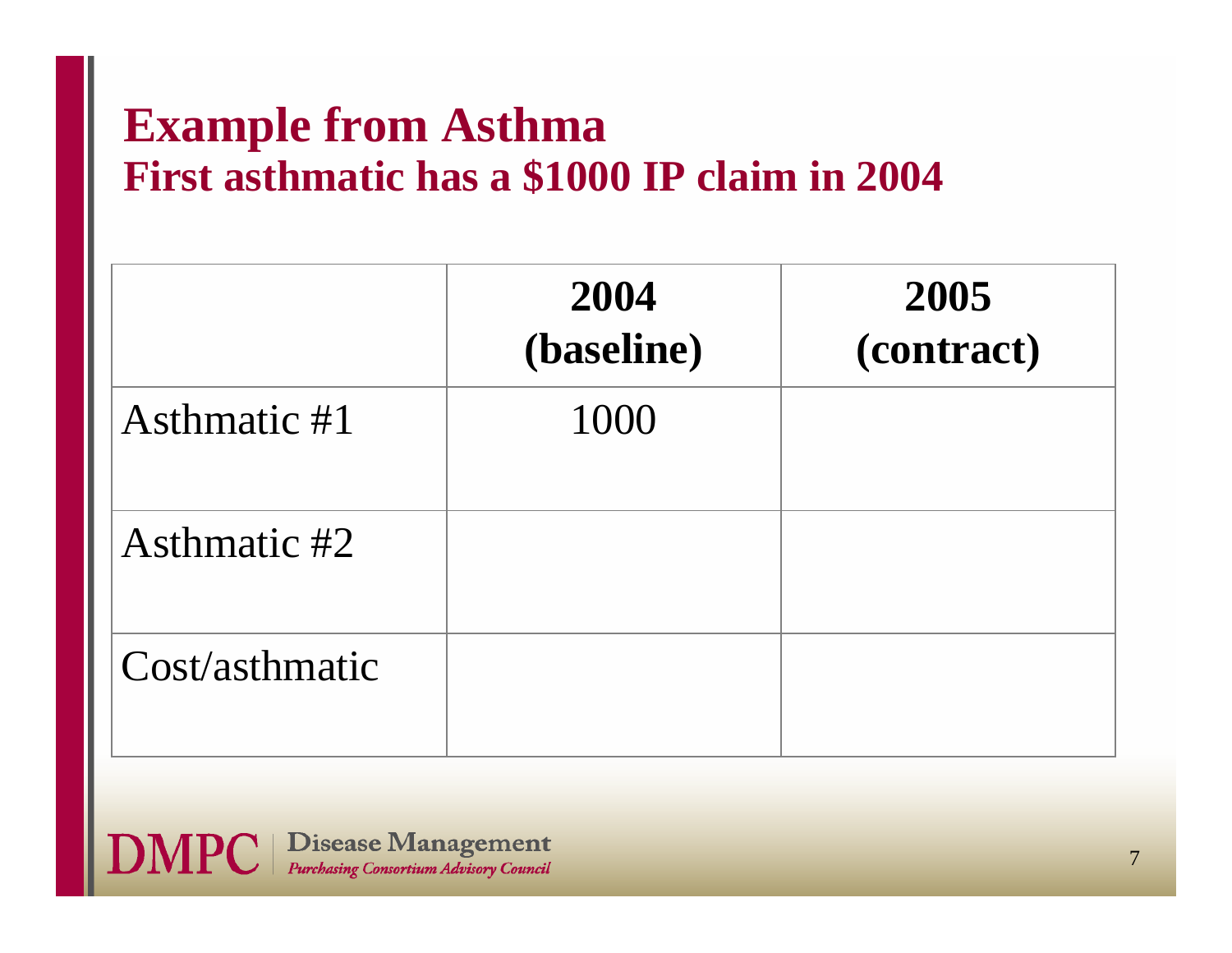#### **Example from Asthma First asthmatic has a \$1000 IP claim in 2004**

|                | 2004<br>(baseline) | 2005<br>(contract) |
|----------------|--------------------|--------------------|
| Asthmatic #1   | 1000               |                    |
| Asthmatic #2   |                    |                    |
| Cost/asthmatic |                    |                    |

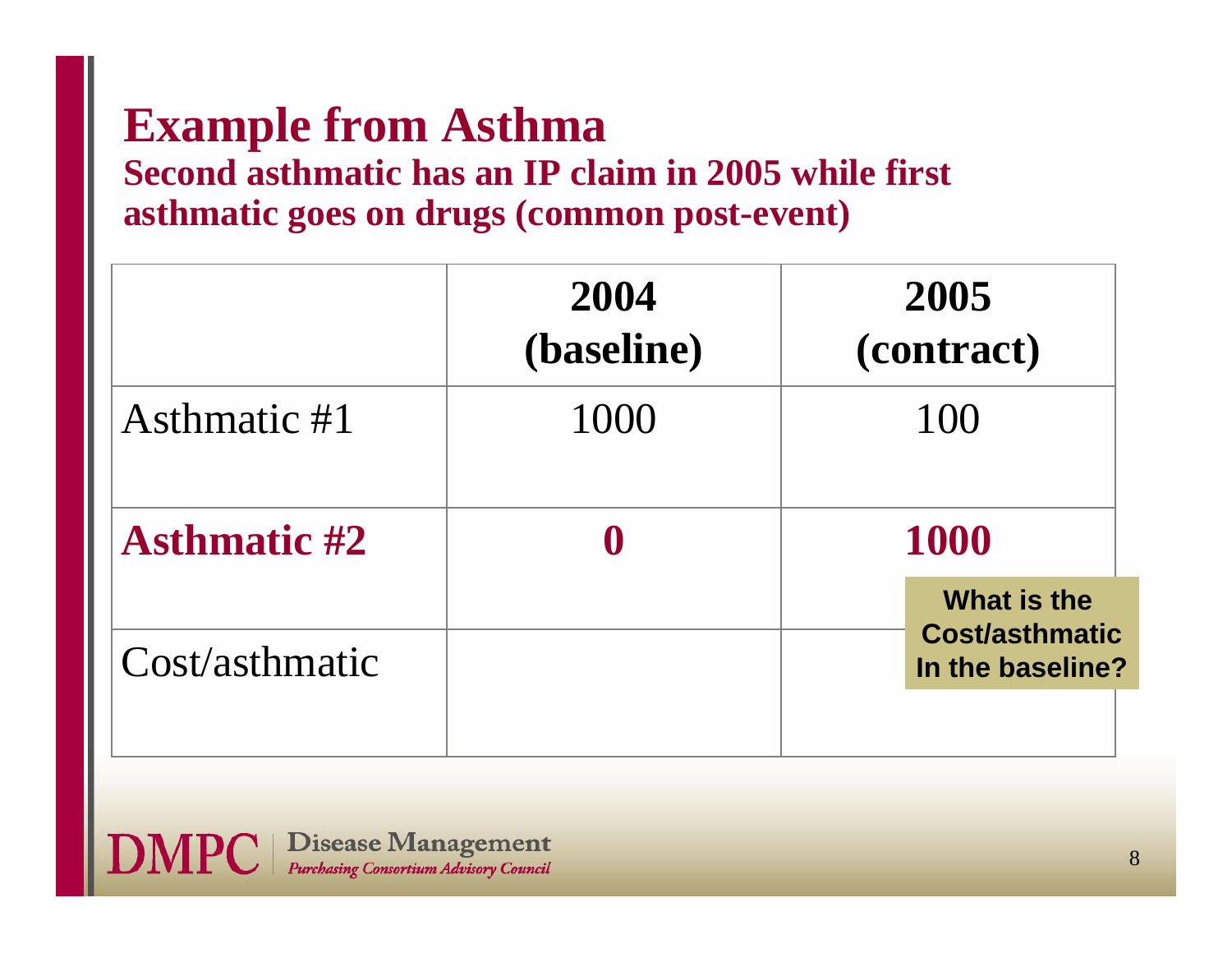# **Example from Asthma**

#### **Second asthmatic has an IP claim in 2005 while first asthmatic goes on drugs (common post-event)**

|                     | 2004<br>(baseline) | 2005<br>(contract)                        |
|---------------------|--------------------|-------------------------------------------|
| Asthmatic #1        | 1000               | 100                                       |
| <b>Asthmatic #2</b> |                    | <b>1000</b><br>What is the                |
| Cost/asthmatic      |                    | <b>Cost/asthmatic</b><br>In the baseline? |

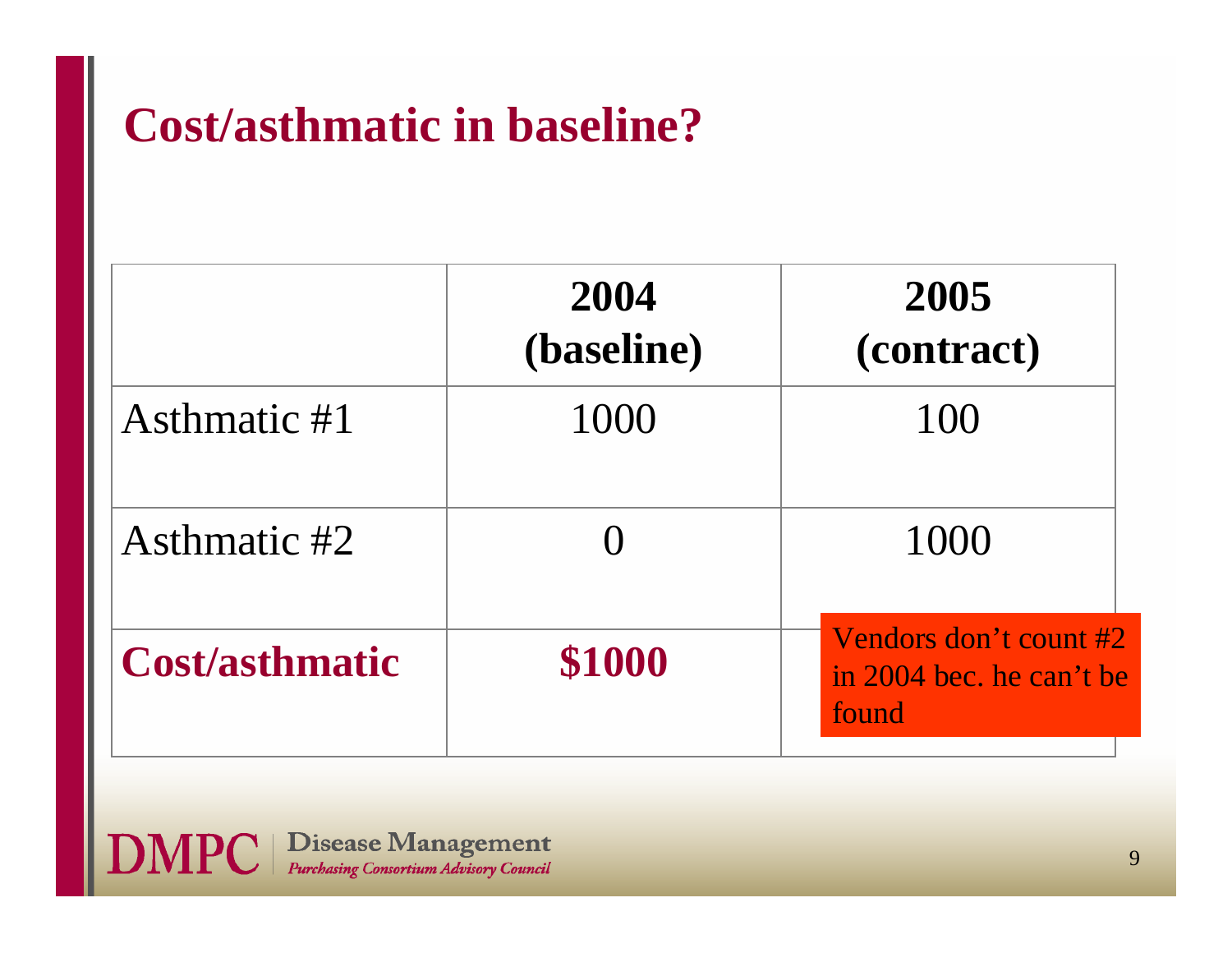# **Cost/asthmatic in baseline?**

|                       | 2004<br>(baseline) | 2005<br>(contract)                                          |
|-----------------------|--------------------|-------------------------------------------------------------|
| Asthmatic #1          | 1000               |                                                             |
| Asthmatic #2          |                    | 1000                                                        |
| <b>Cost/asthmatic</b> | \$1000             | Vendors don't count #2<br>in 2004 bec. he can't be<br>found |

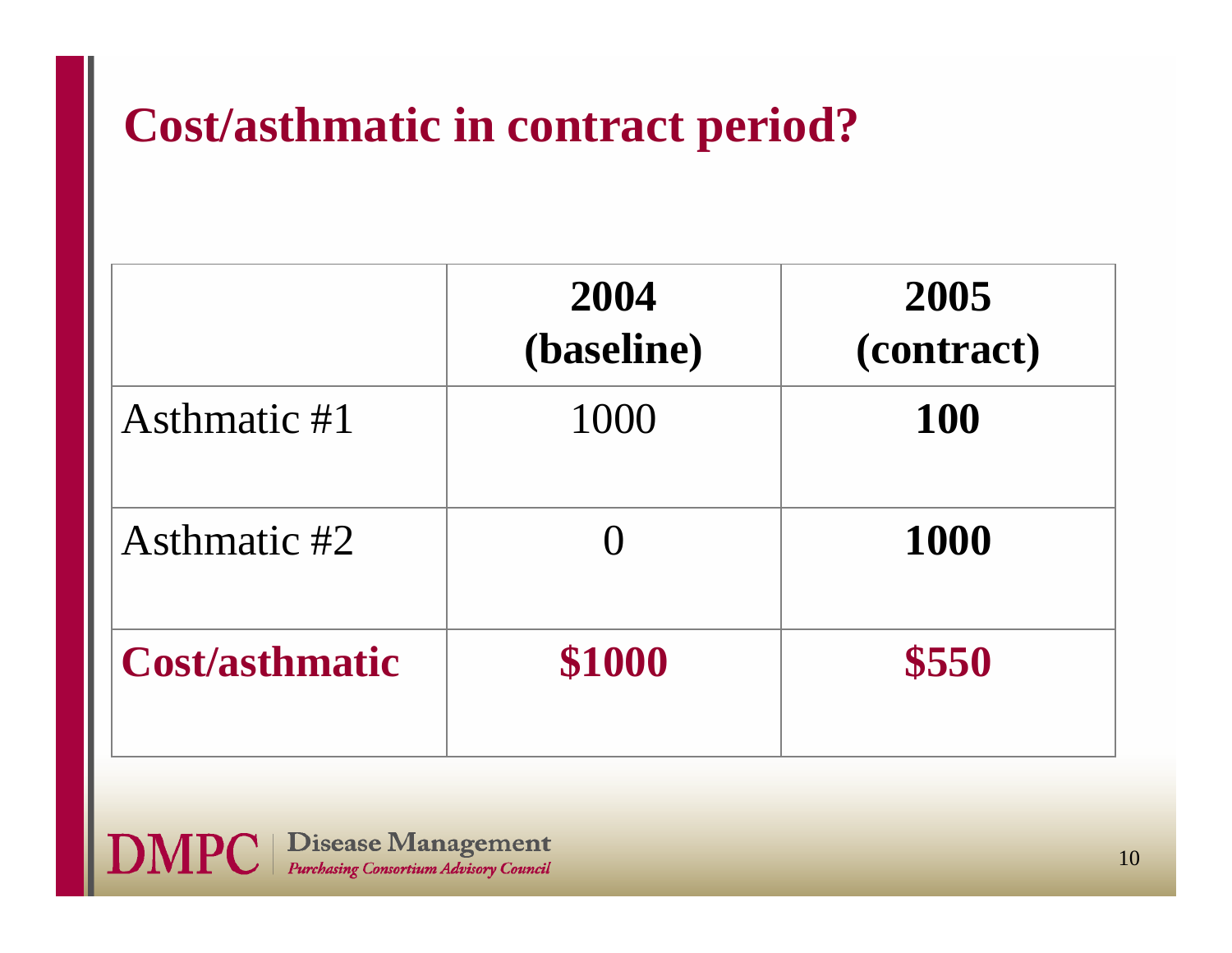# **Cost/asthmatic in contract period?**

|                       | 2004<br>(baseline) | 2005<br>(contract) |
|-----------------------|--------------------|--------------------|
| Asthmatic #1          | 1000               | <b>100</b>         |
| Asthmatic #2          |                    | 1000               |
| <b>Cost/asthmatic</b> | \$1000             | \$550              |

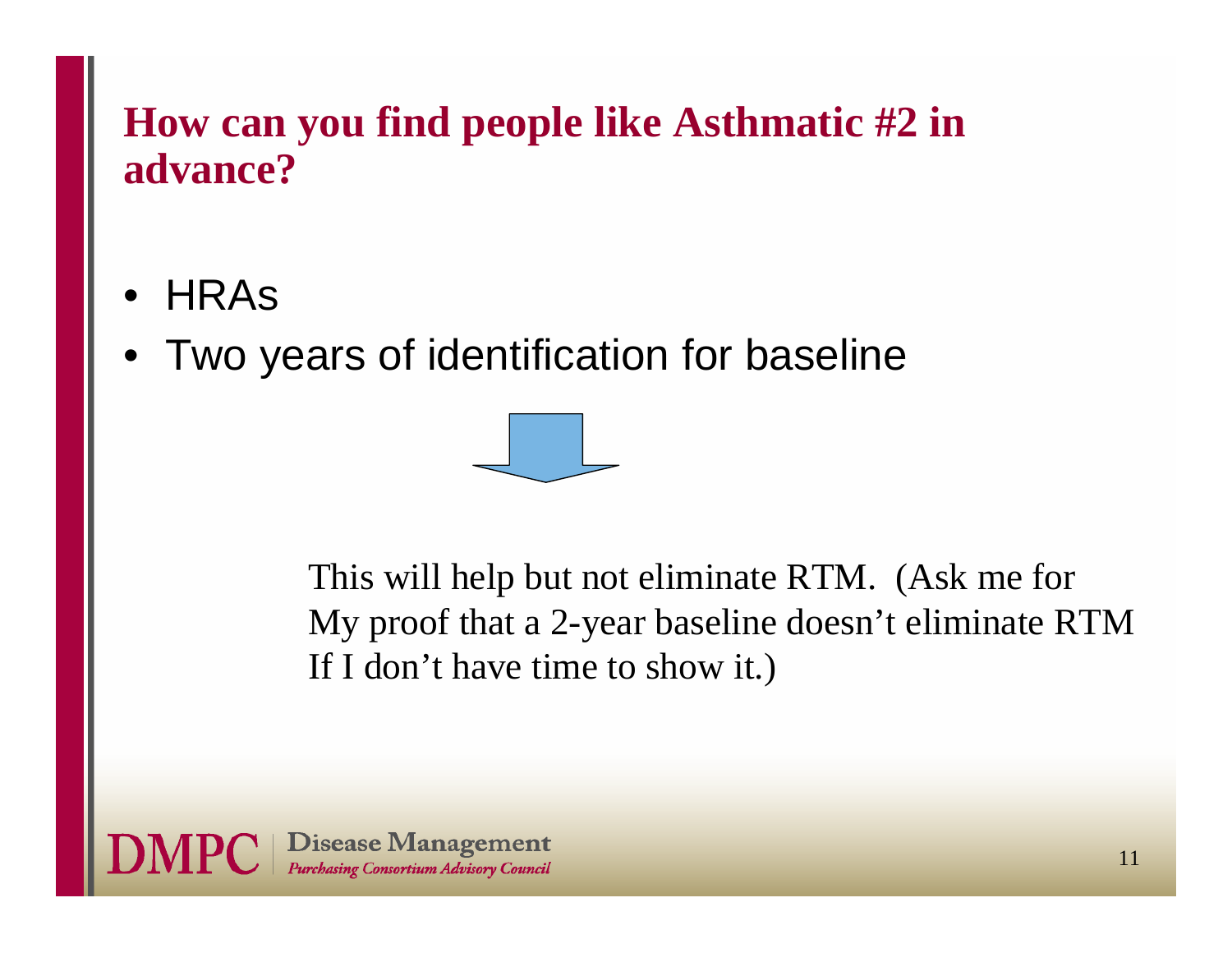#### **How can you find people like Asthmatic #2 in advance?**

- •**HRAS**
- •Two years of identification for baseline



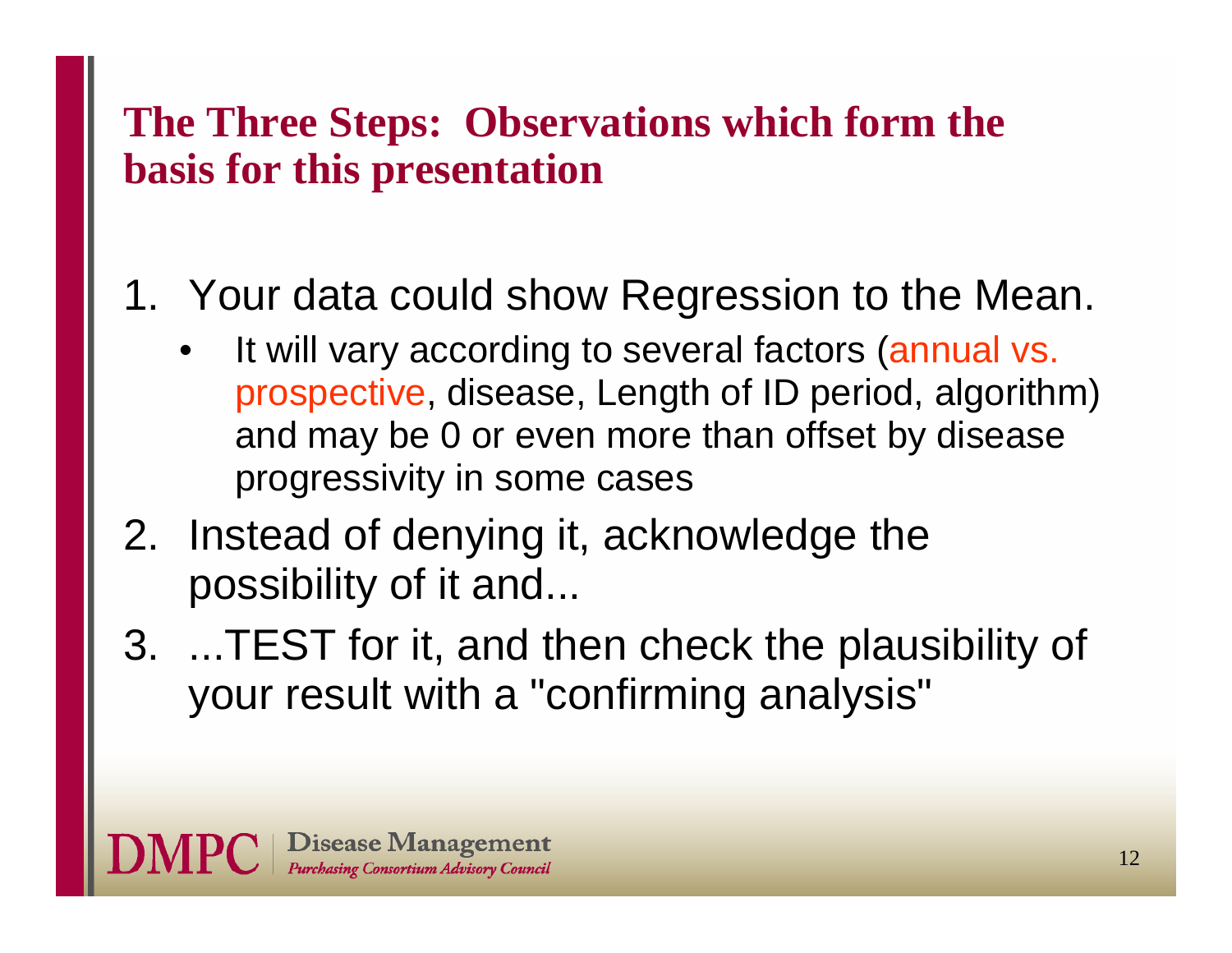#### **The Three Steps: Observations which form the basis for this presentation**

### 1. Your data could show Regression to the Mean.

- • It will vary according to several factors (annual vs. prospective, disease, Length of ID period, algorithm) and may be 0 or even more than offset by disease progressivity in some cases
- 2. Instead of denying it, acknowledge the possibility of it and...
- 3. ...TEST for it, and then check the plausibility of your result with a "confirming analysis"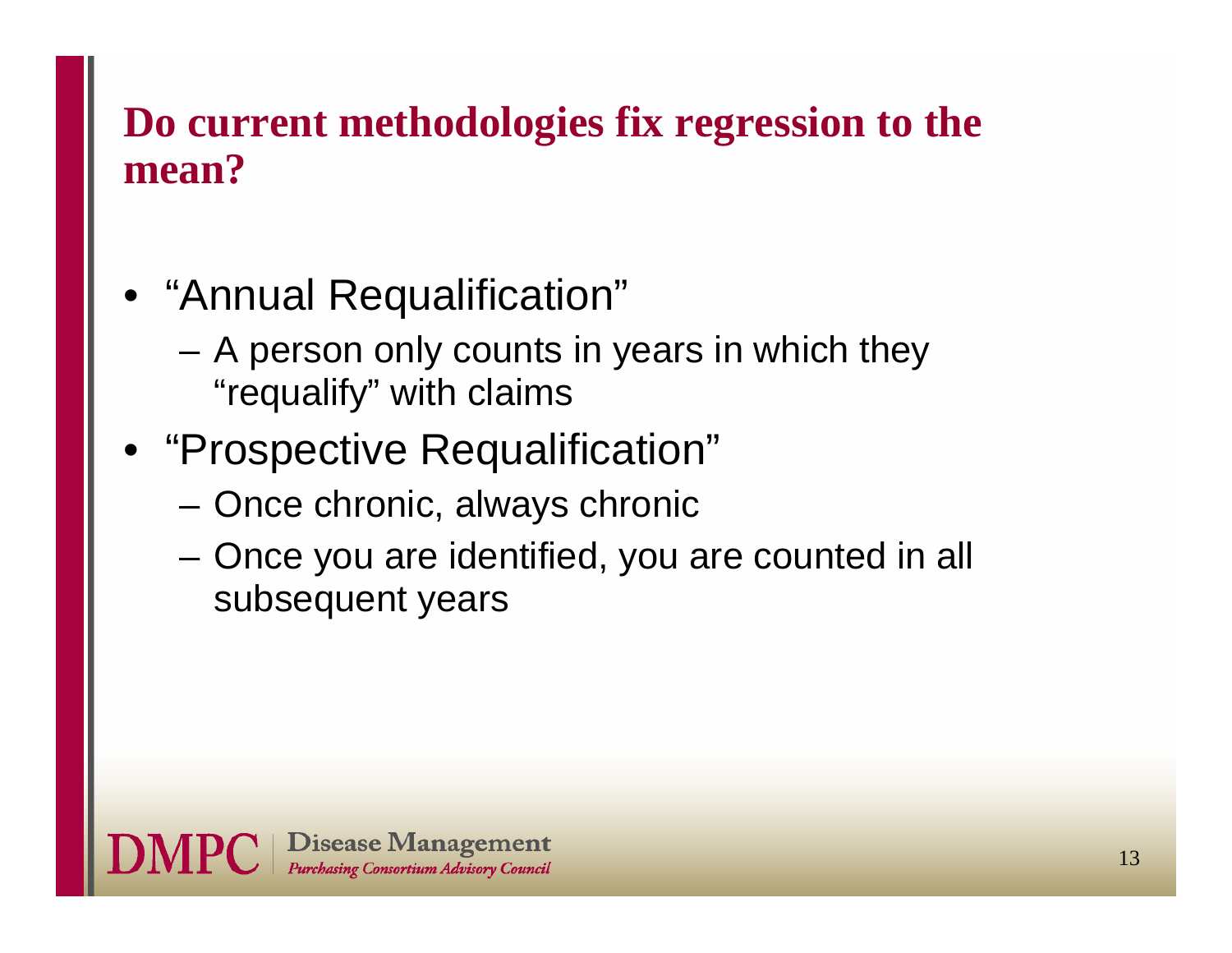#### **Do current methodologies fix regression to the mean?**

- "Annual Requalification"
	- A person only counts in years in which they "requalify" with claims
- "Prospective Requalification"
	- –Once chronic, always chronic
	- – Once you are identified, you are counted in all subsequent years

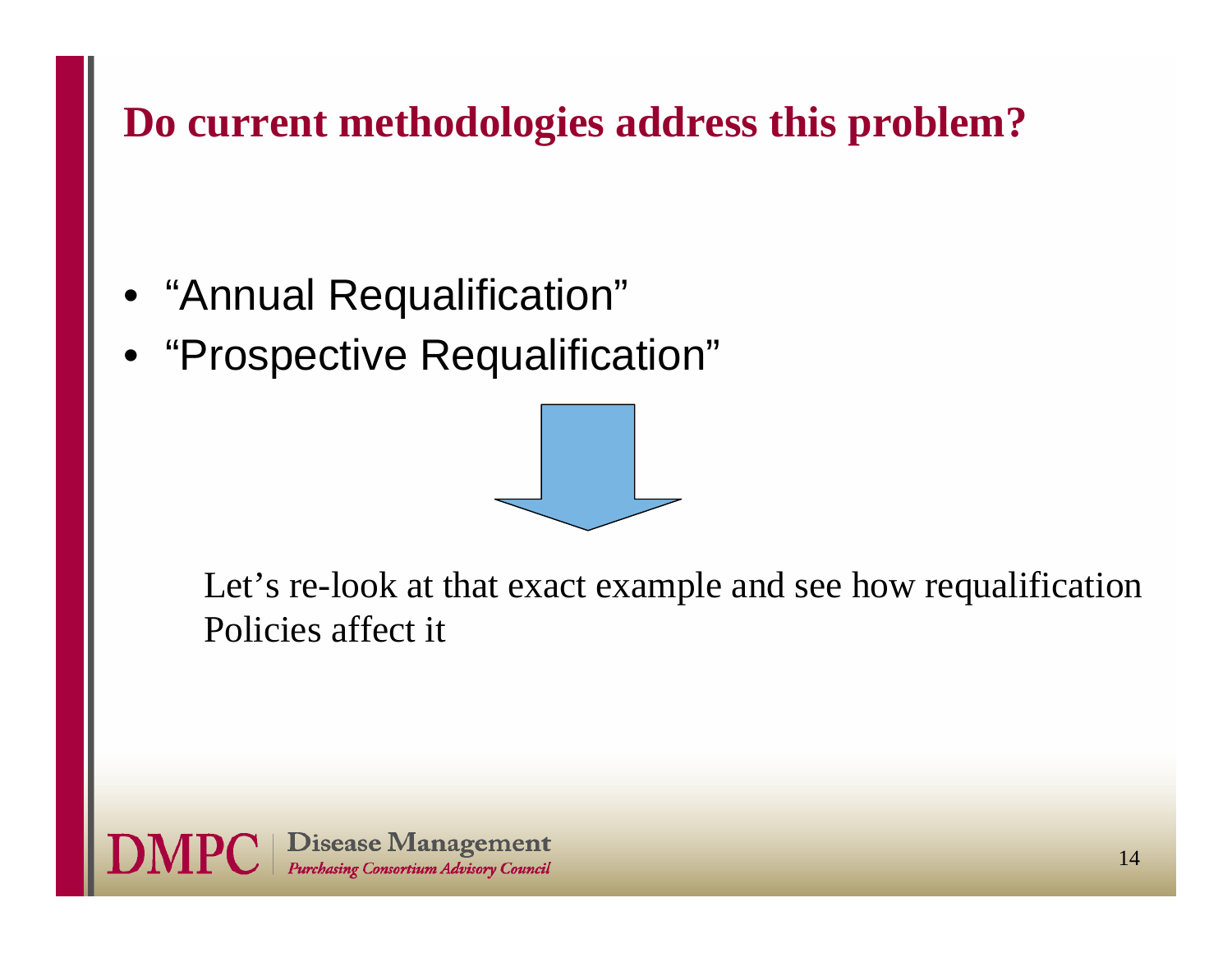#### **Do current methodologies address this problem?**

- "Annual Requalification"
- •"Prospective Requalification"



Let's re-look at that exact example and see how requalification Policies affect it

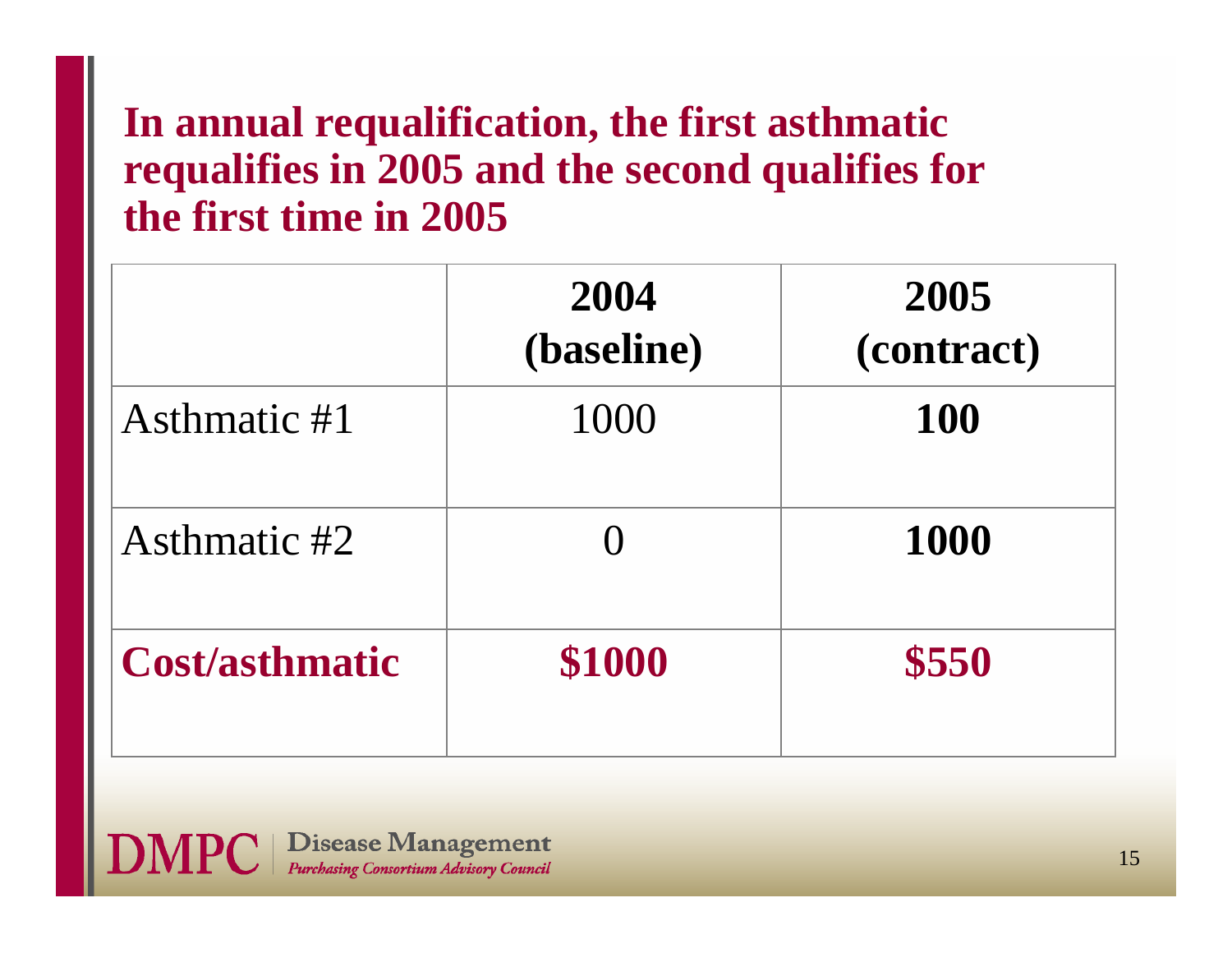#### **In annual requalification, the first asthmatic requalifies in 2005 and the second qualifies for the first time in 2005**

|                       | 2004<br>(baseline) | 2005<br>(contract) |
|-----------------------|--------------------|--------------------|
| Asthmatic #1          | 1000               | <b>100</b>         |
| Asthmatic #2          |                    | 1000               |
| <b>Cost/asthmatic</b> | \$1000             | \$550              |

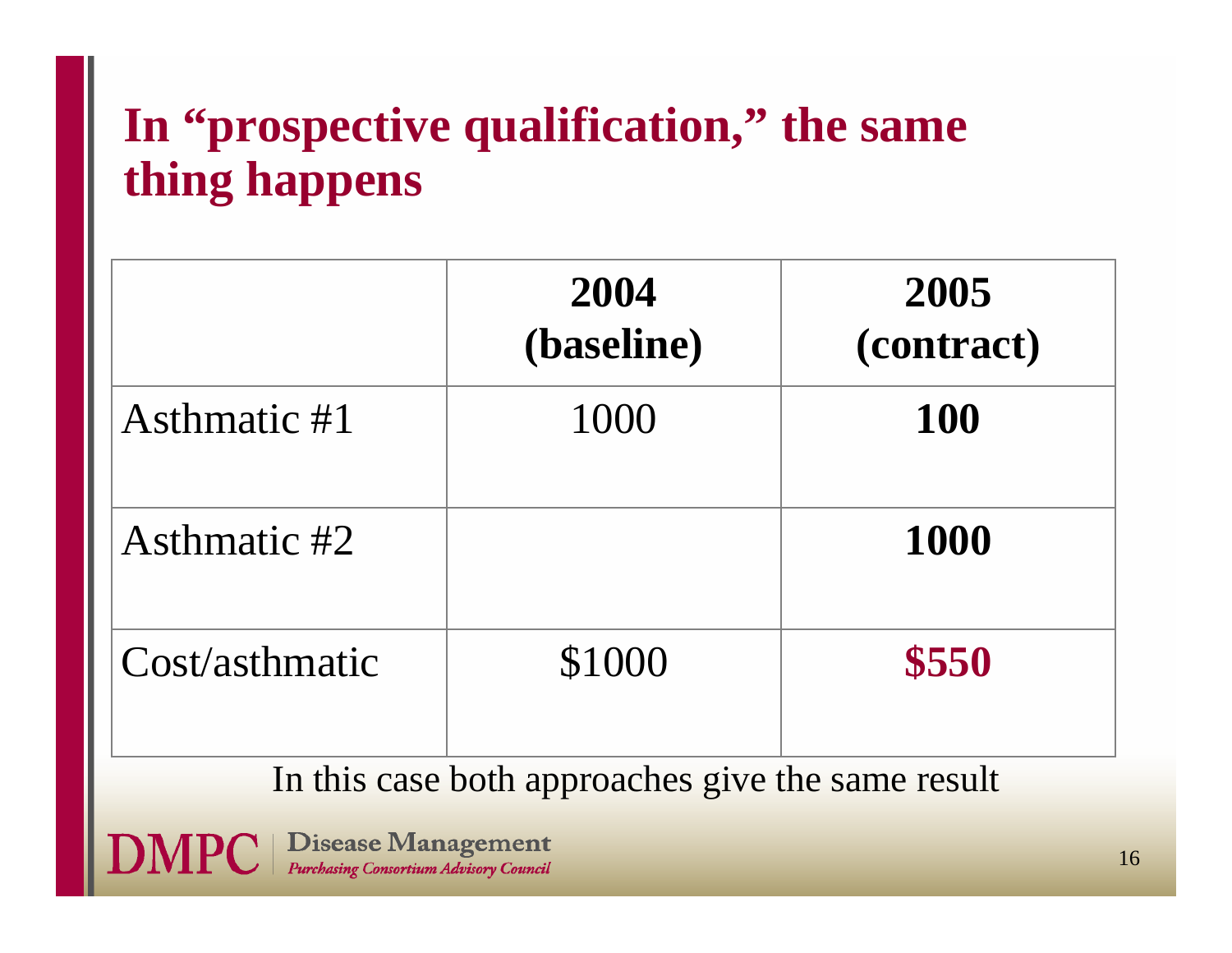# **In "prospective qualification," the same thing happens**

|                | 2004<br>(baseline) | 2005<br>(contract) |
|----------------|--------------------|--------------------|
| Asthmatic #1   | 1000               | <b>100</b>         |
| Asthmatic #2   |                    | 1000               |
| Cost/asthmatic | \$1000             | \$550              |

In this case both approaches give the same result

**Disease Management** Purchasing Consortium Advisory Council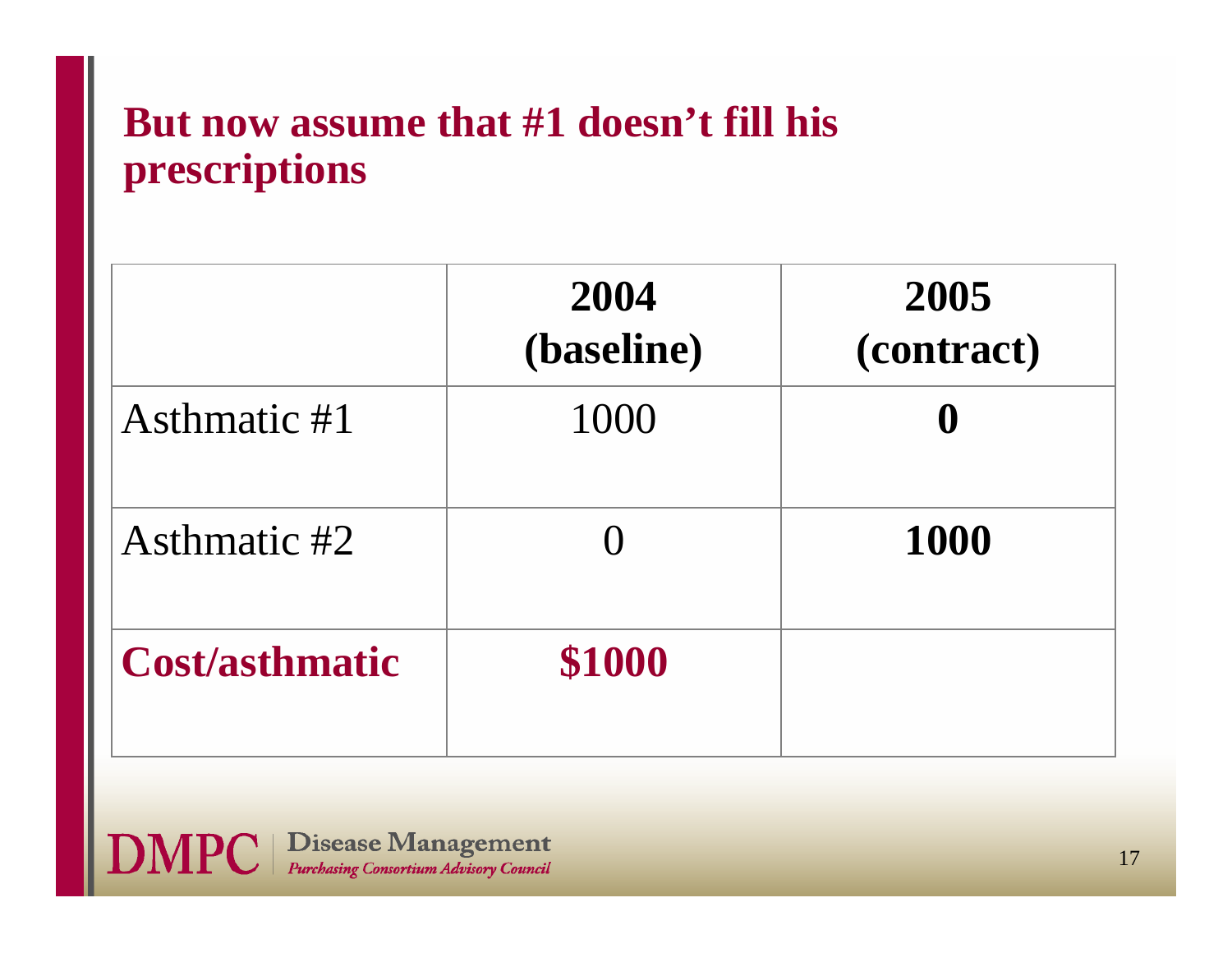#### **But now assume that #1 doesn't fill his prescriptions**

|                       | 2004<br>(baseline) | 2005<br>(contract) |
|-----------------------|--------------------|--------------------|
| Asthmatic #1          | 1000               | $\bf{0}$           |
| Asthmatic #2          |                    | 1000               |
| <b>Cost/asthmatic</b> | \$1000             |                    |

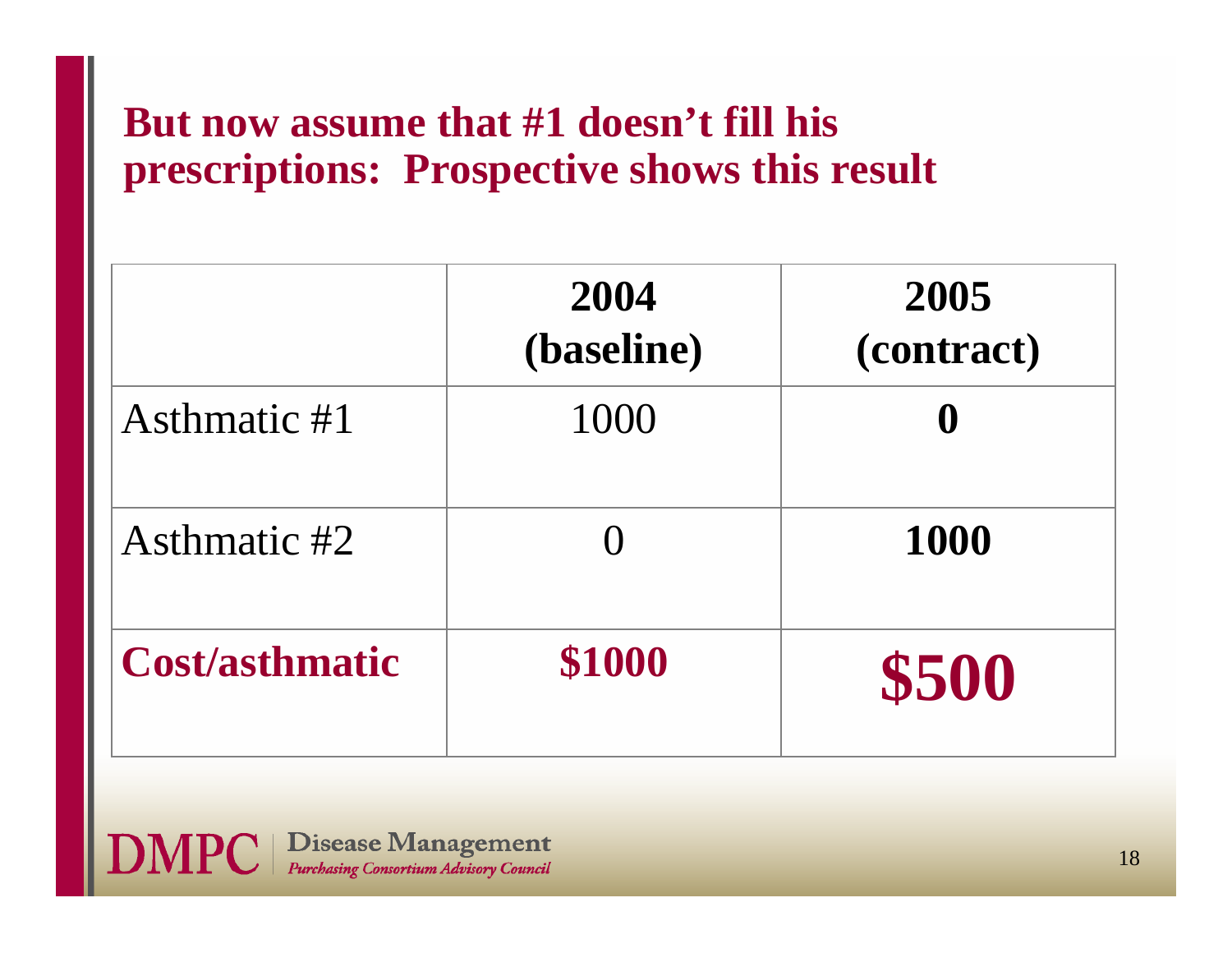#### **But now assume that #1 doesn't fill his prescriptions: Prospective shows this result**

|                       | 2004<br>(baseline) | 2005<br>(contract) |
|-----------------------|--------------------|--------------------|
| Asthmatic #1          | 1000               | $\bf{0}$           |
| Asthmatic #2          |                    | 1000               |
| <b>Cost/asthmatic</b> | \$1000             | \$500              |

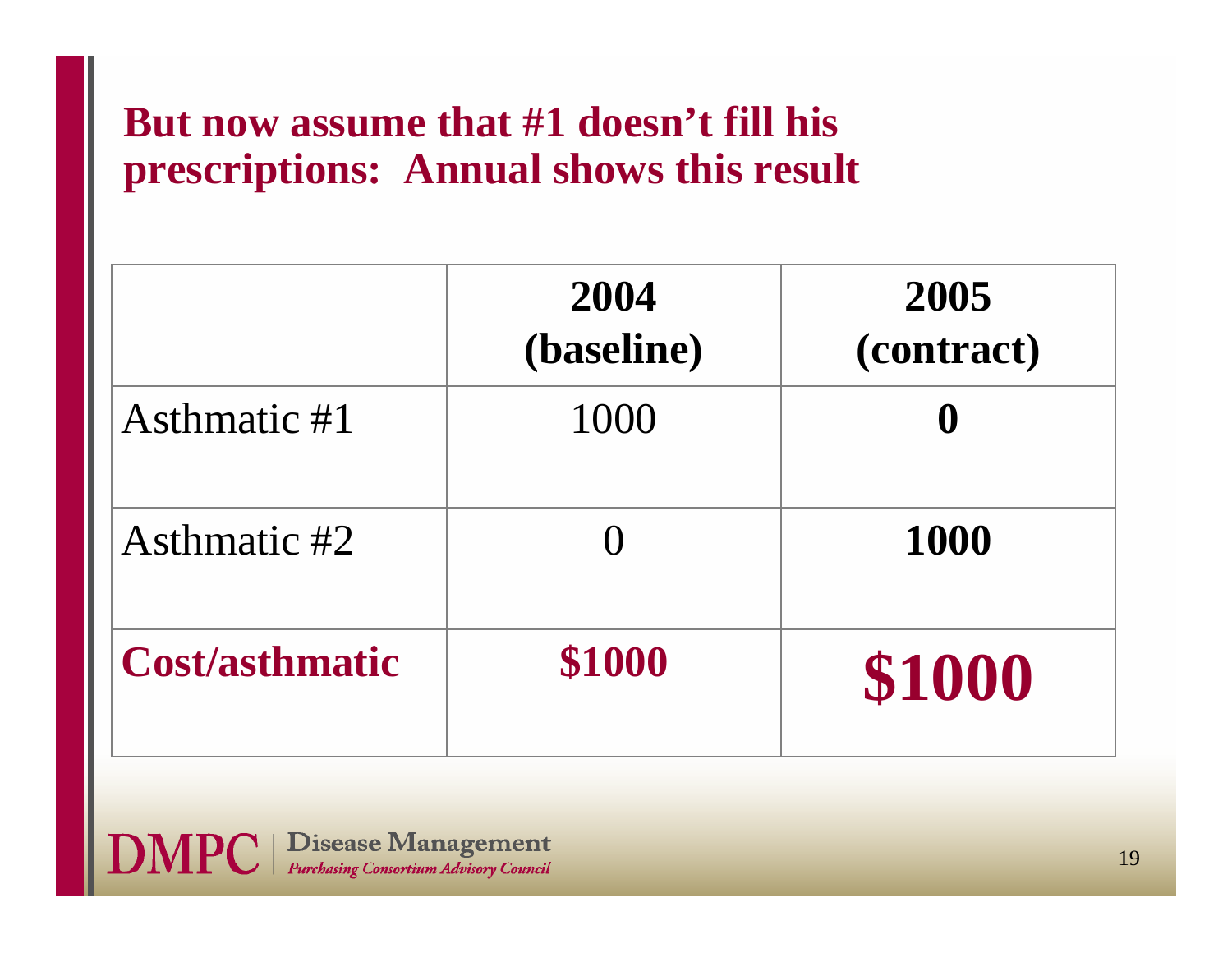#### **But now assume that #1 doesn't fill his prescriptions: Annual shows this result**

|                       | 2004<br>(baseline) | 2005<br>(contract) |
|-----------------------|--------------------|--------------------|
| Asthmatic #1          | 1000               | $\bf{0}$           |
| Asthmatic #2          |                    | <b>1000</b>        |
| <b>Cost/asthmatic</b> | \$1000             | \$1000             |

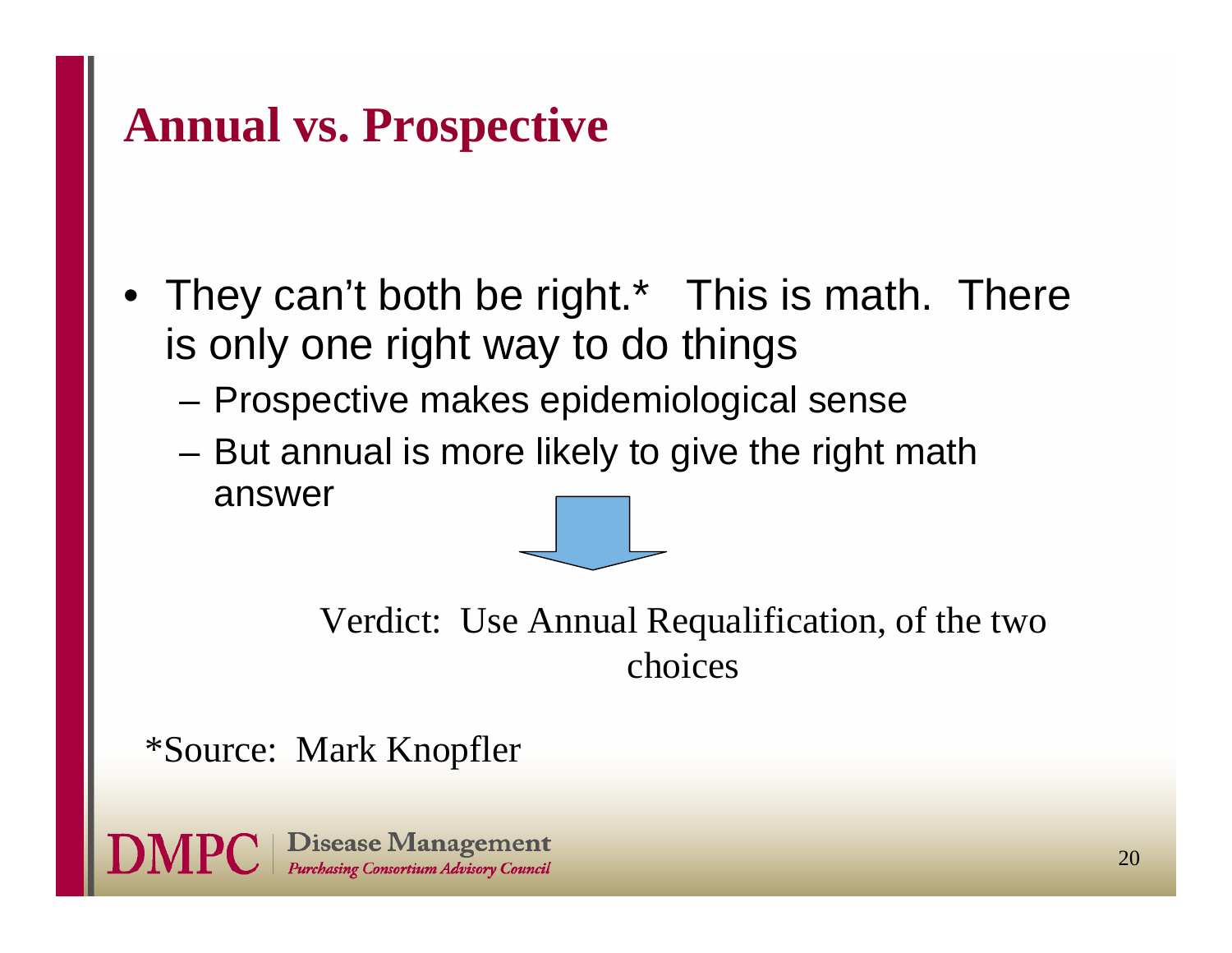### **Annual vs. Prospective**

- They can't both be right.\* This is math. There is only one right way to do things
	- Prospective makes epidemiological sense
	- But annual is more likely to give the right math answer

Verdict: Use Annual Requalification, of the two choices

\*Source: Mark Knopfler

**Disease Management** Purchasing Consortium Advisory Council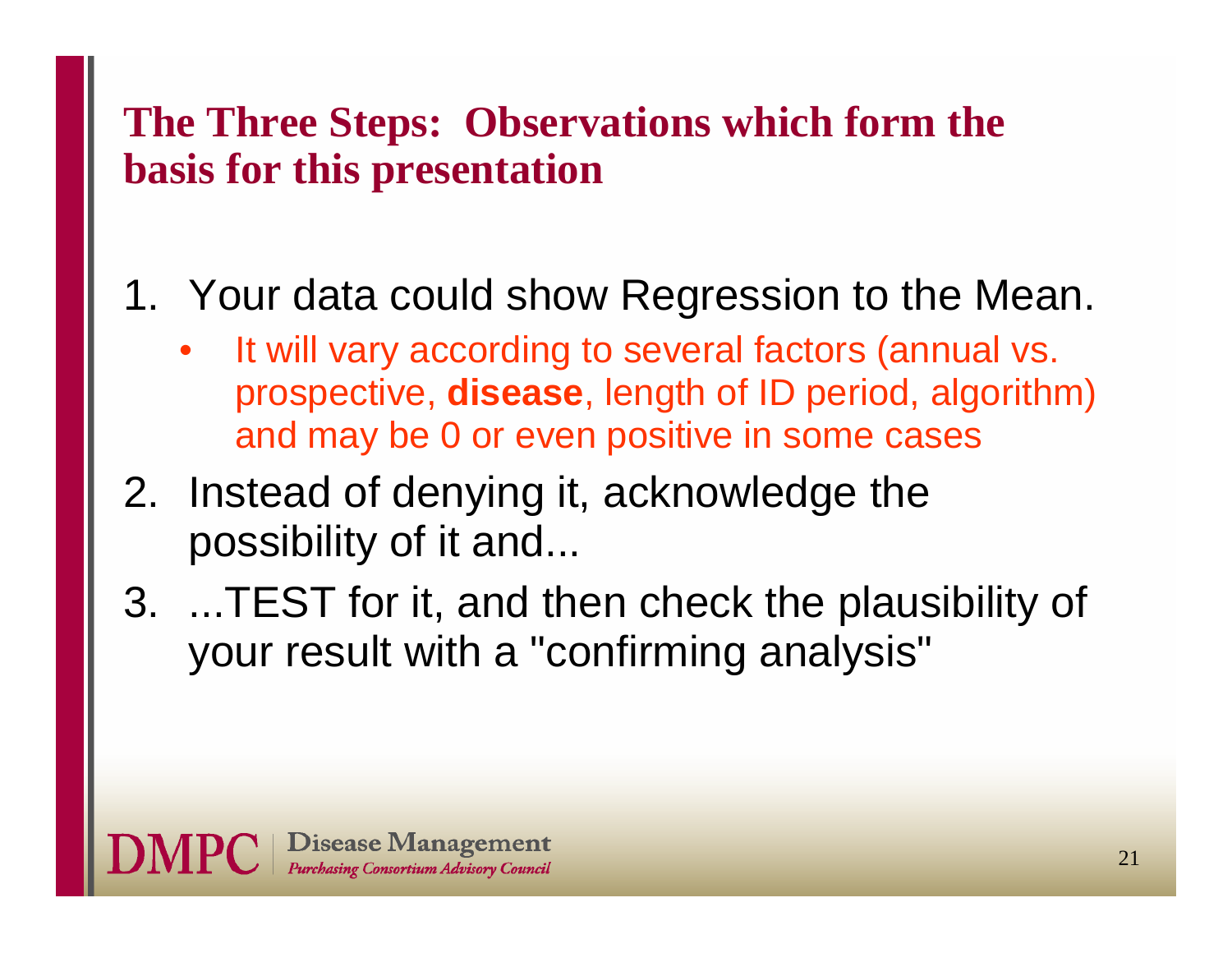#### **The Three Steps: Observations which form the basis for this presentation**

### 1. Your data could show Regression to the Mean.

- • It will vary according to several factors (annual vs. prospective, **disease**, length of ID period, algorithm) and may be 0 or even positive in some cases
- 2. Instead of denying it, acknowledge the possibility of it and...
- 3. ...TEST for it, and then check the plausibility of your result with a "confirming analysis"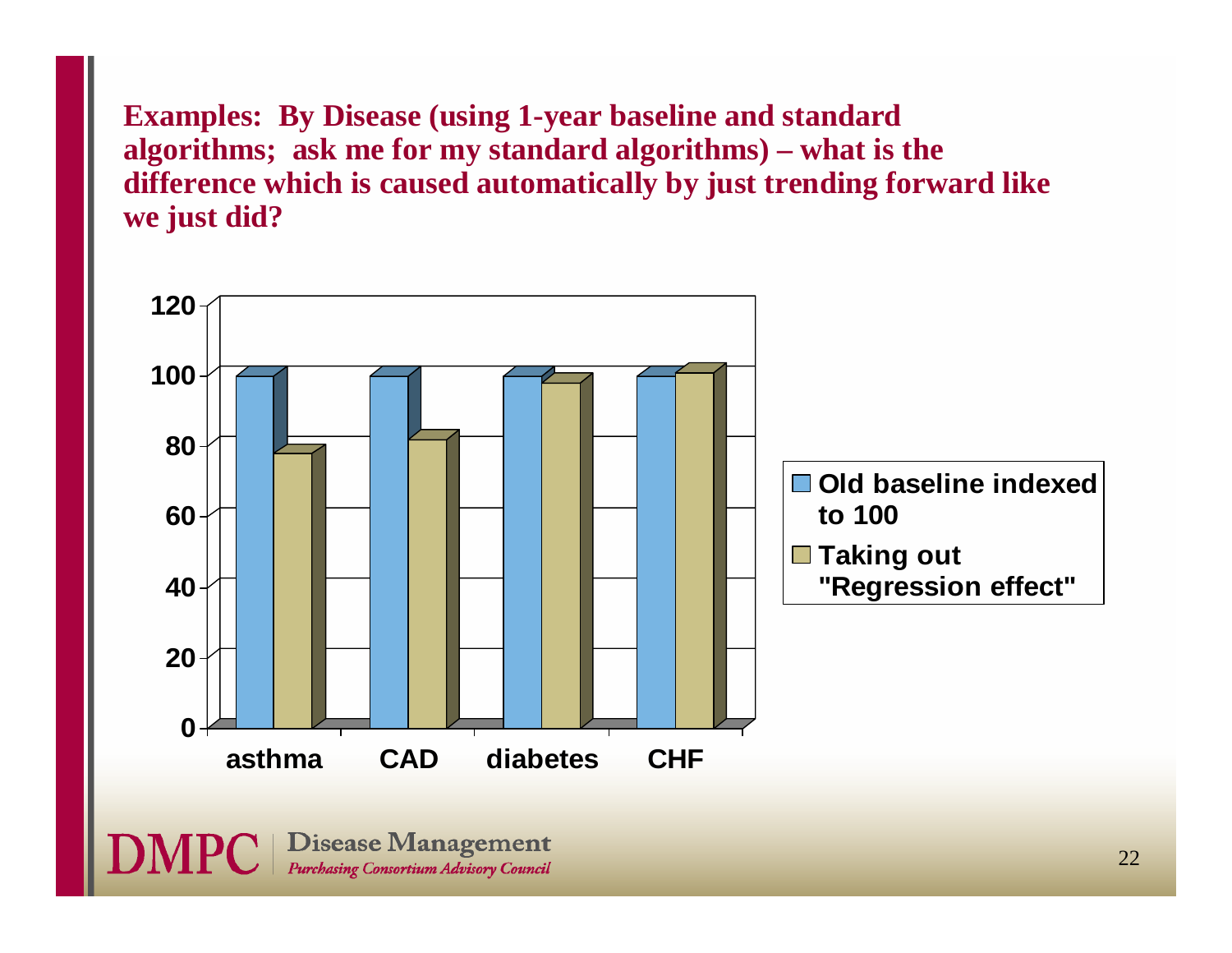**Examples: By Disease (using 1-year baseline and standard algorithms; ask me for my standard algorithms) – what is the difference which is caused automatically by just trending forward like we just did?**

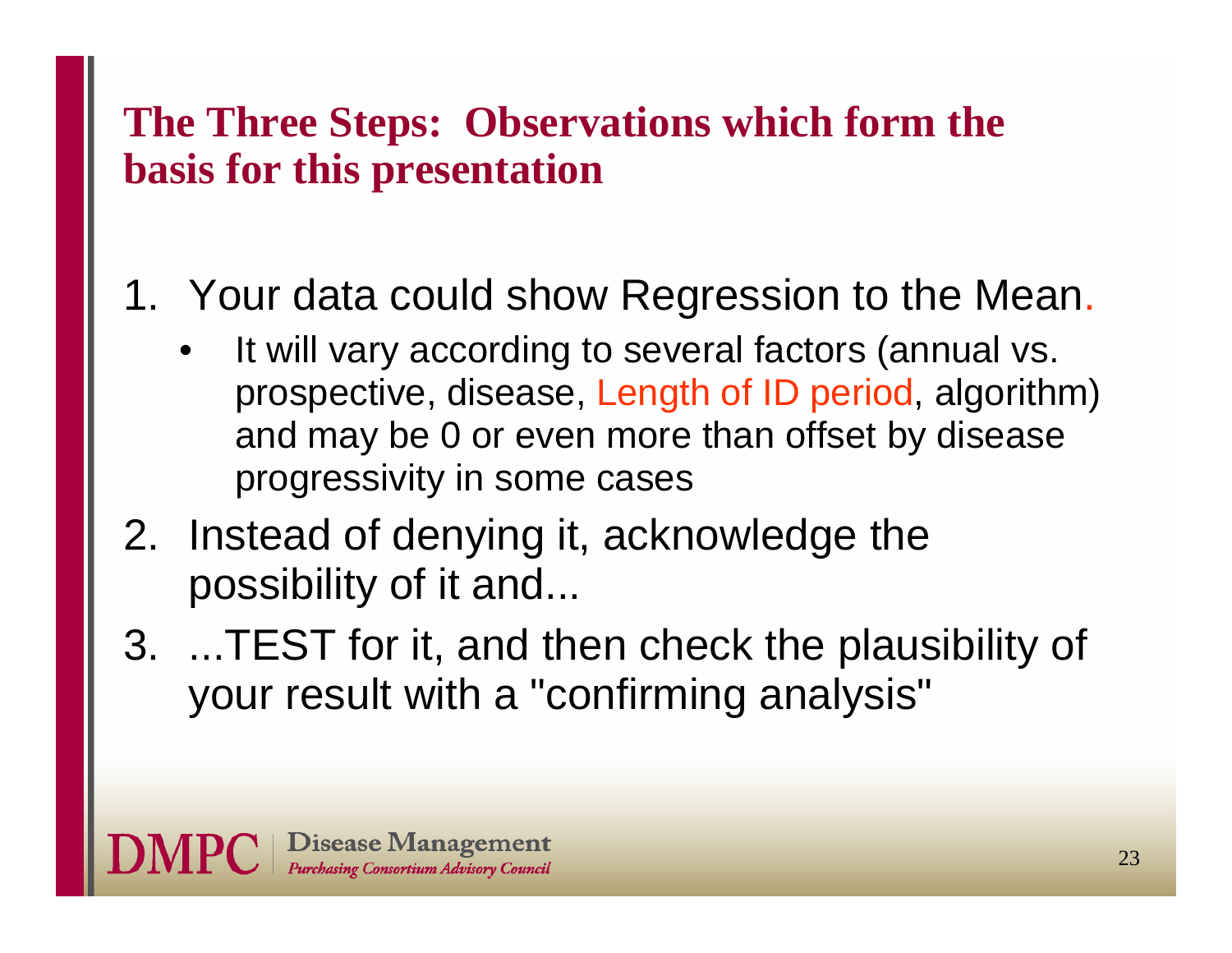#### **The Three Steps: Observations which form the basis for this presentation**

### 1. Your data could show Regression to the Mean.

- • It will vary according to several factors (annual vs. prospective, disease, Length of ID period, algorithm) and may be 0 or even more than offset by disease progressivity in some cases
- 2. Instead of denying it, acknowledge the possibility of it and...
- 3. ...TEST for it, and then check the plausibility of your result with a "confirming analysis"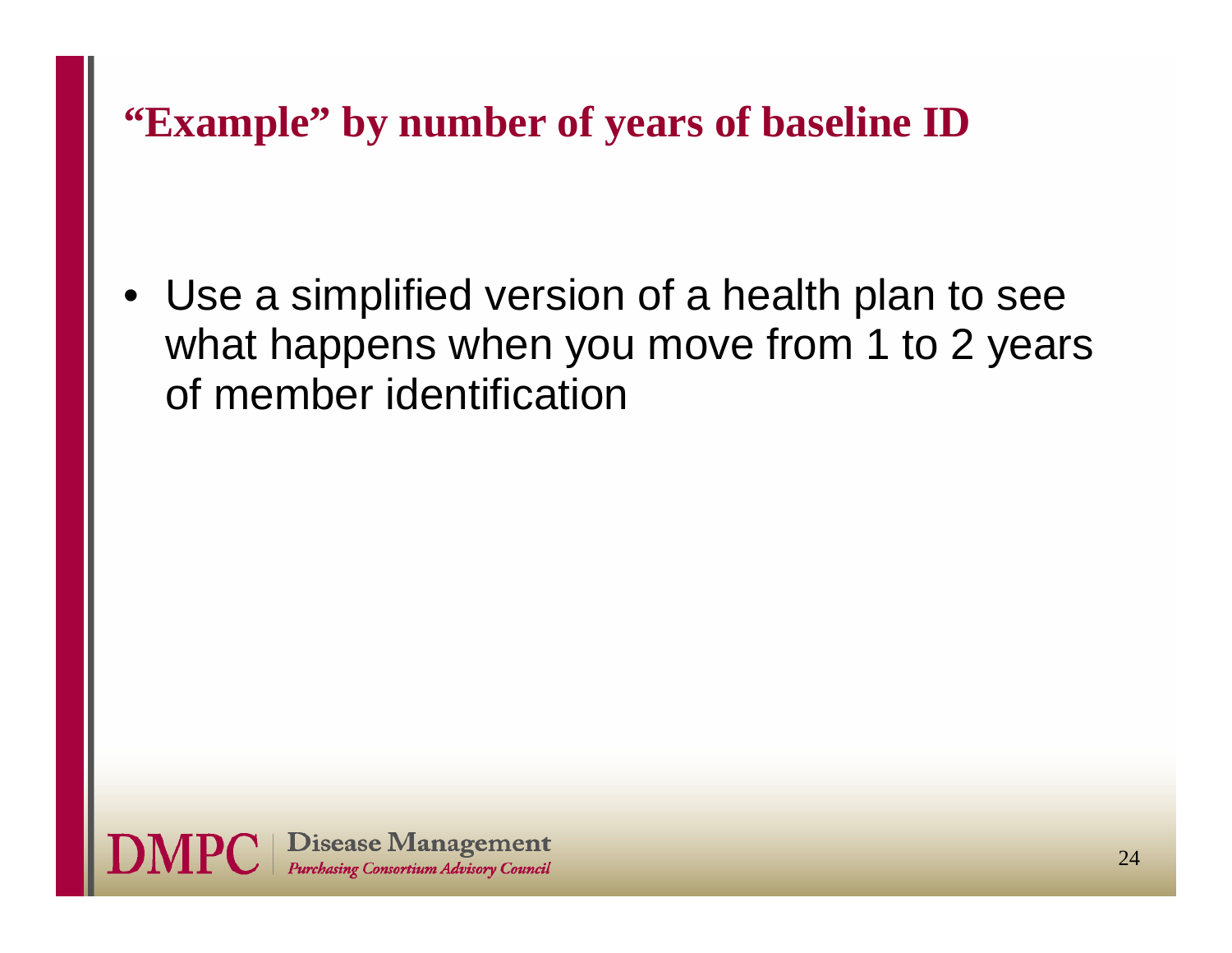**"Example" by number of years of baseline ID**

• Use a simplified version of a health plan to see what happens when you move from 1 to 2 years of member identification

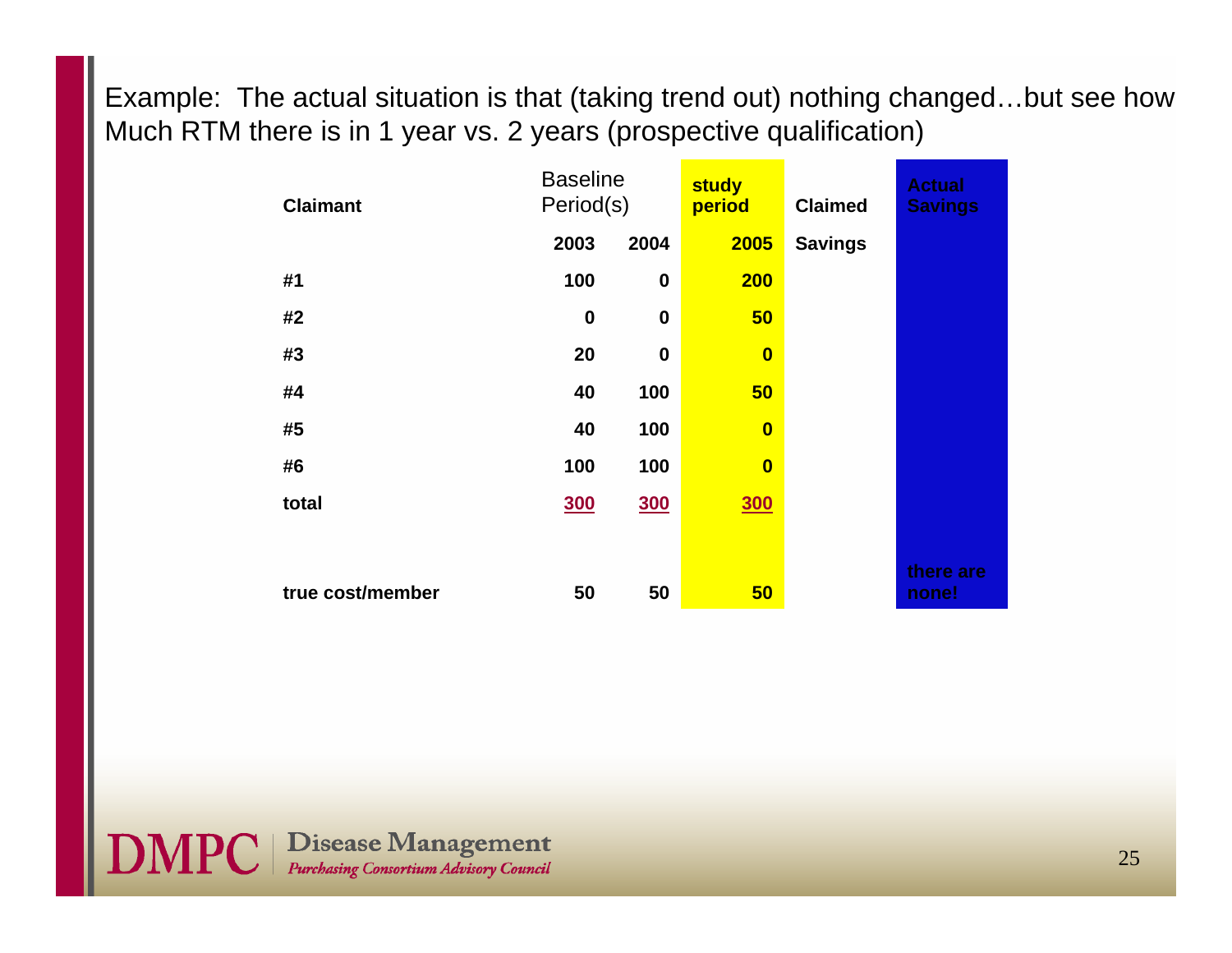Example: The actual situation is that (taking trend out) nothing changed…but see how Much RTM there is in 1 year vs. 2 years (prospective qualification)

| <b>Claimant</b>  | <b>Baseline</b><br>Period(s) |                  | study<br>period         | <b>Claimed</b> | <b>Actual</b><br><b>Savings</b> |  |
|------------------|------------------------------|------------------|-------------------------|----------------|---------------------------------|--|
|                  | 2003                         | 2004             | 2005                    | <b>Savings</b> |                                 |  |
| #1               | 100                          | $\boldsymbol{0}$ | <b>200</b>              |                |                                 |  |
| #2               | $\boldsymbol{0}$             | $\boldsymbol{0}$ | 50                      |                |                                 |  |
| #3               | 20                           | $\boldsymbol{0}$ | $\bf{0}$                |                |                                 |  |
| #4               | 40                           | 100              | 50                      |                |                                 |  |
| #5               | 40                           | 100              | $\overline{\mathbf{0}}$ |                |                                 |  |
| #6               | 100                          | 100              | $\bf{0}$                |                |                                 |  |
| total            | <b>300</b>                   | <b>300</b>       | <b>300</b>              |                |                                 |  |
|                  |                              |                  |                         |                |                                 |  |
| true cost/member | 50                           | 50               | 50                      |                | there are<br>none!              |  |

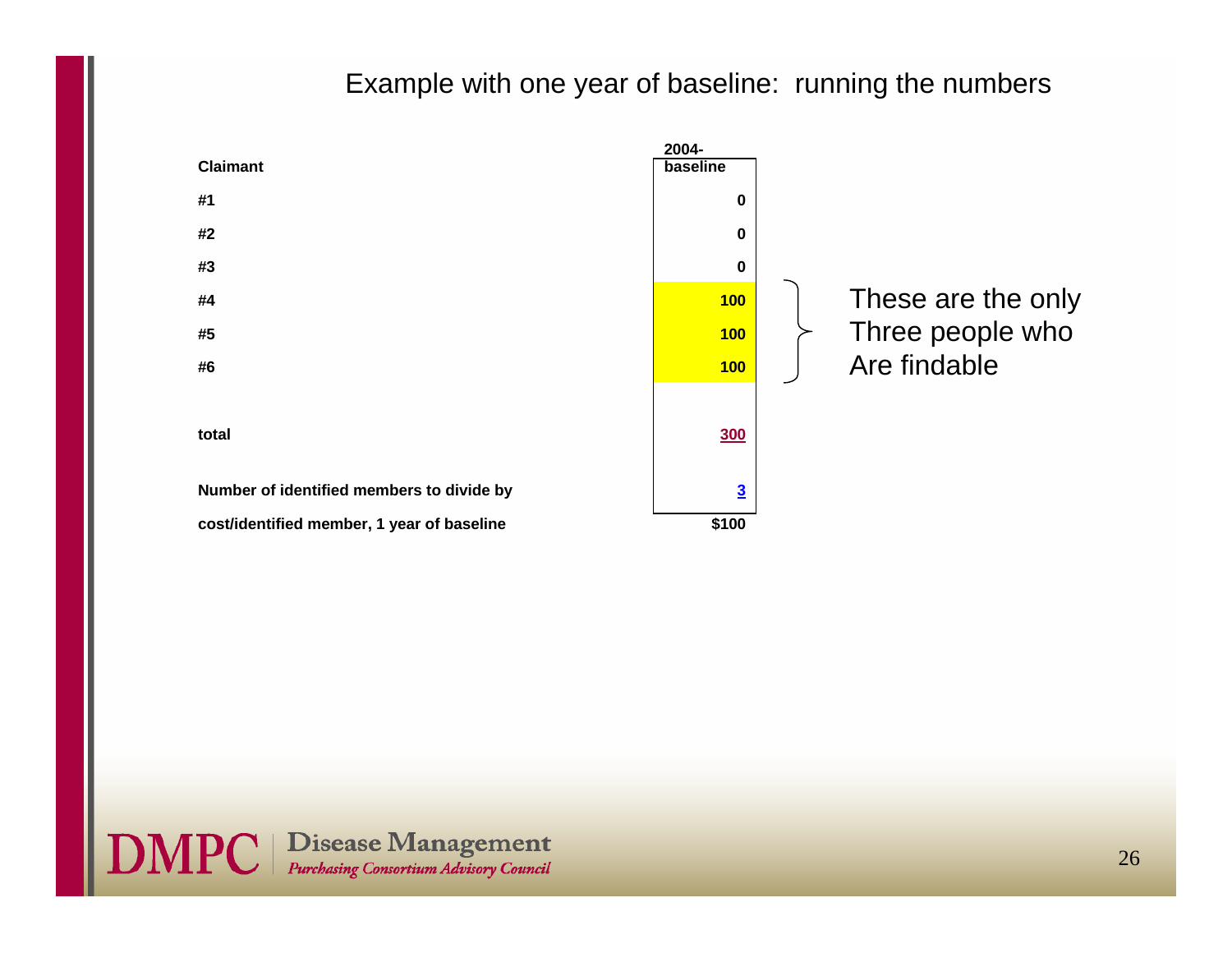#### Example with one year of baseline: running the numbers





26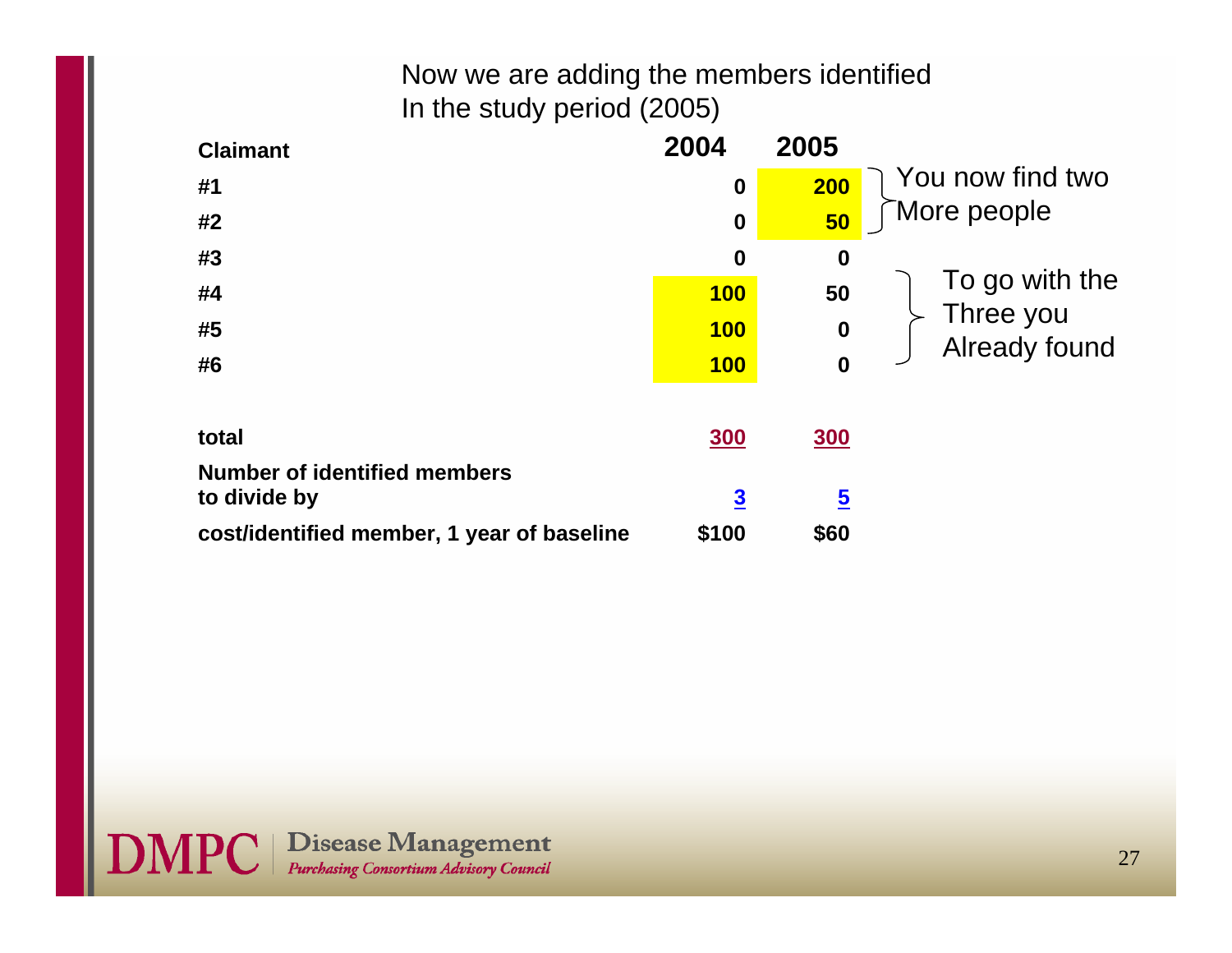#### Now we are adding the members identified In the study period (2005)

| <b>Claimant</b>                            | 2004                    | 2005                    |                            |
|--------------------------------------------|-------------------------|-------------------------|----------------------------|
| #1                                         | $\boldsymbol{0}$        | <b>200</b>              | You now find two           |
| #2                                         | $\boldsymbol{0}$        | 50                      | More people                |
| #3                                         | $\boldsymbol{0}$        | $\boldsymbol{0}$        |                            |
| #4                                         | <b>100</b>              | 50                      | To go with the             |
| #5                                         | <b>100</b>              | $\boldsymbol{0}$        | Three you<br>Already found |
| #6                                         | <b>100</b>              | $\boldsymbol{0}$        |                            |
|                                            |                         |                         |                            |
| total                                      | <b>300</b>              | <b>300</b>              |                            |
| <b>Number of identified members</b>        |                         |                         |                            |
| to divide by                               | $\overline{\mathbf{3}}$ | $\overline{\mathbf{5}}$ |                            |
| cost/identified member, 1 year of baseline | \$100                   | \$60                    |                            |

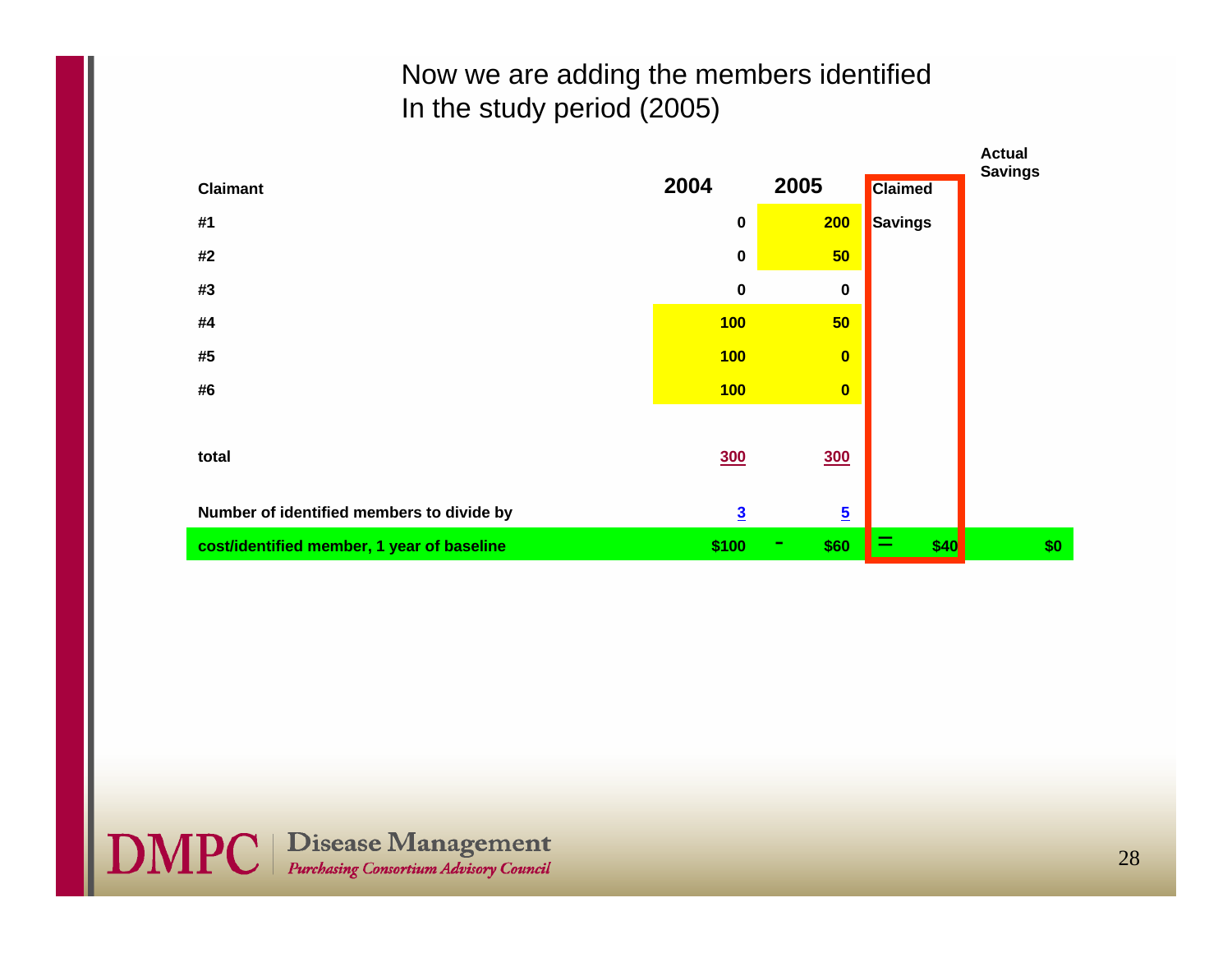#### Now we are adding the members identified In the study period (2005)

|                                            |                |                         |                | <b>Actual</b>  |
|--------------------------------------------|----------------|-------------------------|----------------|----------------|
| <b>Claimant</b>                            | 2004           | 2005                    | <b>Claimed</b> | <b>Savings</b> |
| #1                                         | $\pmb{0}$      | 200                     | Savings        |                |
| #2                                         | $\bf{0}$       | 50                      |                |                |
| #3                                         | $\pmb{0}$      | $\bf{0}$                |                |                |
| #4                                         | 100            | 50                      |                |                |
| #5                                         | 100            | $\mathbf{0}$            |                |                |
| #6                                         | 100            | $\mathbf{0}$            |                |                |
|                                            |                |                         |                |                |
| total                                      | <b>300</b>     | <b>300</b>              |                |                |
|                                            |                |                         |                |                |
| Number of identified members to divide by  | $\overline{3}$ | $\overline{\mathbf{5}}$ |                |                |
| cost/identified member, 1 year of baseline | \$100          | \$60<br>۰               | =<br>\$40      | \$0            |

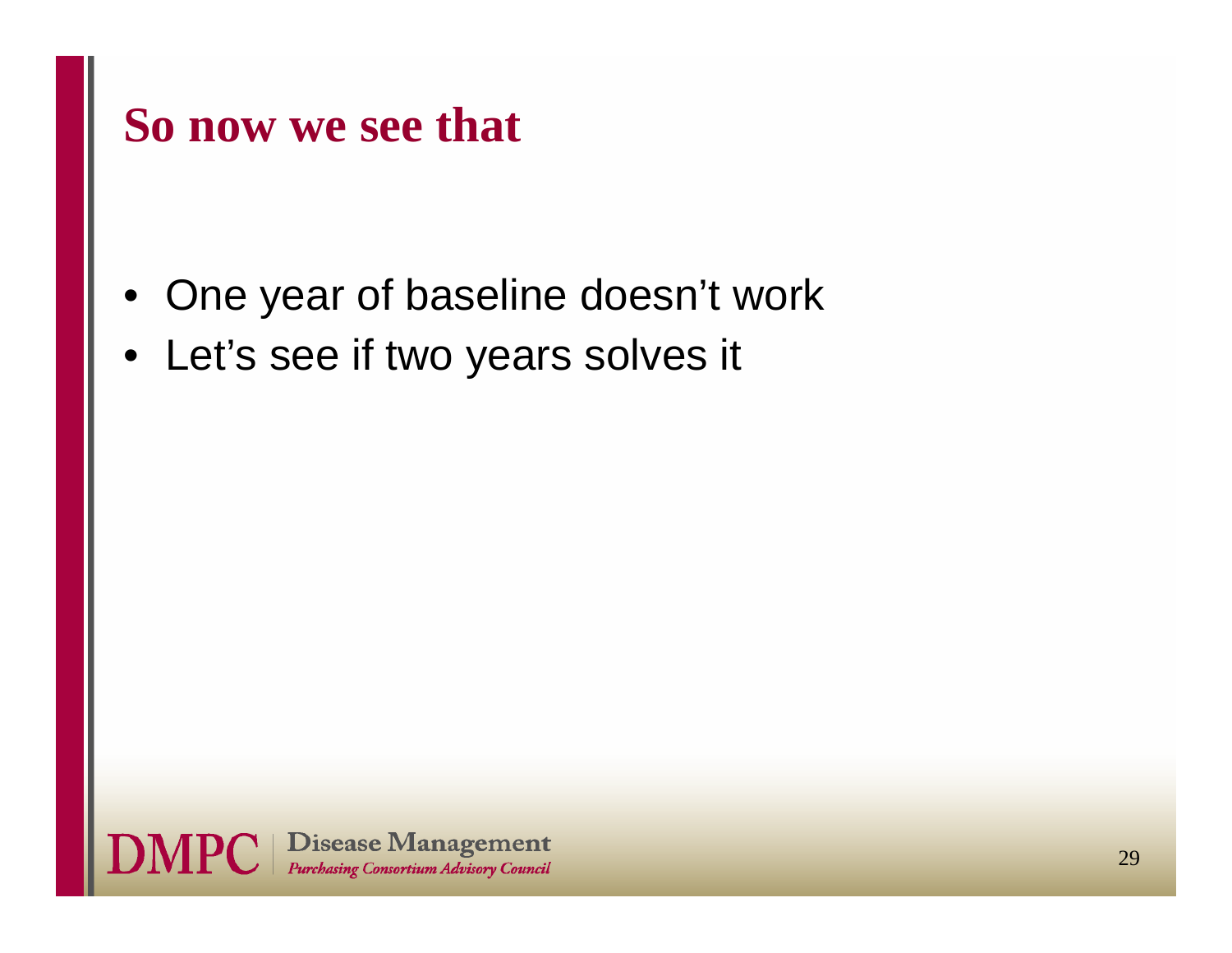### **So now we see that**

- •One year of baseline doesn't work
- Let's see if two years solves it

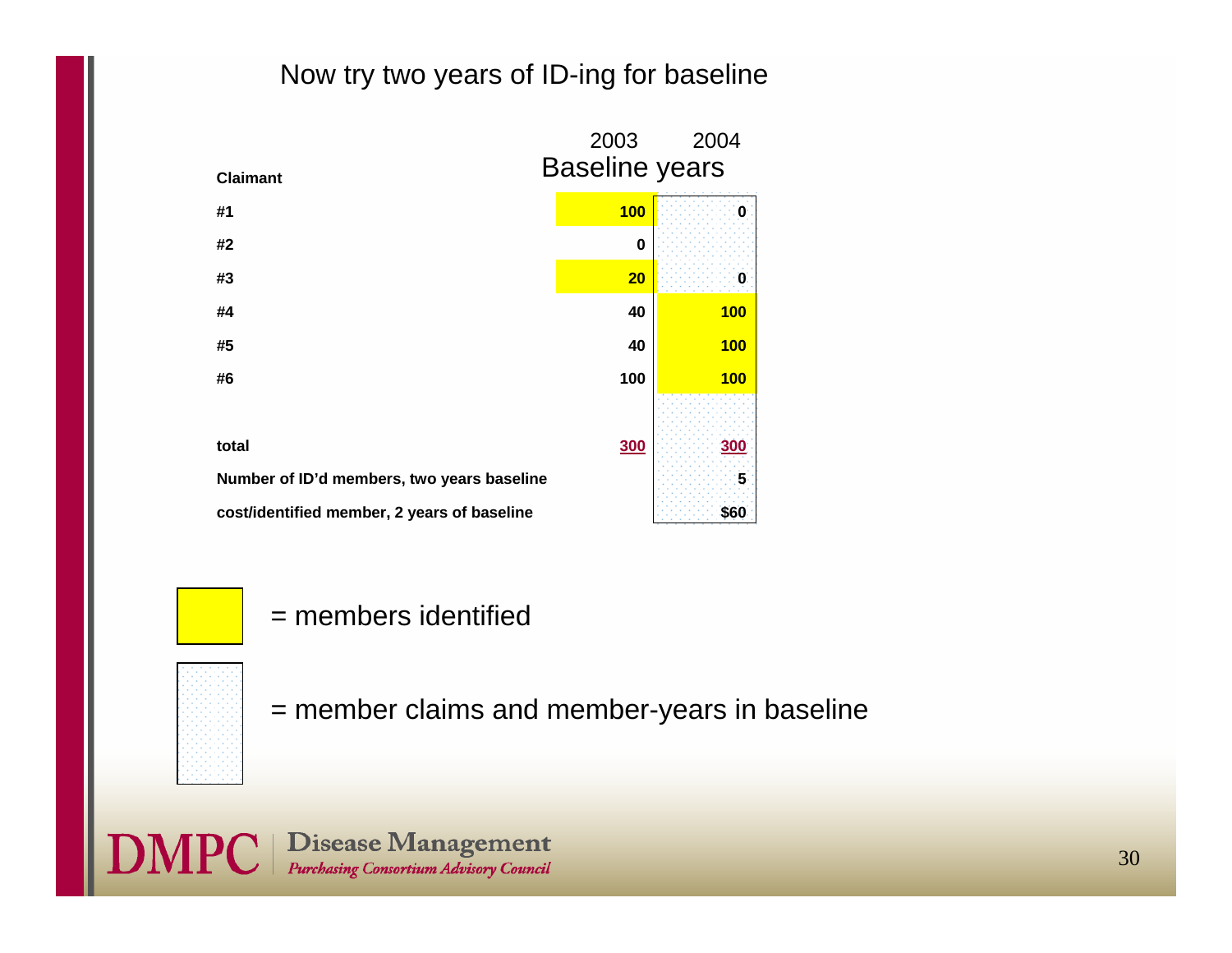#### Now try two years of ID-ing for baseline



= members identified

= member claims and member-years in baseline

**DMPC** | Disease Management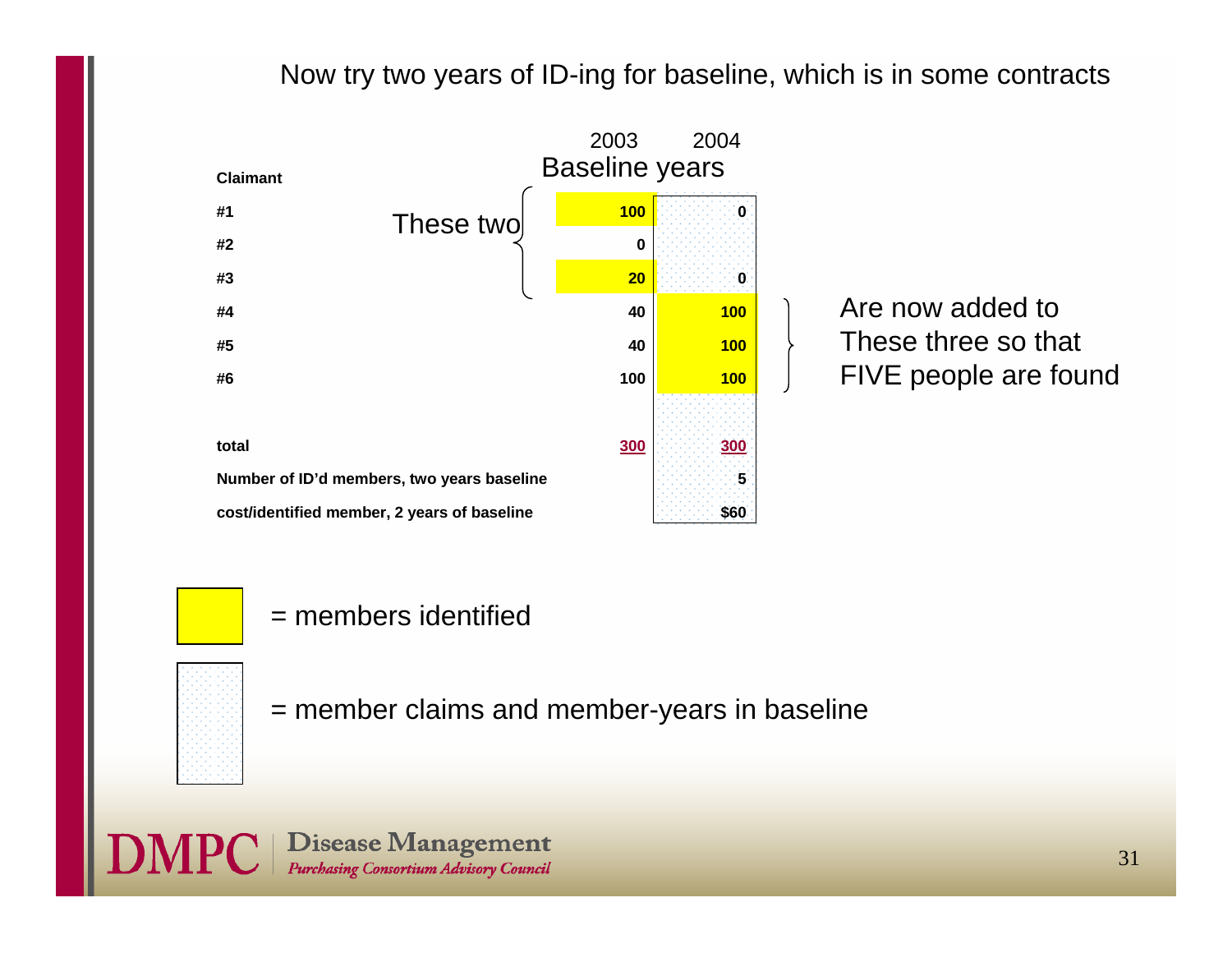#### Now try two years of ID-ing for baseline, which is in some contracts



Are now added toThese three so that FIVE people are found

= members identified

= member claims and member-years in baseline

**Disease Management**<br>Purchasing Consortium Advisory Council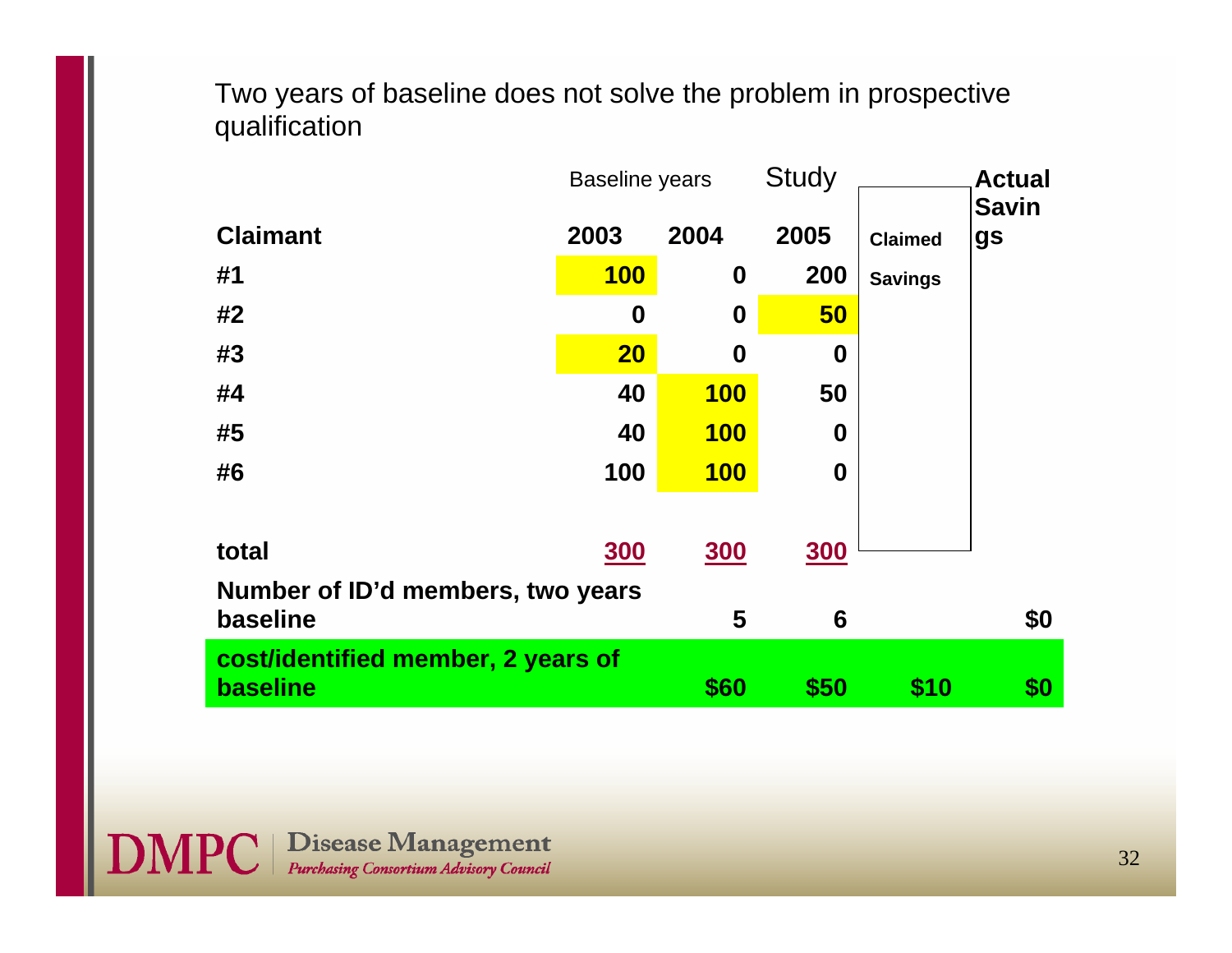Two years of baseline does not solve the problem in prospective qualification

|                                    | <b>Baseline years</b> |                  | <b>Study</b> |                | <b>Actual</b>      |  |
|------------------------------------|-----------------------|------------------|--------------|----------------|--------------------|--|
| <b>Claimant</b>                    | 2003                  | 2004             | 2005         | <b>Claimed</b> | <b>Savin</b><br>gs |  |
| #1                                 | <b>100</b>            | 0                | 200          | <b>Savings</b> |                    |  |
| #2                                 | 0                     | $\boldsymbol{0}$ | 50           |                |                    |  |
| #3                                 | 20                    | $\boldsymbol{0}$ | 0            |                |                    |  |
| #4                                 | 40                    | <b>100</b>       | 50           |                |                    |  |
| #5                                 | 40                    | <b>100</b>       | 0            |                |                    |  |
| #6                                 | 100                   | <b>100</b>       | $\bf{0}$     |                |                    |  |
|                                    |                       |                  |              |                |                    |  |
| total                              | <b>300</b>            | <b>300</b>       | <u>300</u>   |                |                    |  |
| Number of ID'd members, two years  |                       |                  |              |                |                    |  |
| baseline                           |                       | 5                | 6            |                | \$0                |  |
| cost/identified member, 2 years of |                       |                  |              |                |                    |  |
| baseline                           |                       | \$60             | \$50         | \$10           | \$0                |  |

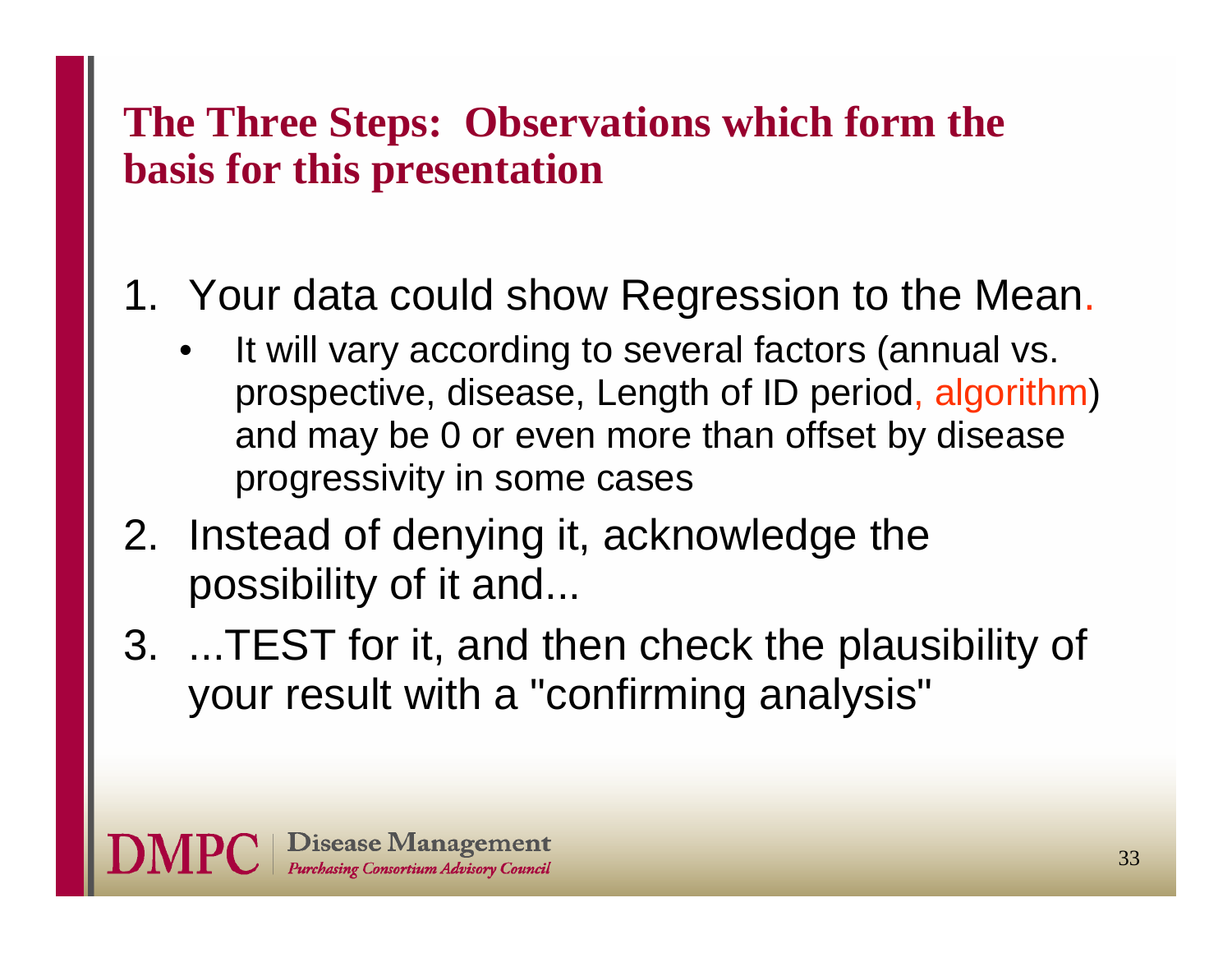#### **The Three Steps: Observations which form the basis for this presentation**

### 1. Your data could show Regression to the Mean.

- • It will vary according to several factors (annual vs. prospective, disease, Length of ID period, algorithm) and may be 0 or even more than offset by disease progressivity in some cases
- 2. Instead of denying it, acknowledge the possibility of it and...
- 3. ...TEST for it, and then check the plausibility of your result with a "confirming analysis"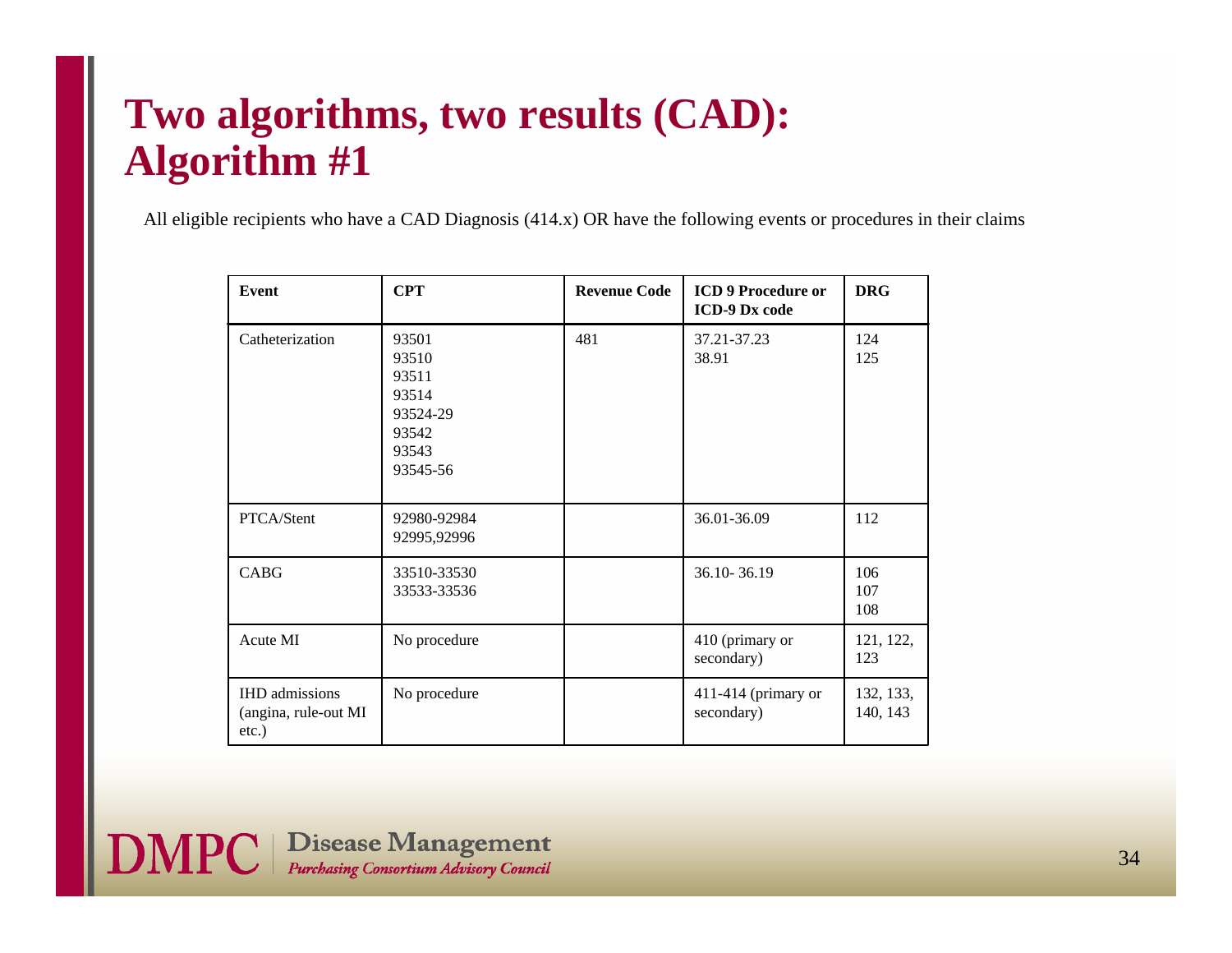#### **Two algorithms, two results (CAD): Algorithm #1**

All eligible recipients who have a CAD Diagnosis (414.x) OR have the following events or procedures in their claims

| Event                                                  | <b>CPT</b>                                                                 | <b>Revenue Code</b> | <b>ICD 9 Procedure or</b><br><b>ICD-9 Dx code</b> | <b>DRG</b>            |
|--------------------------------------------------------|----------------------------------------------------------------------------|---------------------|---------------------------------------------------|-----------------------|
| Catheterization                                        | 93501<br>93510<br>93511<br>93514<br>93524-29<br>93542<br>93543<br>93545-56 | 481                 | 37.21-37.23<br>38.91                              | 124<br>125            |
| PTCA/Stent                                             | 92980-92984<br>92995,92996                                                 |                     | 36.01-36.09                                       | 112                   |
| <b>CABG</b>                                            | 33510-33530<br>33533-33536                                                 |                     | 36.10-36.19                                       | 106<br>107<br>108     |
| Acute MI                                               | No procedure                                                               |                     | 410 (primary or<br>secondary)                     | 121, 122,<br>123      |
| <b>IHD</b> admissions<br>(angina, rule-out MI<br>etc.) | No procedure                                                               |                     | 411-414 (primary or<br>secondary)                 | 132, 133,<br>140, 143 |

**DMPC** | Disease Management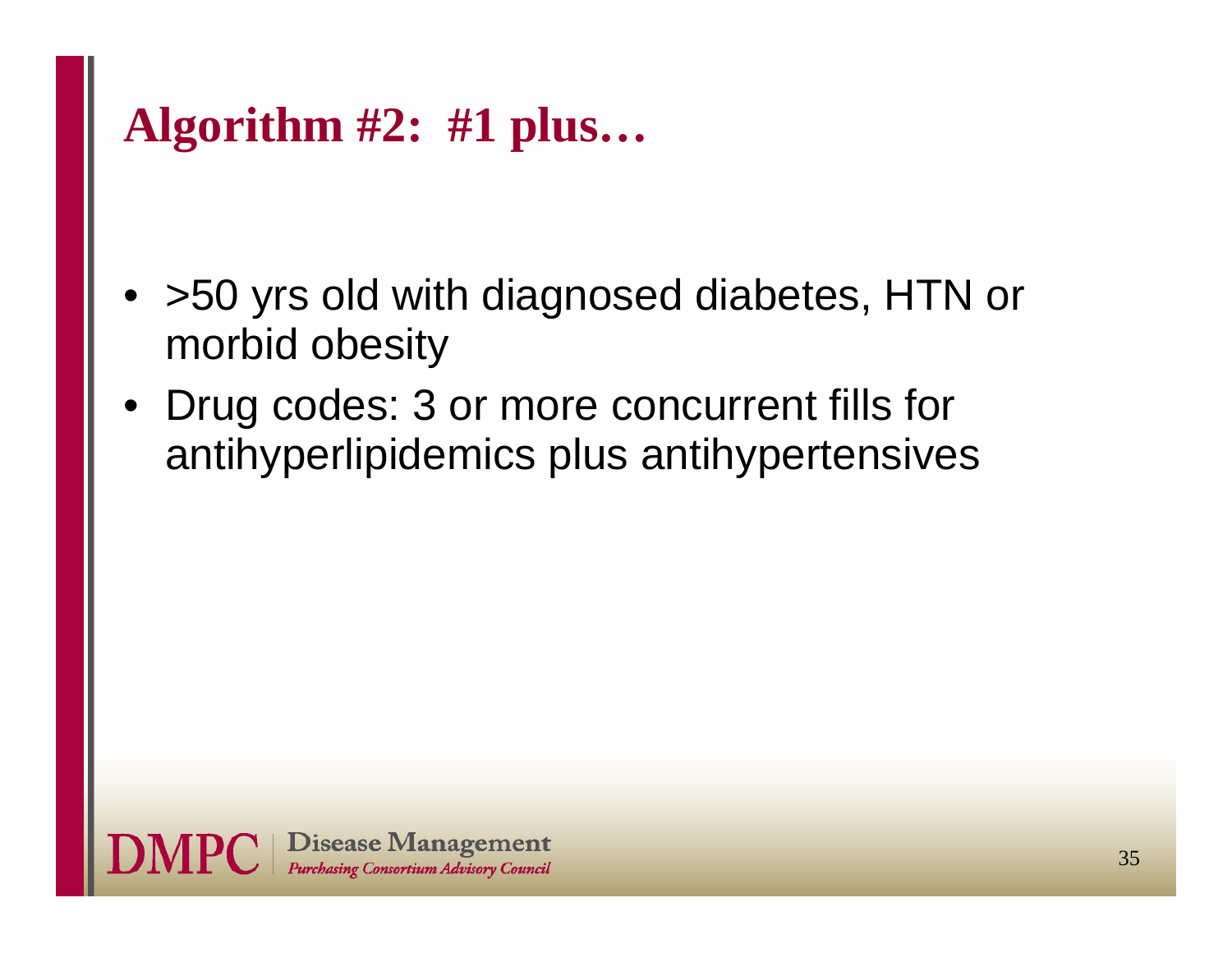# **Algorithm #2: #1 plus…**

- >50 yrs old with diagnosed diabetes, HTN or morbid obesity
- • Drug codes: 3 or more concurrent fills for antihyperlipidemics plus antihypertensives

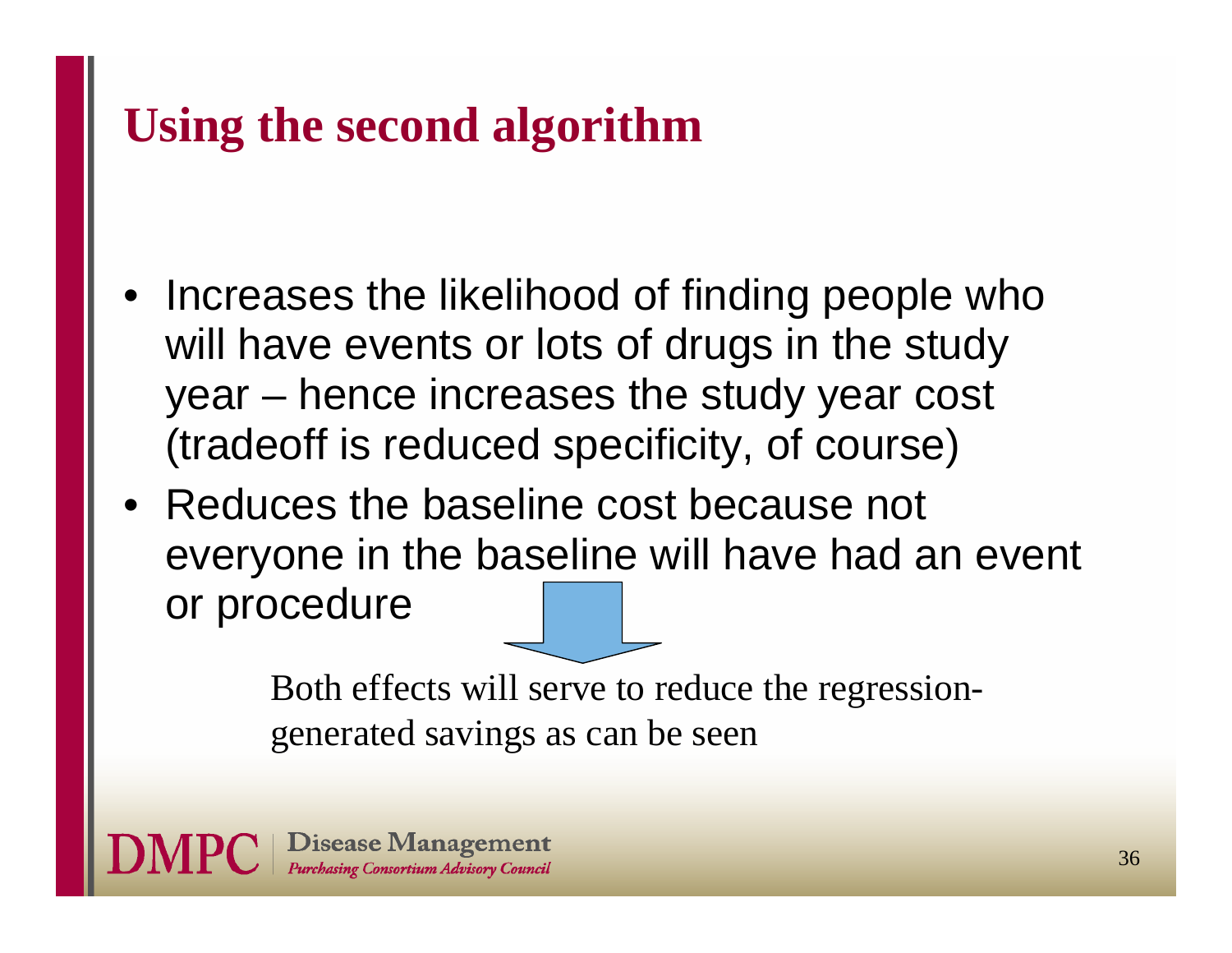# **Using the second algorithm**

- Increases the likelihood of finding people who will have events or lots of drugs in the study year – hence increases the study year cost (tradeoff is reduced specificity, of course)
- Reduces the baseline cost because not everyone in the baseline will have had an event or procedure

Both effects will serve to reduce the regressiongenerated savings as can be seen

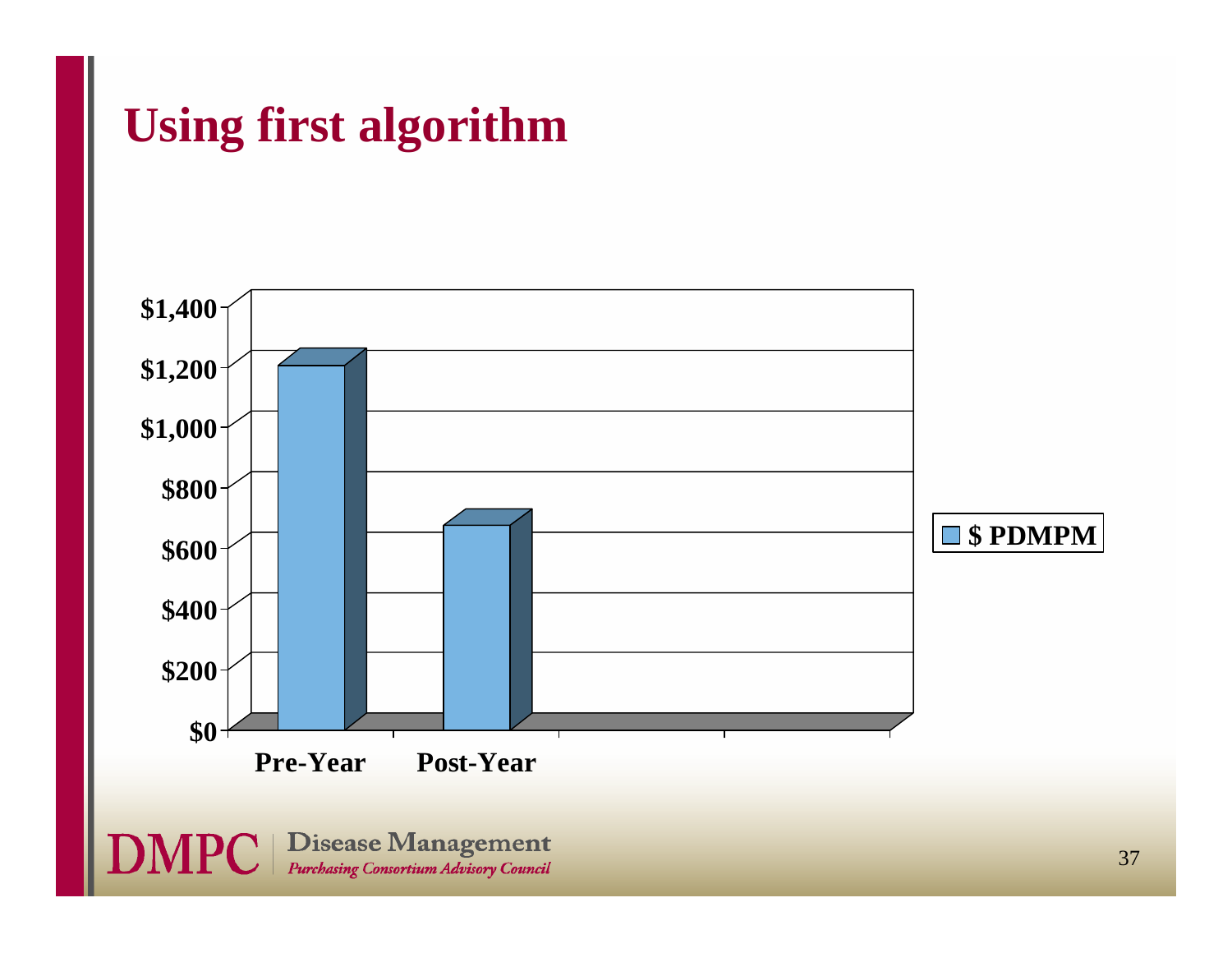### **Using first algorithm**

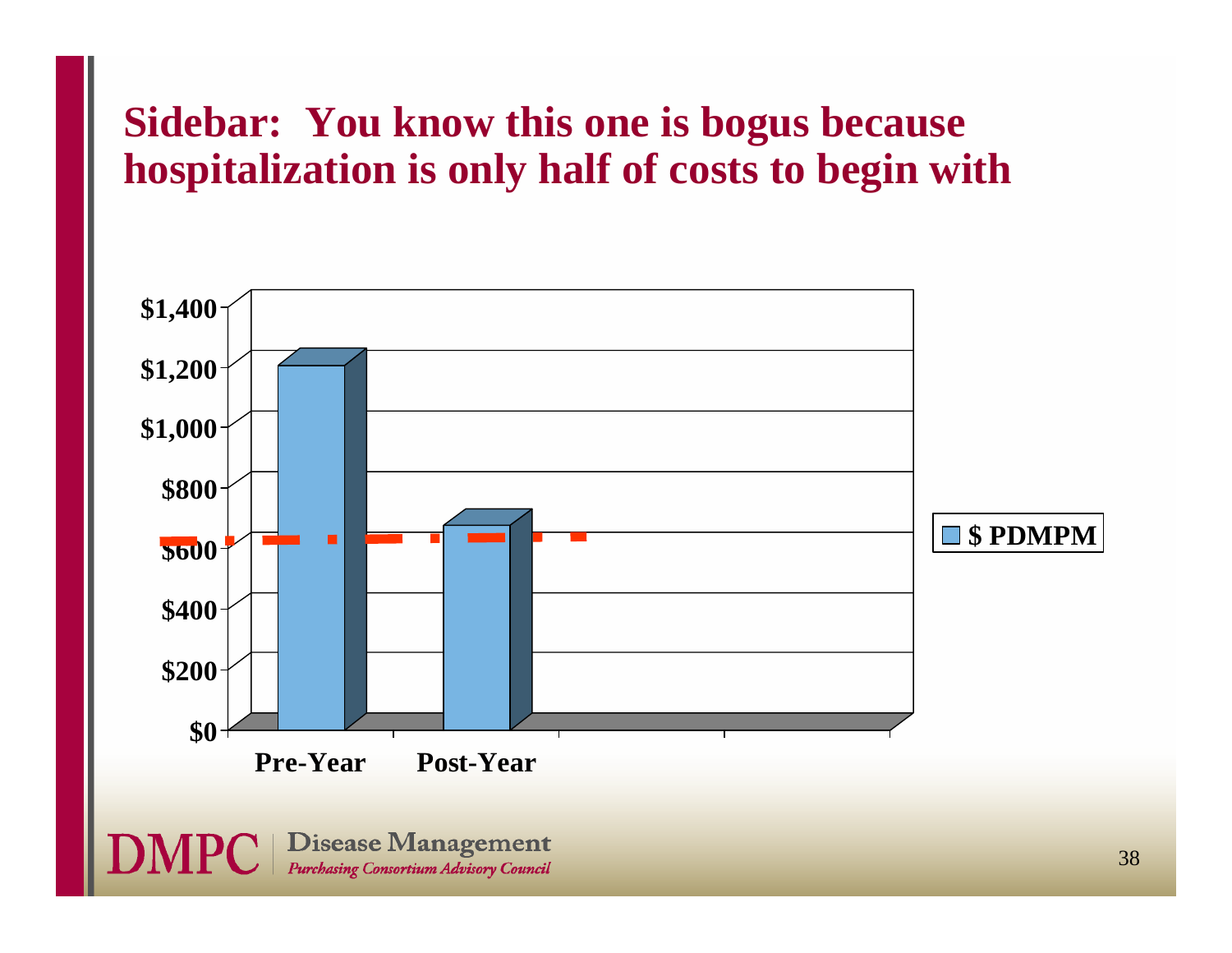### **Sidebar: You know this one is bogus because hospitalization is only half of costs to begin with**

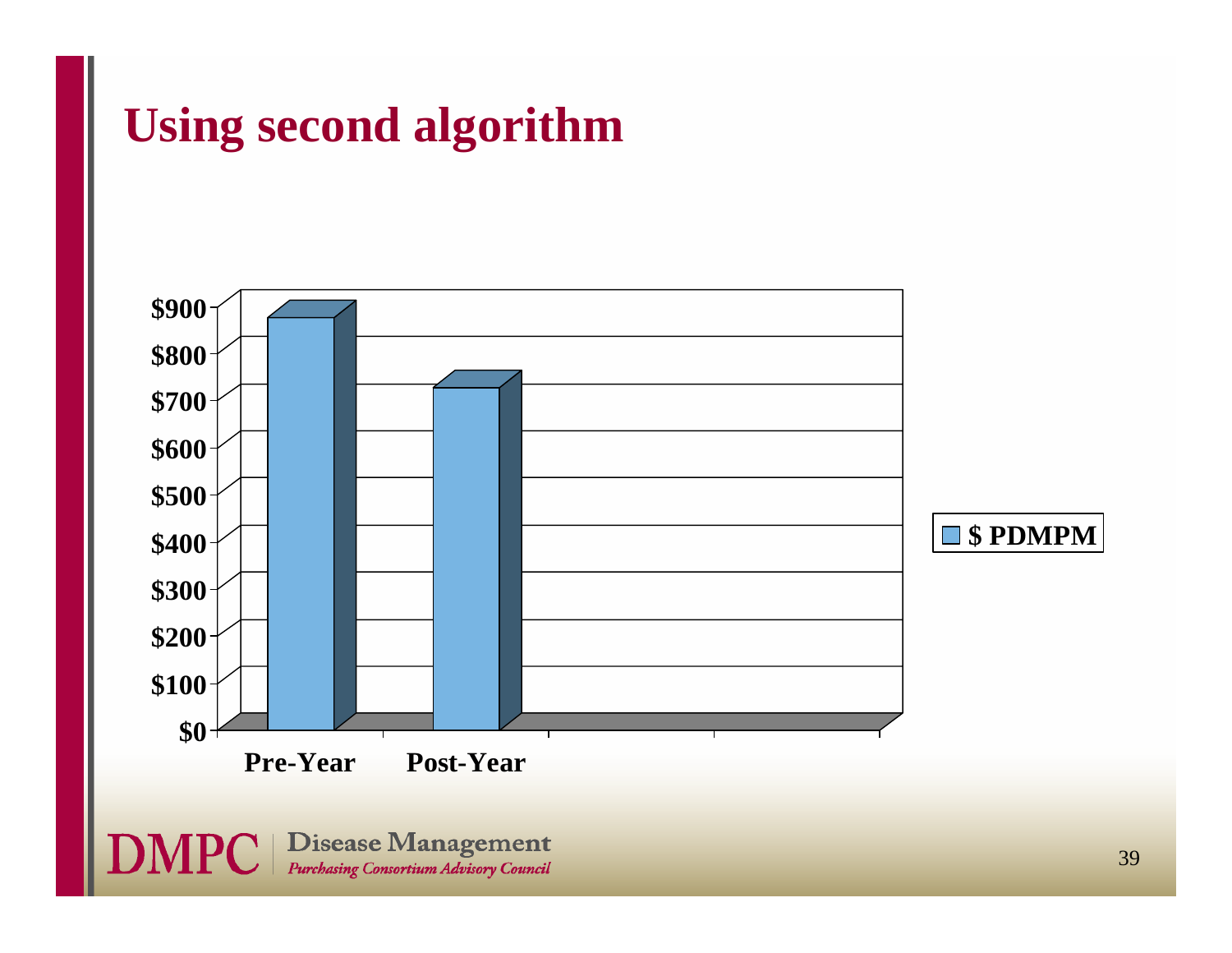# **Using second algorithm**

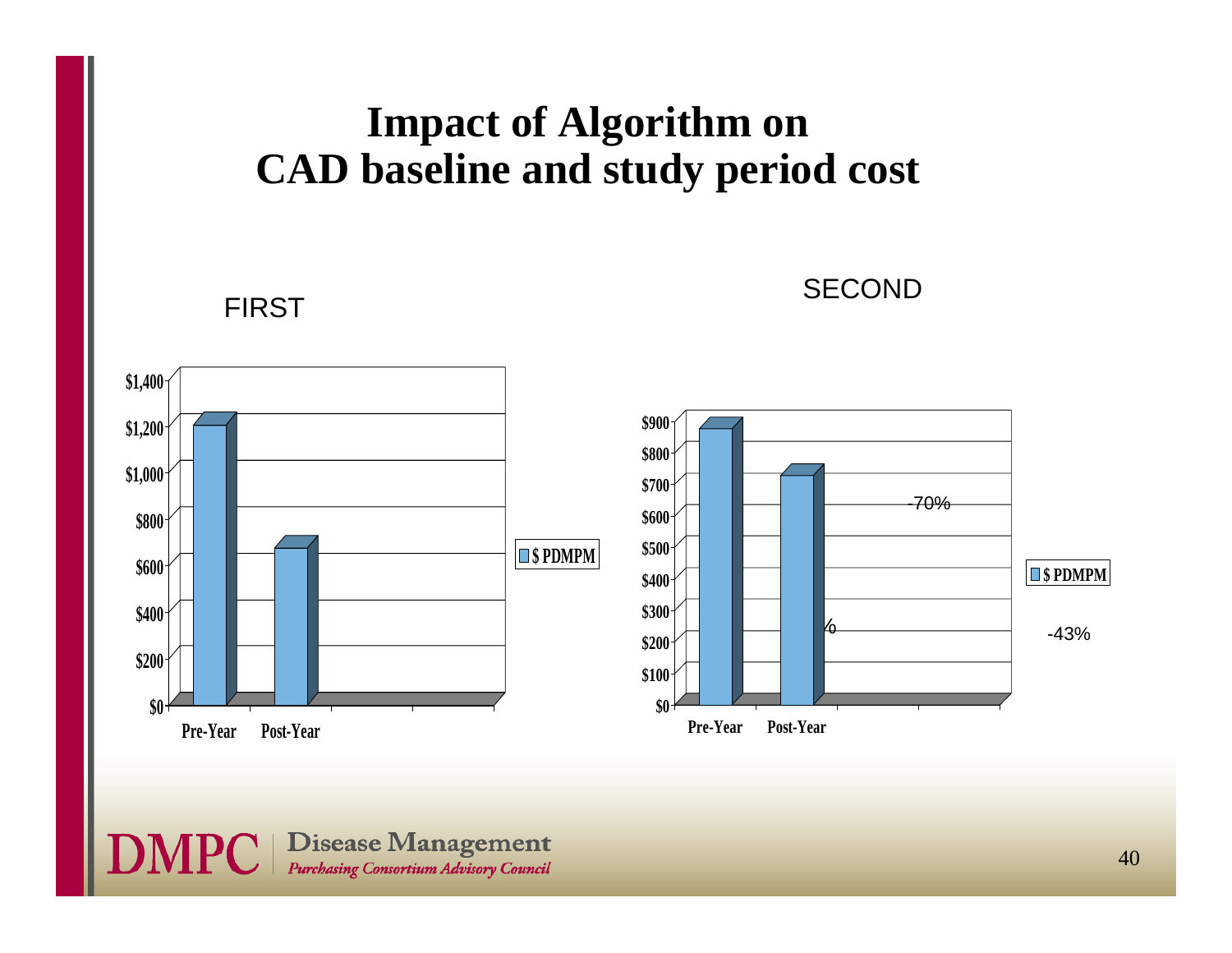#### **Impact of Algorithm on CAD baseline and study period cost**

FIRST

SECOND



**DMPC** | Disease Management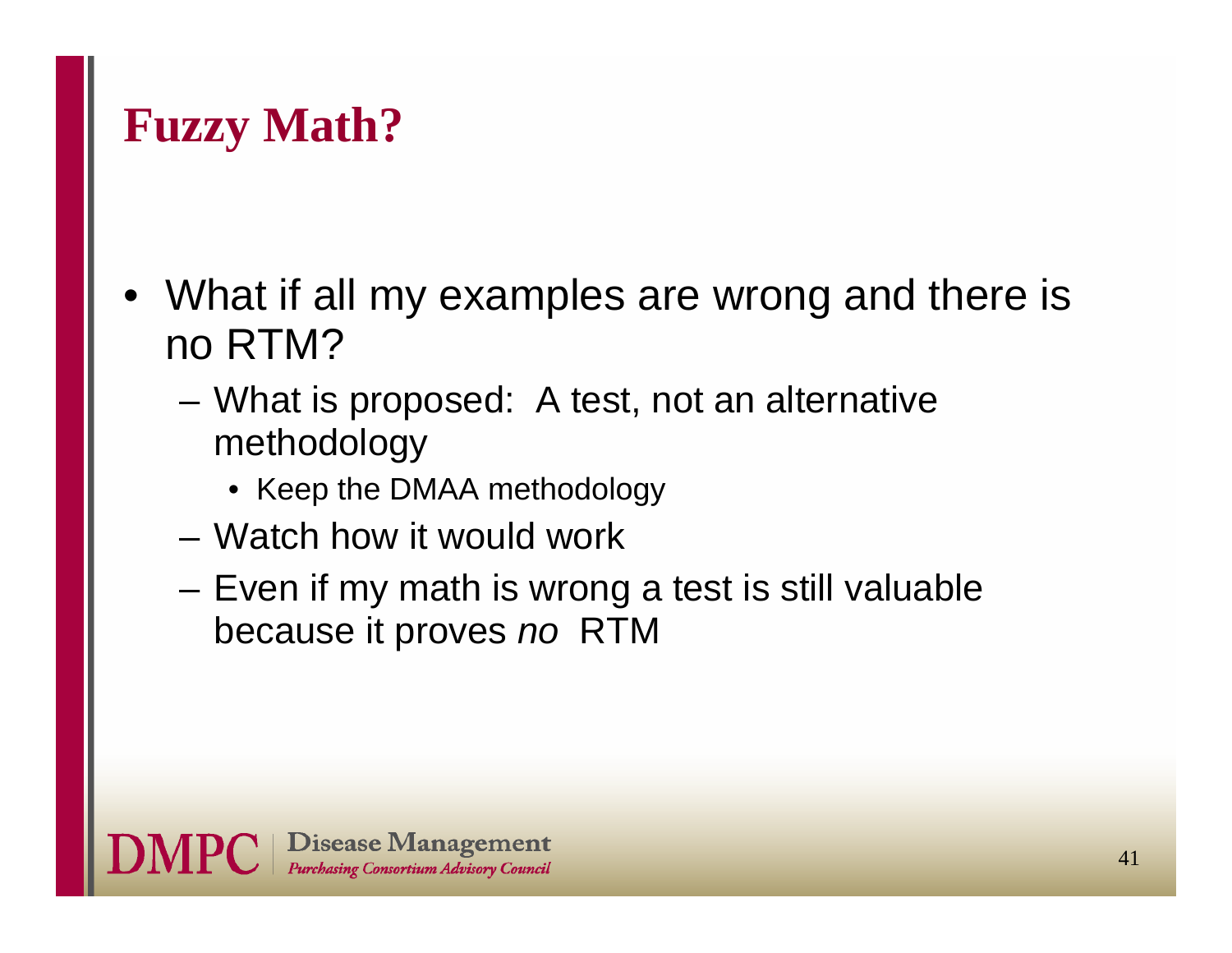### **Fuzzy Math?**

- • What if all my examples are wrong and there is no RTM?
	- What is proposed: A test, not an alternative methodology
		- Keep the DMAA methodology
	- Watch how it would work
	- Even if my math is wrong a test is still valuable because it proves *no* RTM

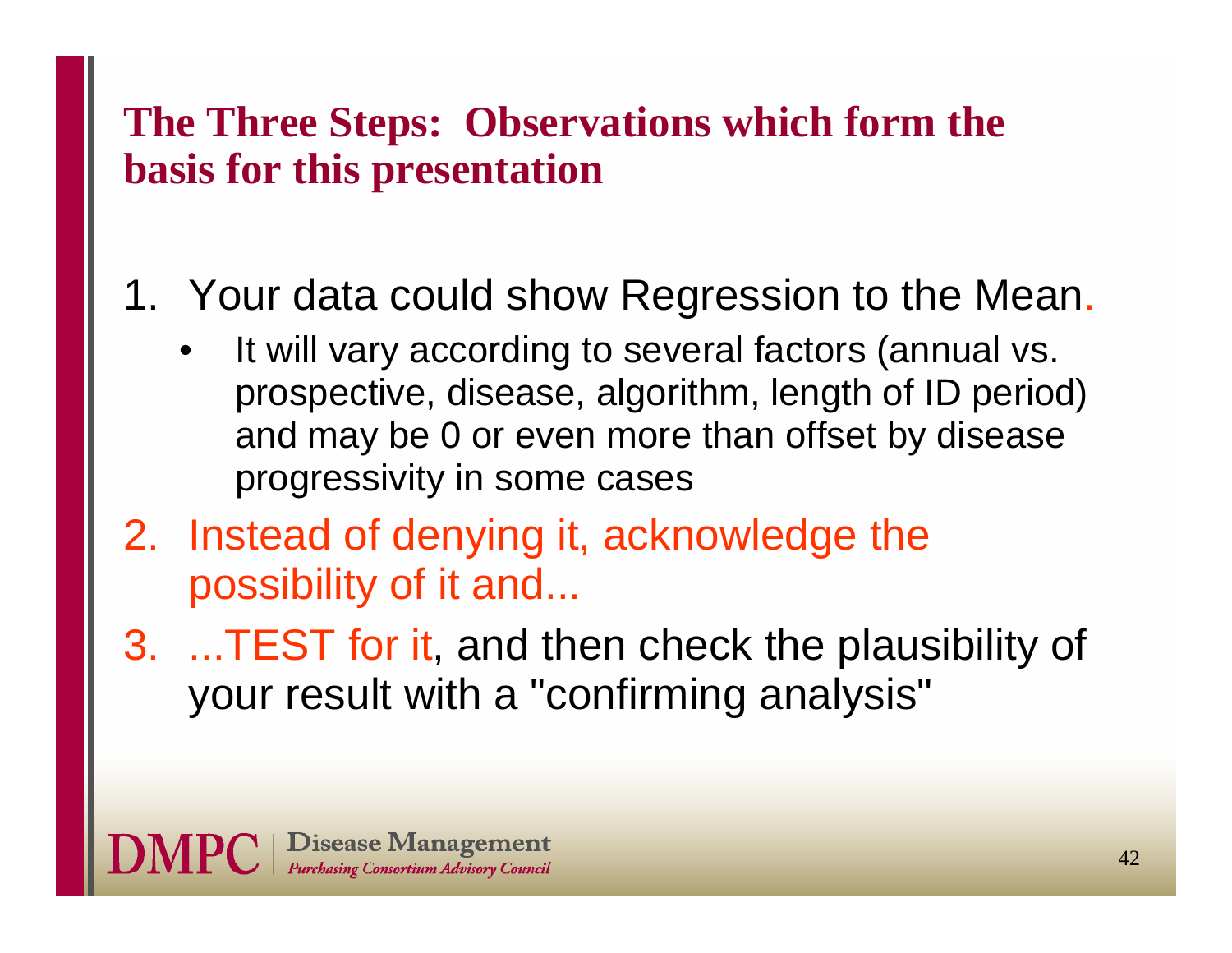### **The Three Steps: Observations which form the basis for this presentation**

### 1. Your data could show Regression to the Mean.

- • It will vary according to several factors (annual vs. prospective, disease, algorithm, length of ID period) and may be 0 or even more than offset by disease progressivity in some cases
- 2. Instead of denying it, acknowledge the possibility of it and...
- 3. ...TEST for it, and then check the plausibility of your result with a "confirming analysis"

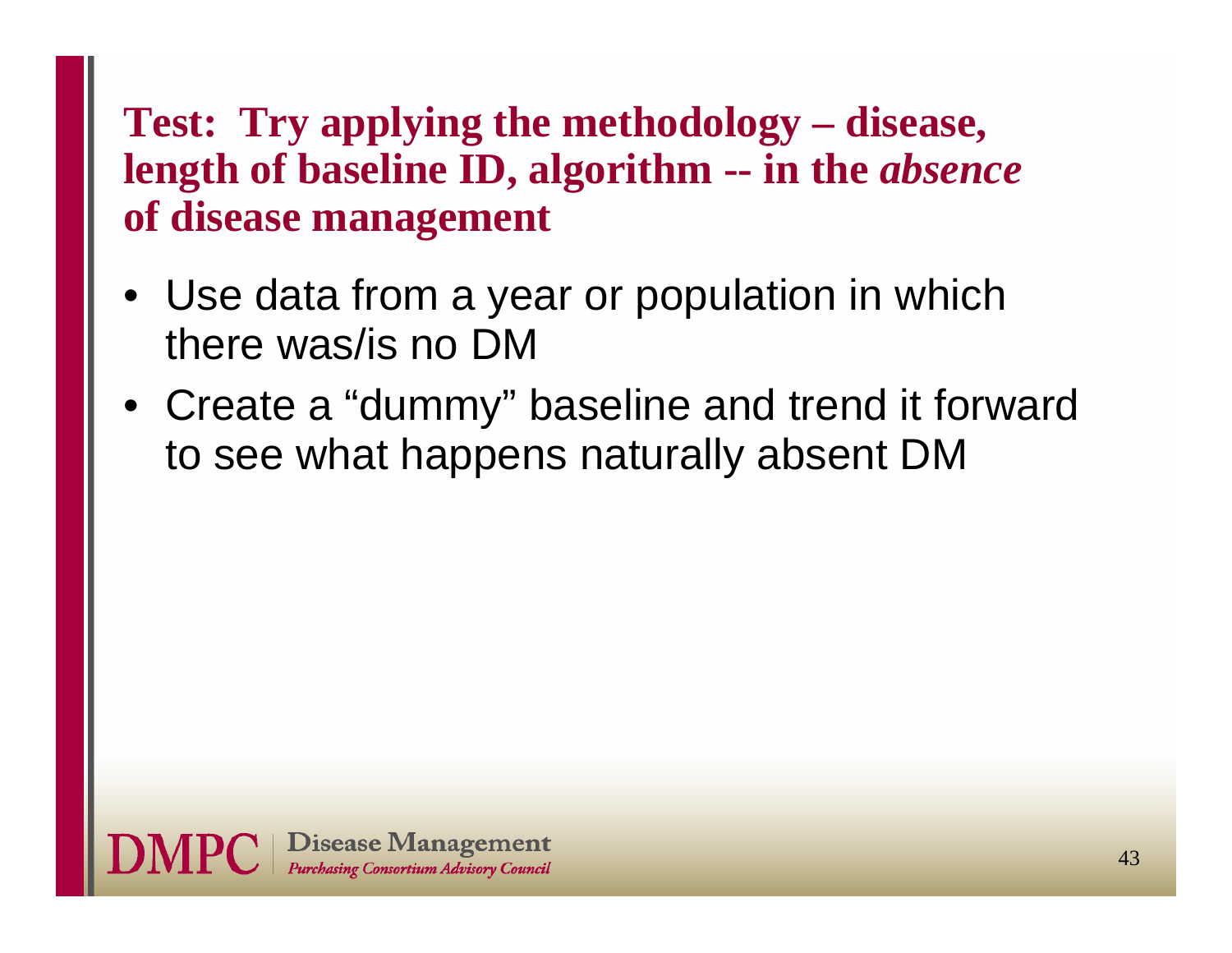### **Test: Try applying the methodology – disease, length of baseline ID, algorithm -- in the** *absence* **of disease management**

- Use data from a year or population in which there was/is no DM
- Create a "dummy" baseline and trend it forward to see what happens naturally absent DM

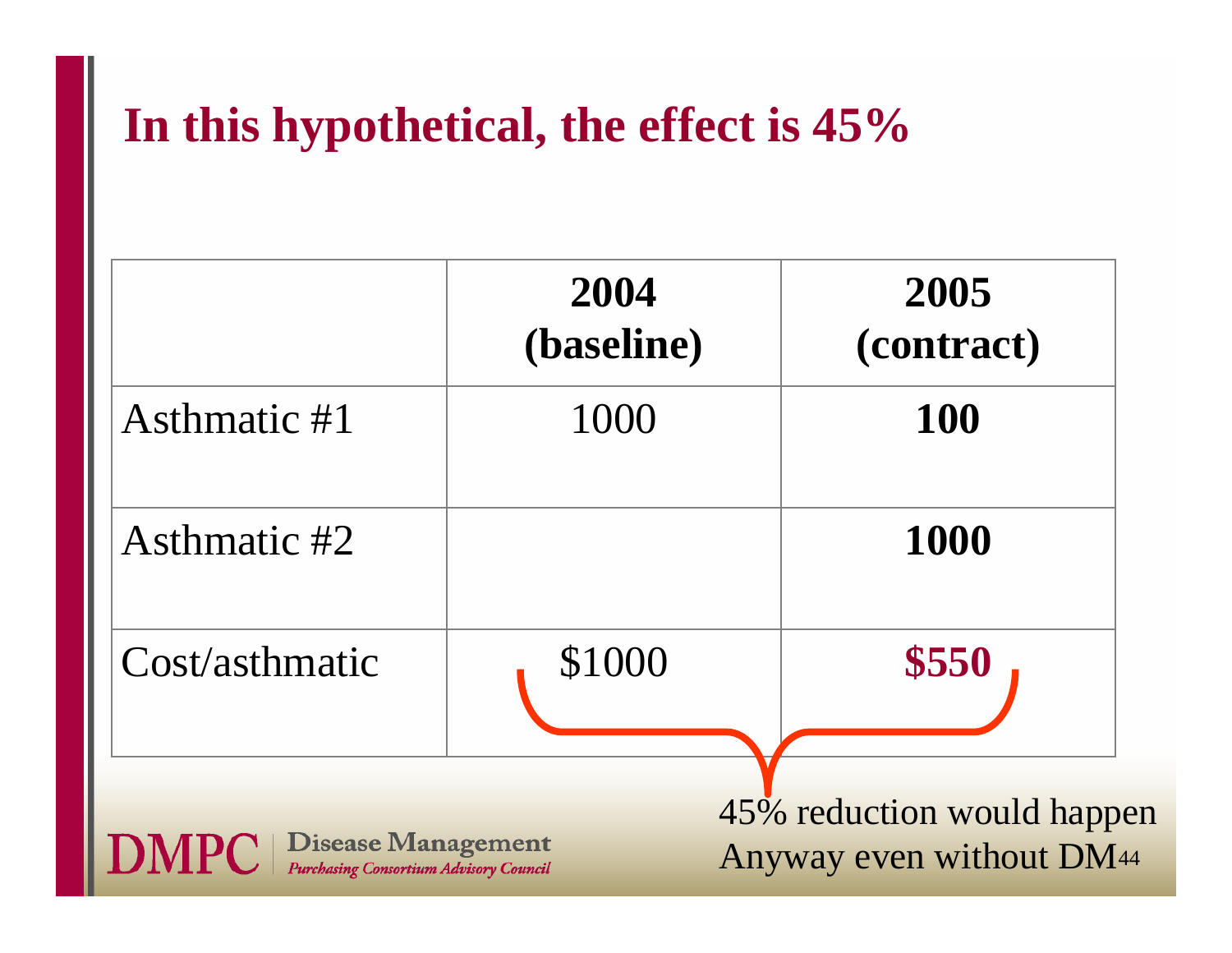# **In this hypothetical, the effect is 45%**

|                                                                                           | 2004<br>(baseline) | 2005<br>(contract)                                     |
|-------------------------------------------------------------------------------------------|--------------------|--------------------------------------------------------|
| Asthmatic #1                                                                              | 1000               | <b>100</b>                                             |
| Asthmatic #2                                                                              |                    | 1000                                                   |
| Cost/asthmatic                                                                            | \$1000             | \$550                                                  |
| <b>Disease Management</b><br><b>DMPC</b><br><b>Purchasing Consortium Advisory Council</b> |                    | 45% reduction would happen<br>Anyway even without DM44 |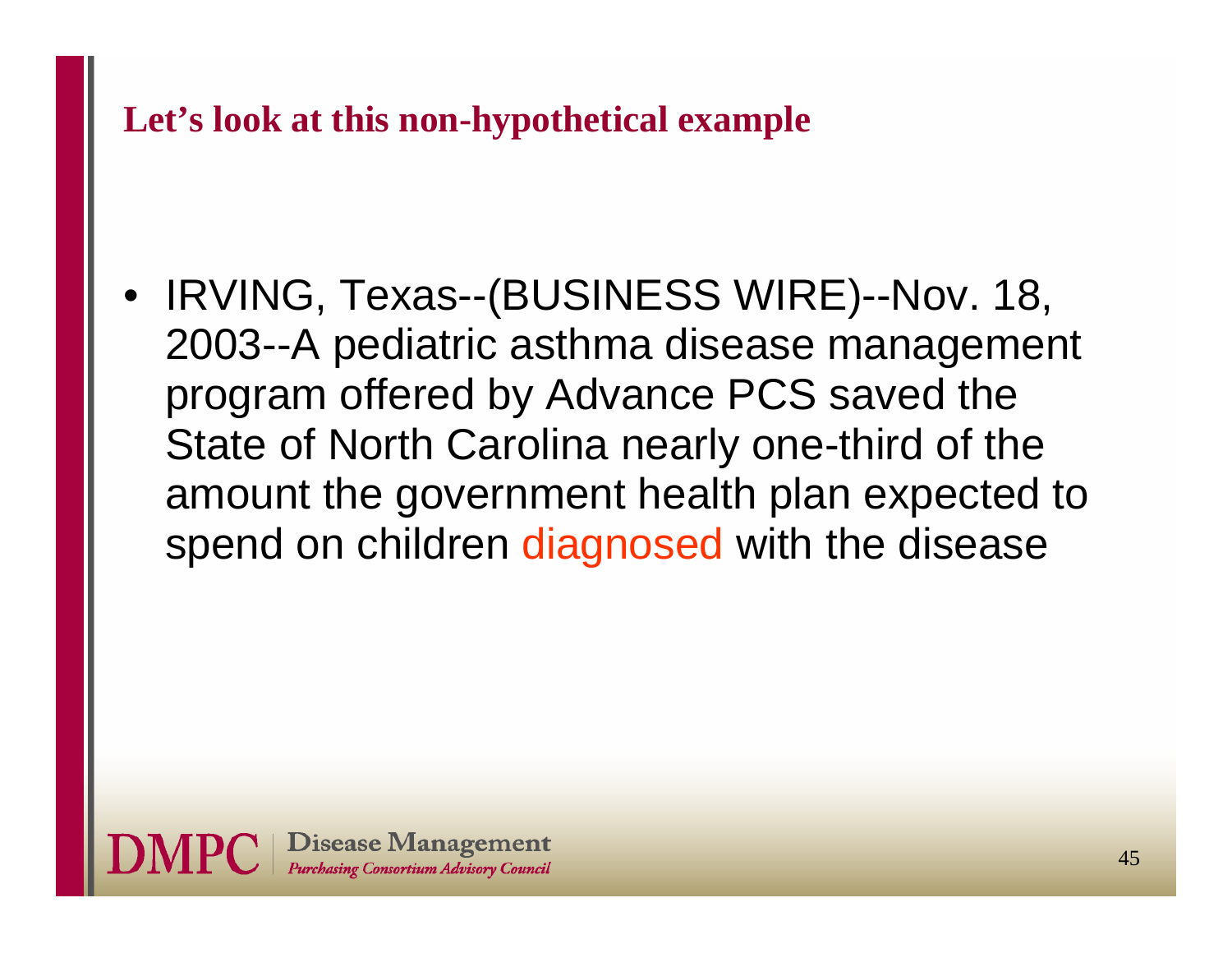**Let's look at this non-hypothetical example**

• IRVING, Texas--(BUSINESS WIRE)--Nov. 18, 2003--A pediatric asthma disease management program offered by Advance PCS saved the State of North Carolina nearly one-third of the amount the government health plan expected to spend on children diagnosed with the disease

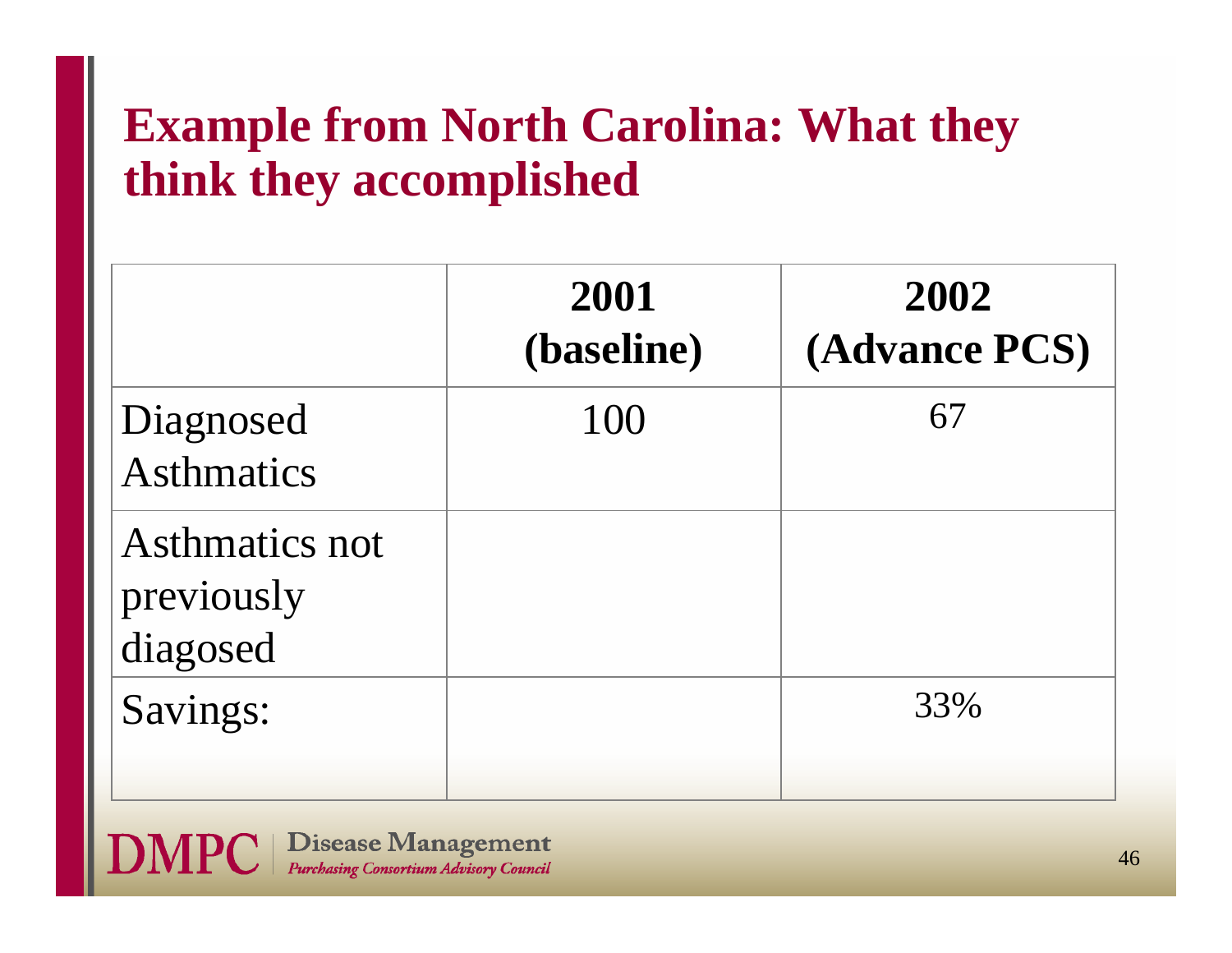# **Example from North Carolina: What they think they accomplished**

|                                          | 2001<br>(baseline) | 2002<br>(Advance PCS) |
|------------------------------------------|--------------------|-----------------------|
| Diagnosed<br><b>Asthmatics</b>           | 100                | 67                    |
| Asthmatics not<br>previously<br>diagosed |                    |                       |
| Savings:                                 |                    | 33%                   |

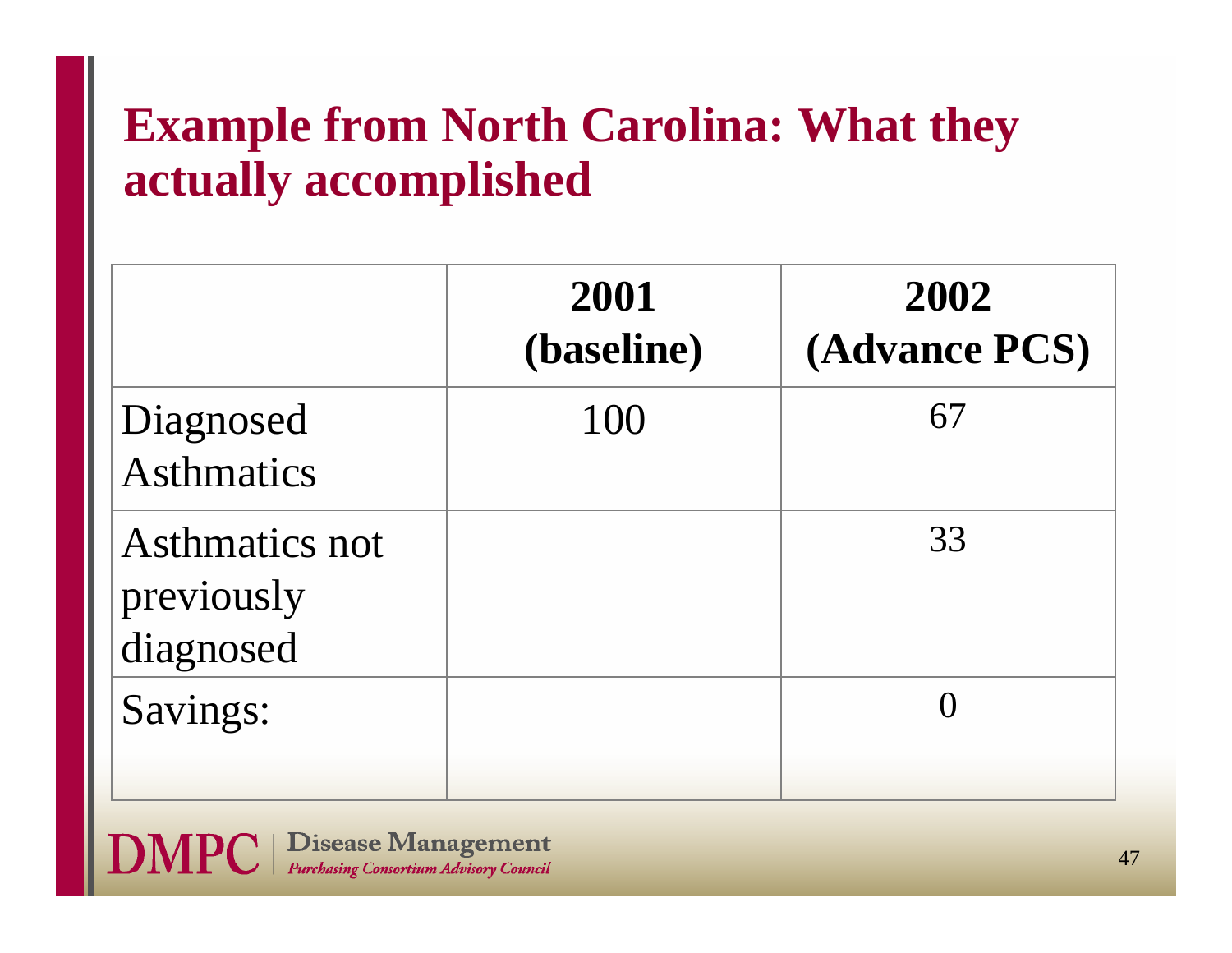# **Example from North Carolina: What they actually accomplished**

|                                                  | 2001<br>(baseline) | 2002<br>(Advance PCS) |
|--------------------------------------------------|--------------------|-----------------------|
| Diagnosed<br><b>Asthmatics</b>                   | 100                | 67                    |
| <b>Asthmatics not</b><br>previously<br>diagnosed |                    | 33                    |
| Savings:                                         |                    |                       |

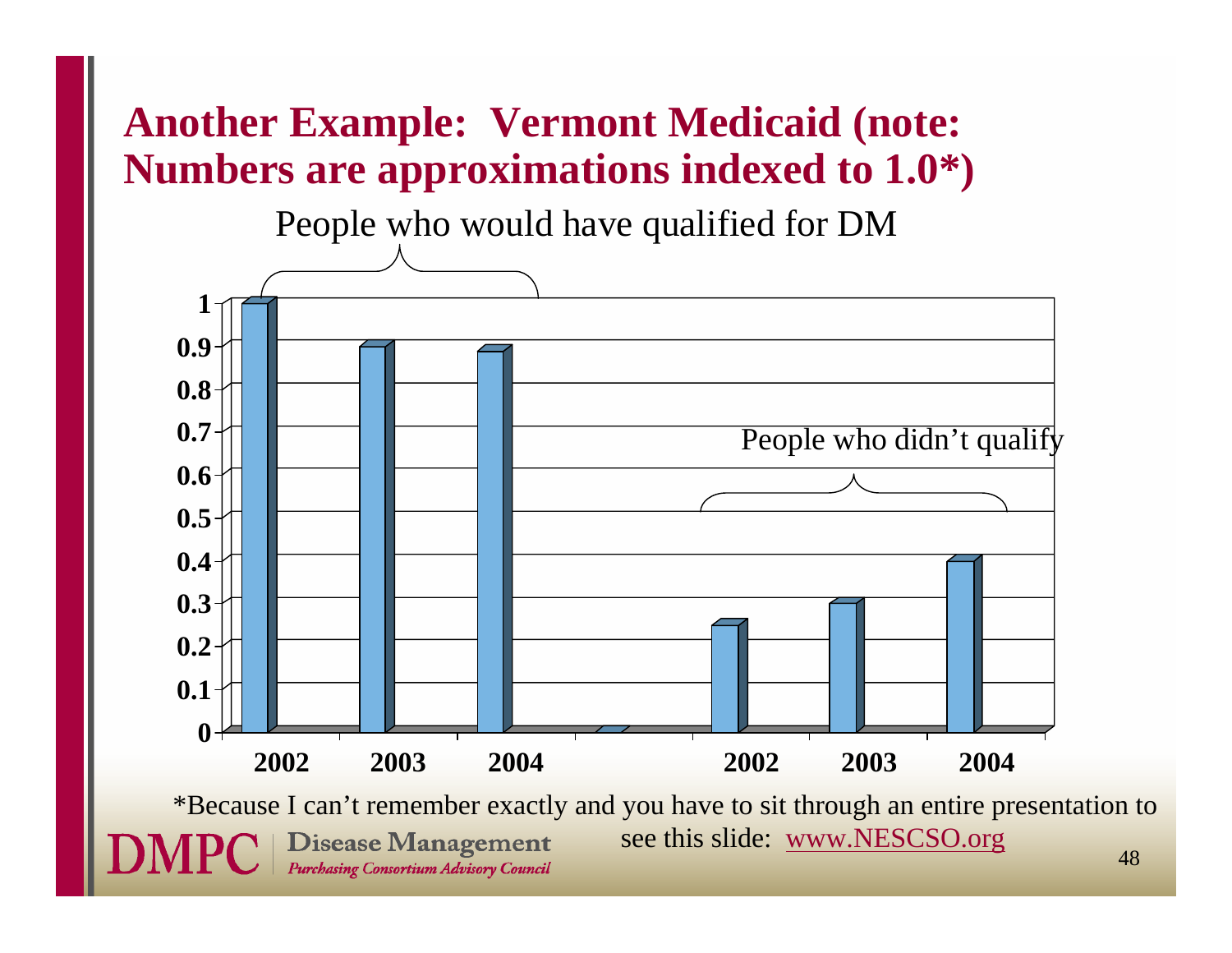### **Another Example: Vermont Medicaid (note: Numbers are approximations indexed to 1.0\*)**

People who would have qualified for DM



\*Because I can't remember exactly and you have to sit through an entire presentation to see this slide: www.NESCSO.org**Disease Management** 48Purchasing Consortium Advisory Council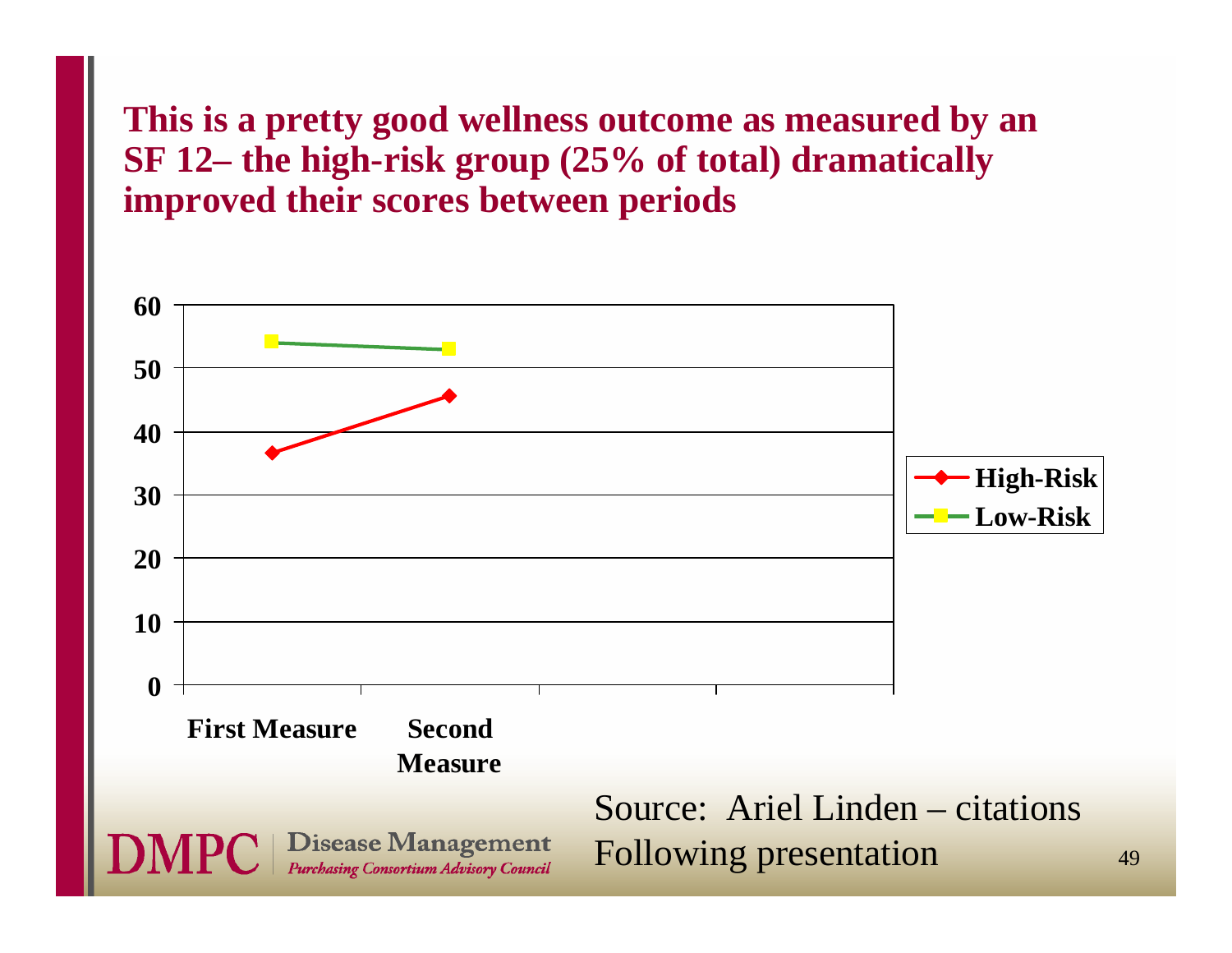#### **This is a pretty good wellness outcome as measured by an SF 12– the high-risk group (25% of total) dramatically improved their scores between periods**

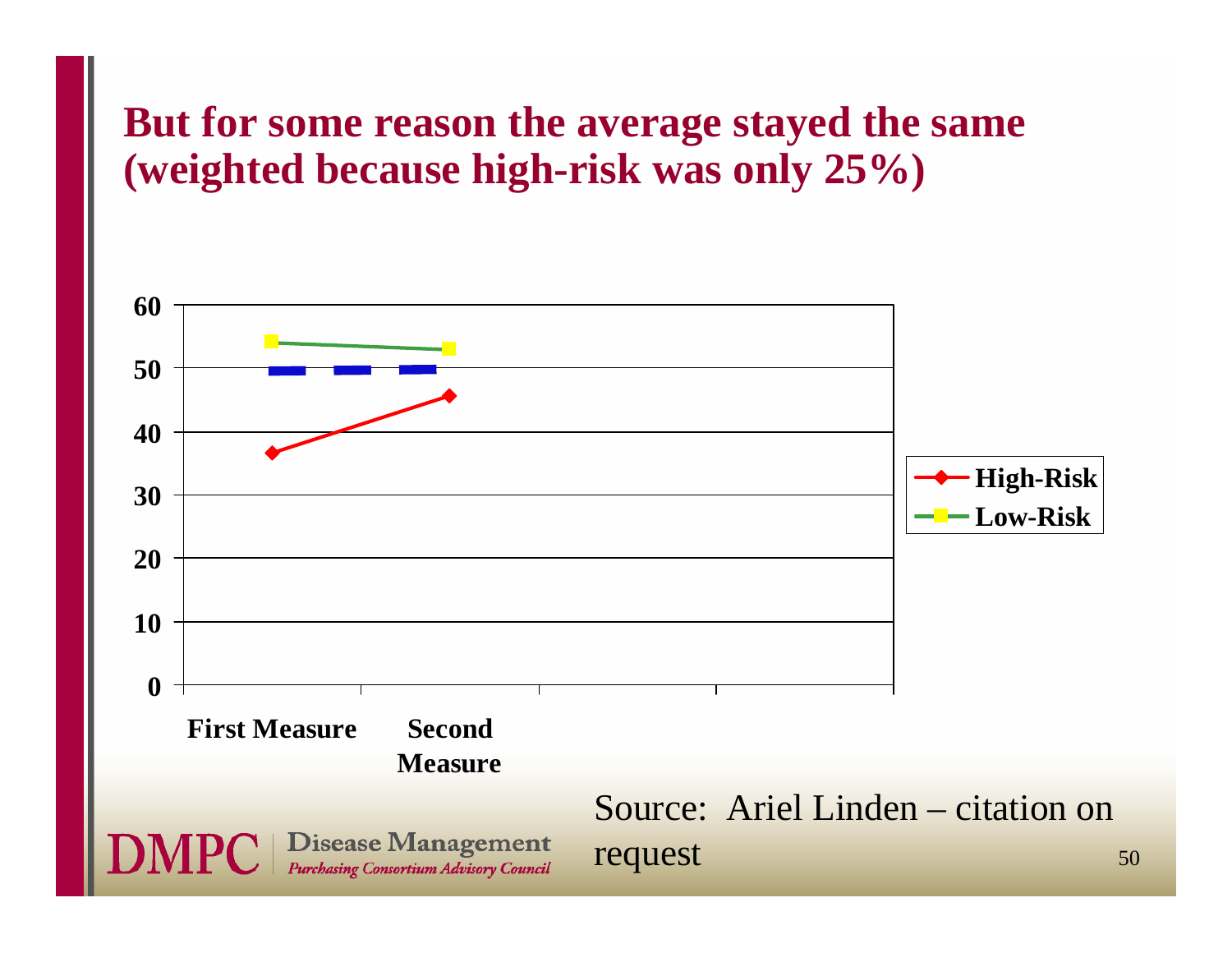#### **But for some reason the average stayed the same (weighted because high-risk was only 25%)**

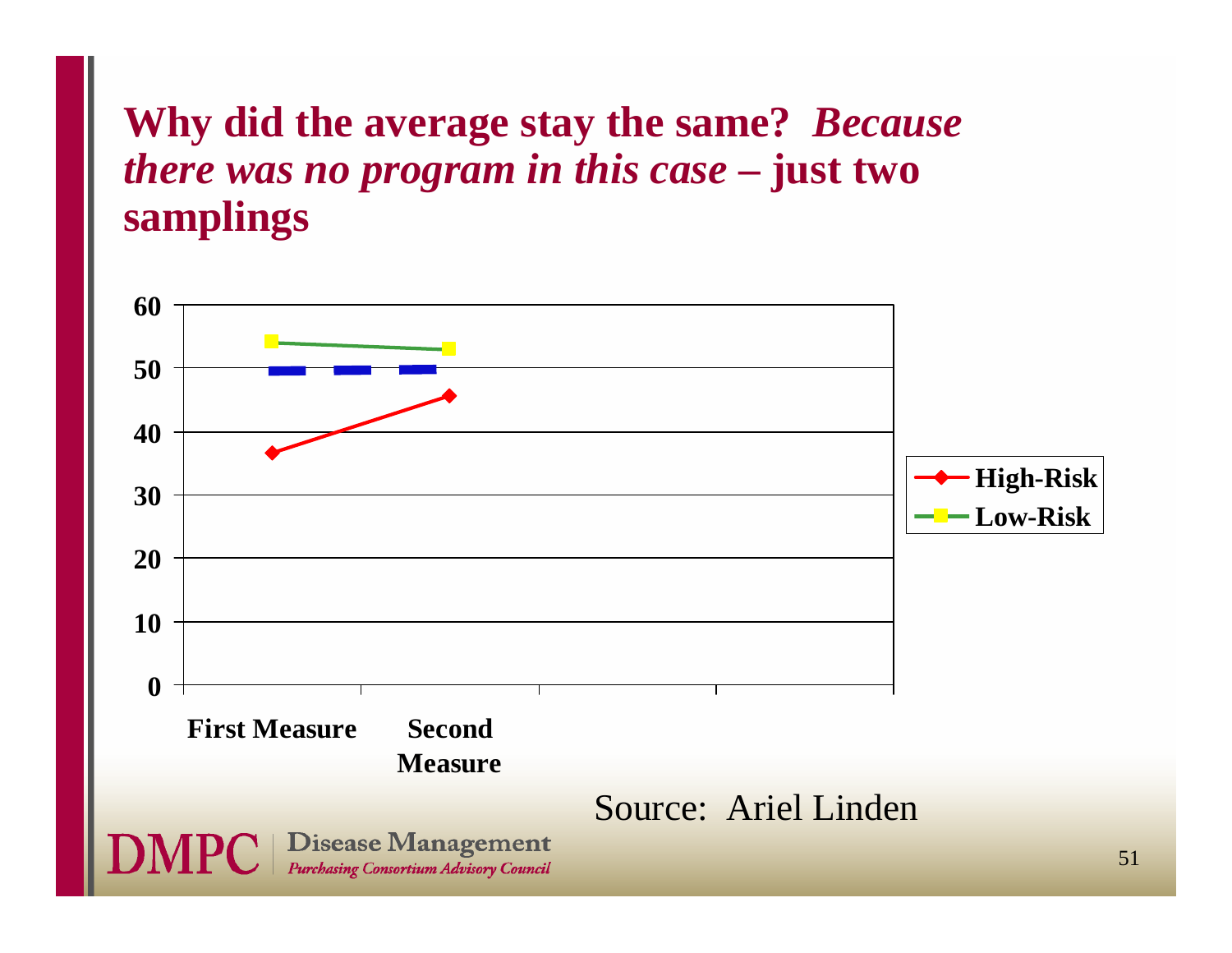### **Why did the average stay the same?** *Because there was no program in this case* **– just two samplings**

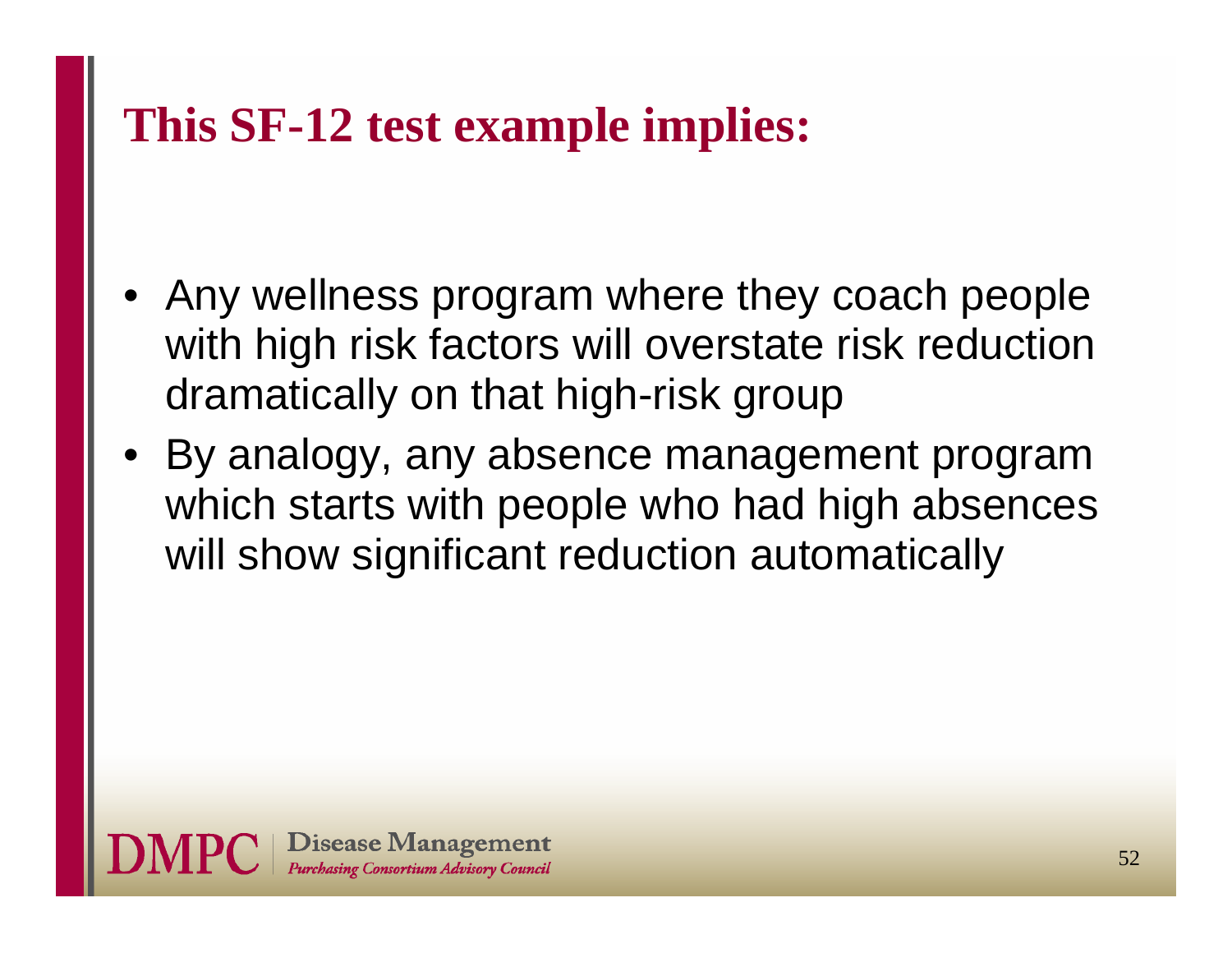### **This SF-12 test example implies:**

- Any wellness program where they coach people with high risk factors will overstate risk reduction dramatically on that high-risk group
- • By analogy, any absence management program which starts with people who had high absences will show significant reduction automatically

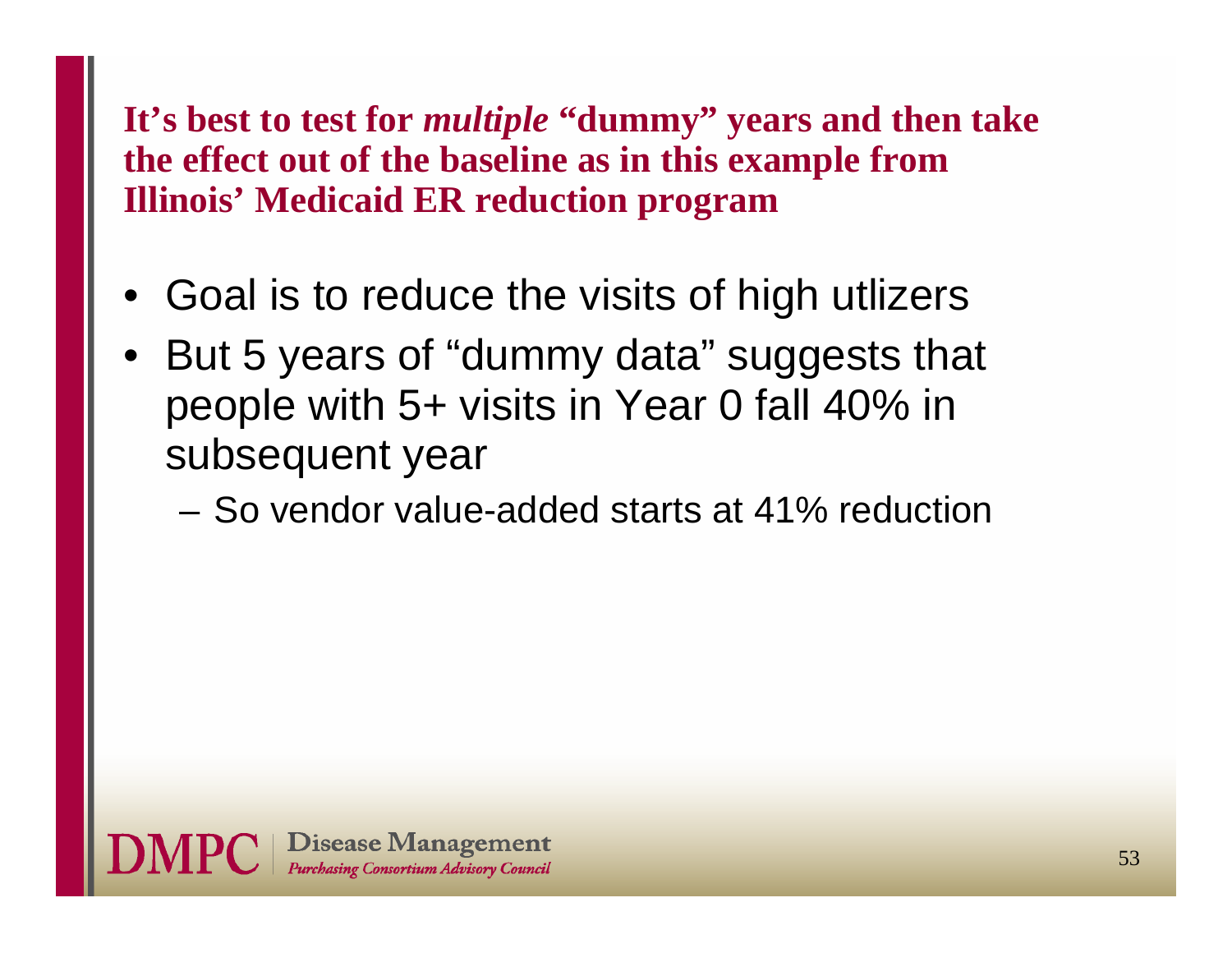#### **It's best to test for** *multiple* **"dummy" years and then take the effect out of the baseline as in this example from Illinois' Medicaid ER reduction program**

- •Goal is to reduce the visits of high utlizers
- • But 5 years of "dummy data" suggests that people with 5+ visits in Year 0 fall 40% in subsequent year
	- So vendor value-added starts at 41% reduction

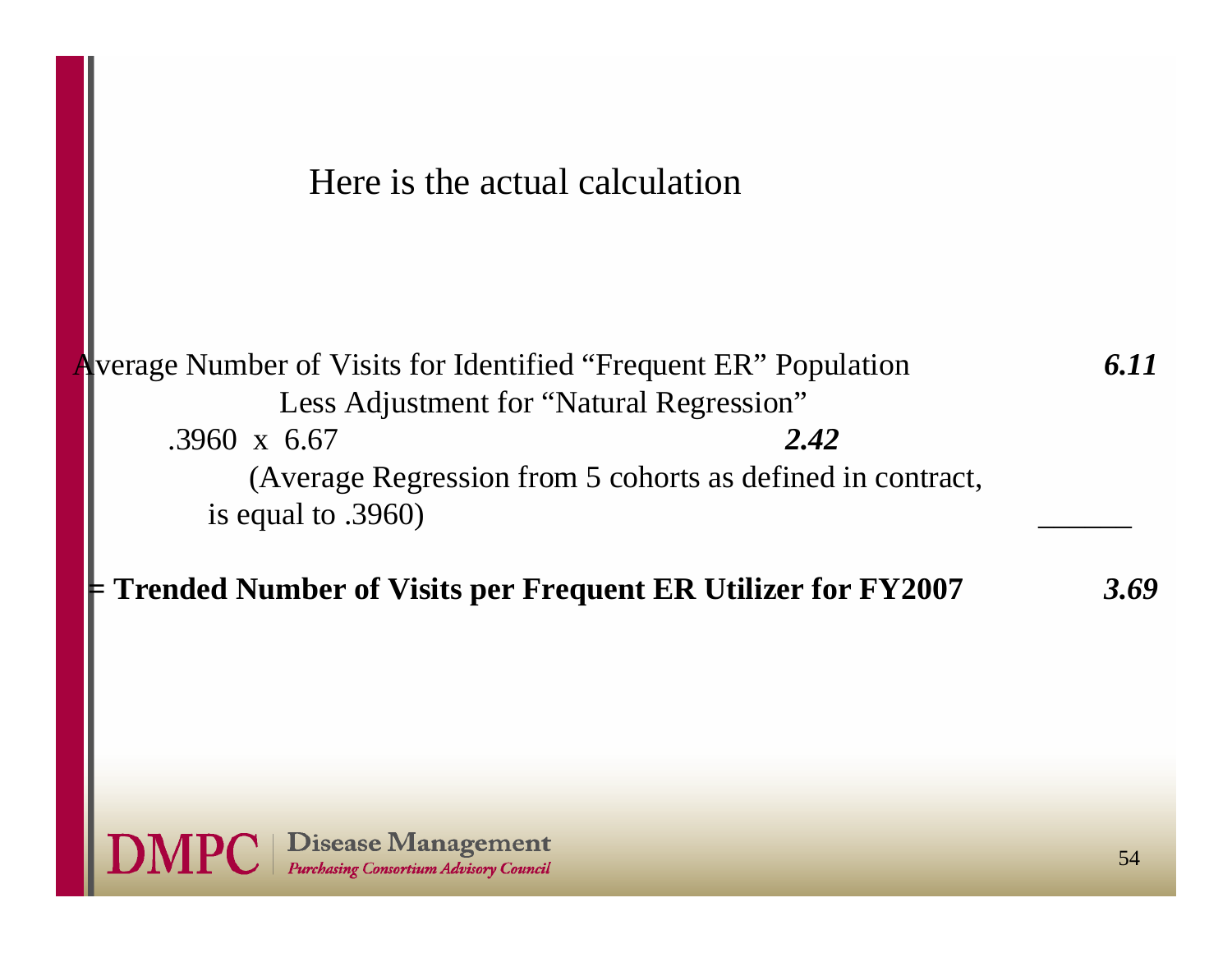Here is the actual calculation

| Average Number of Visits for Identified "Frequent ER" Population                   | 6.11 |
|------------------------------------------------------------------------------------|------|
| Less Adjustment for "Natural Regression"                                           |      |
| 2.42<br>$.3960 \times 6.67$                                                        |      |
| (Average Regression from 5 cohorts as defined in contract,                         |      |
| is equal to $.3960$ )                                                              |      |
| $\blacktriangleright$ Trended Number of Visits per Frequent ER Utilizer for FY2007 | 3.69 |

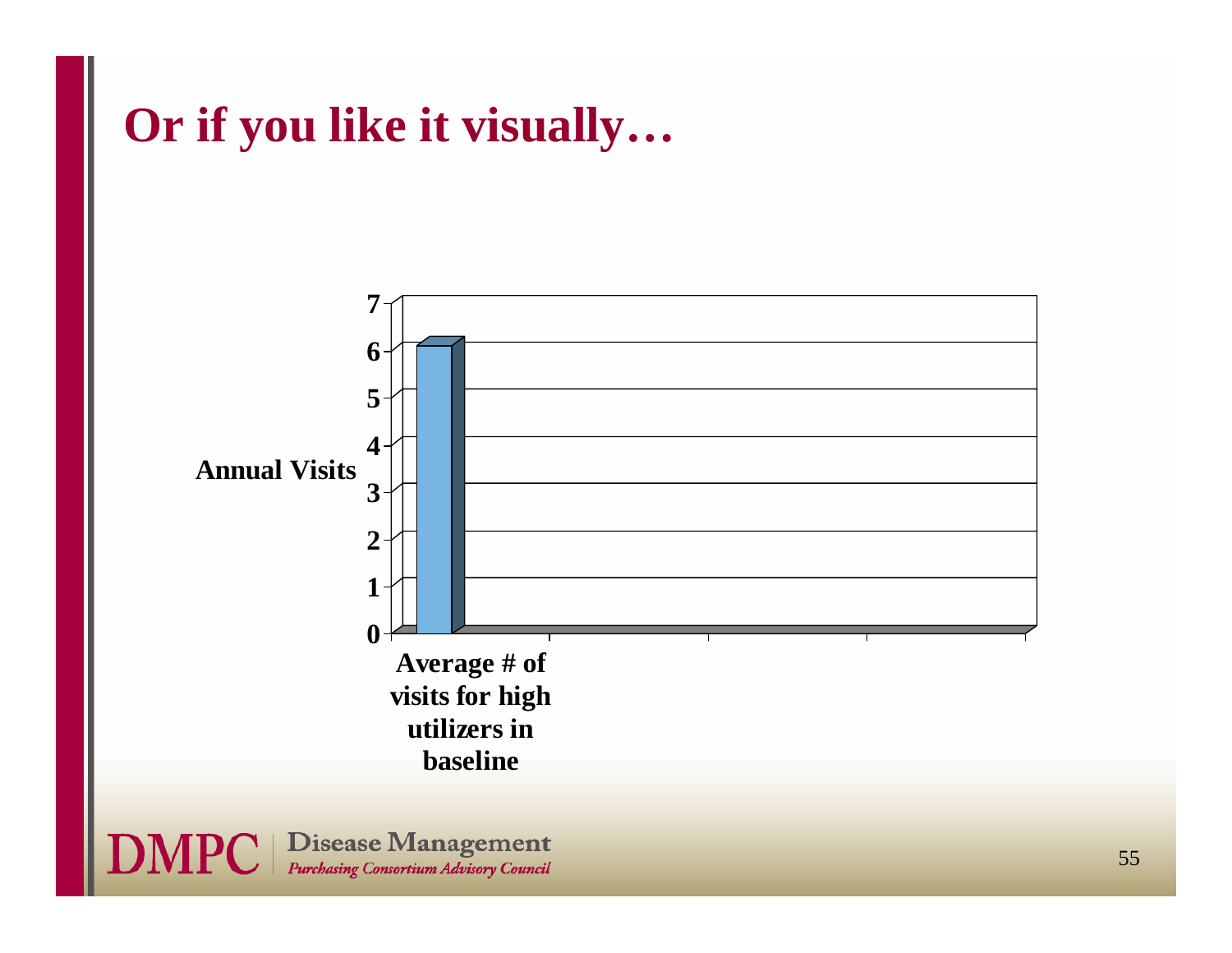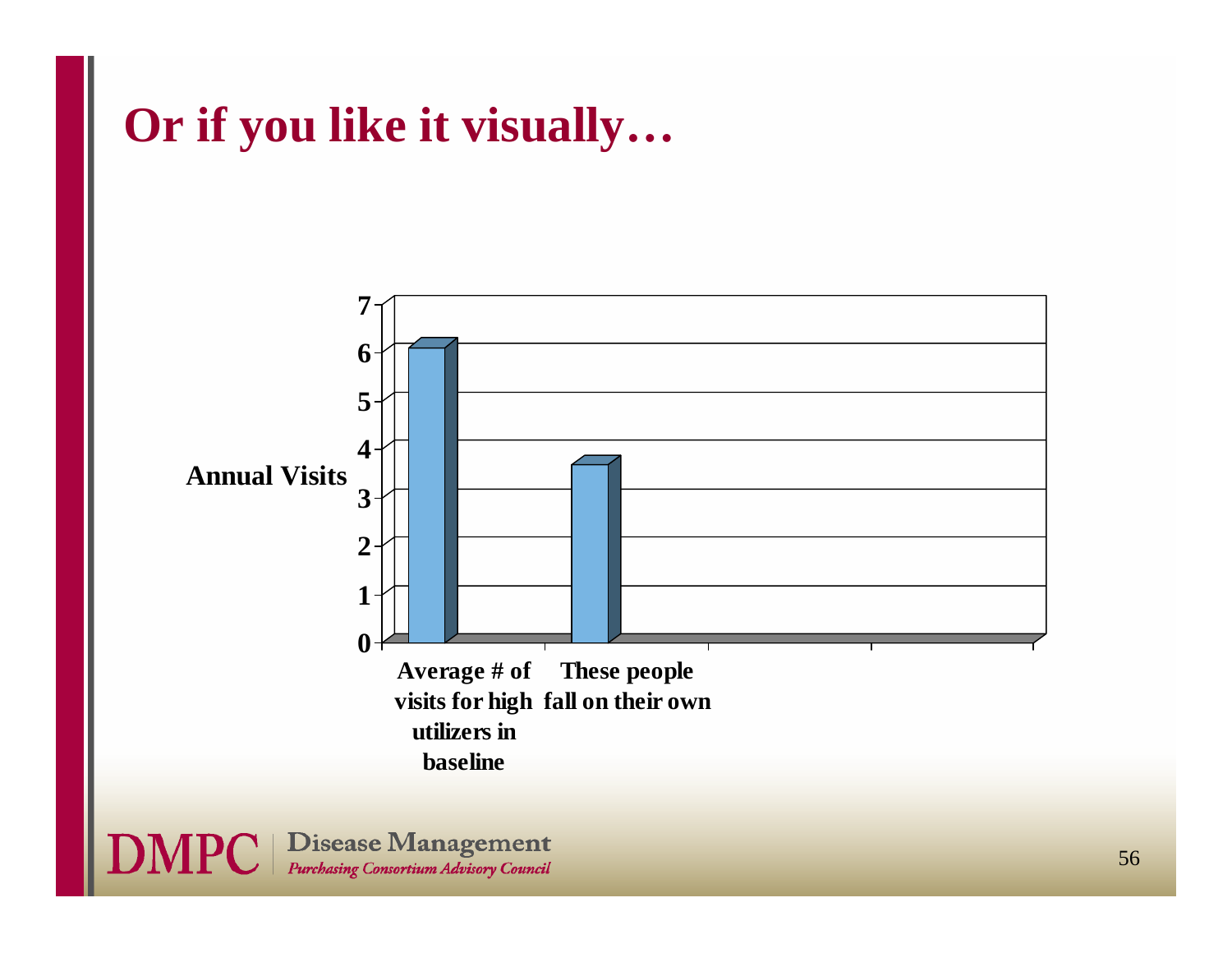

**DMPC** | Disease Management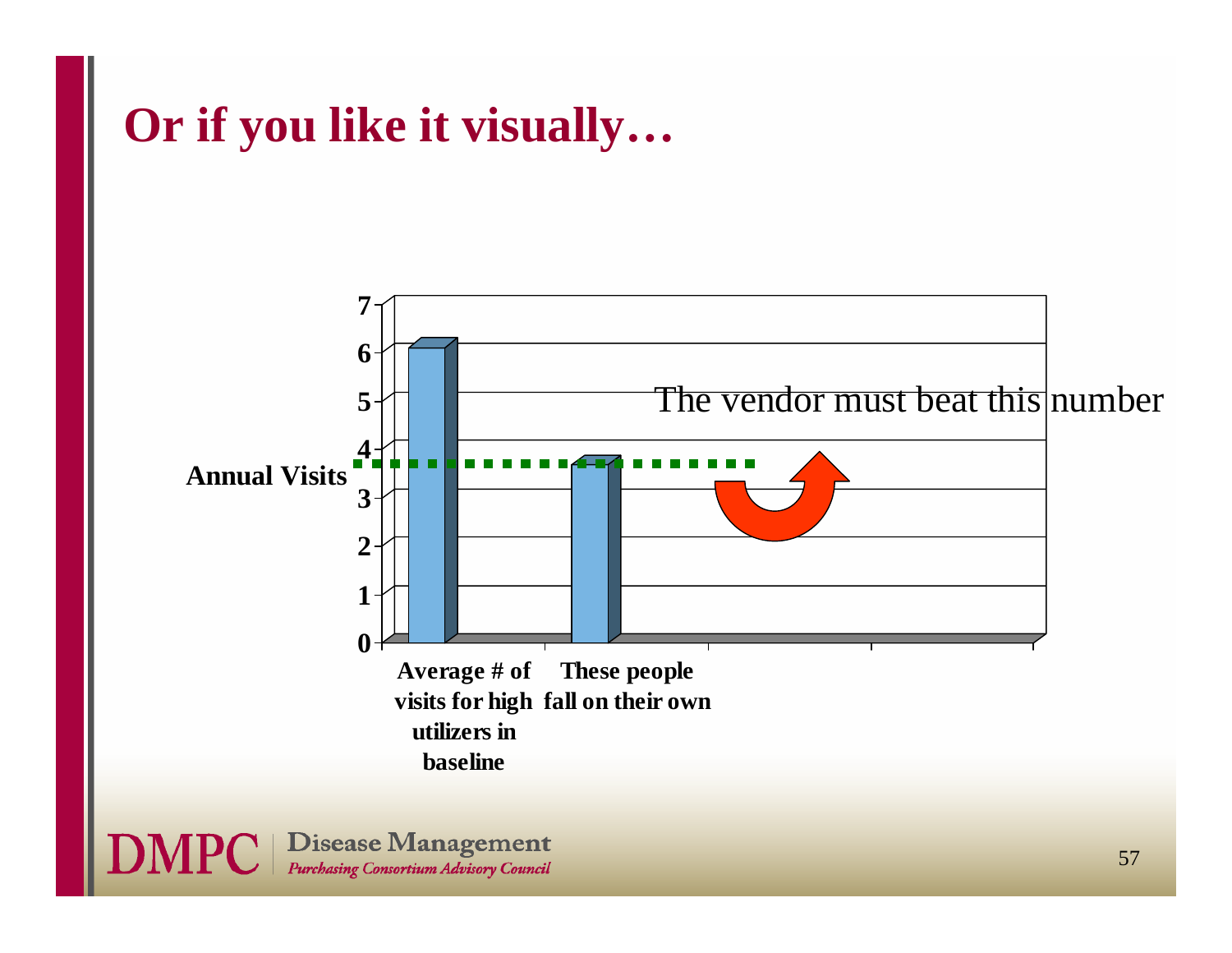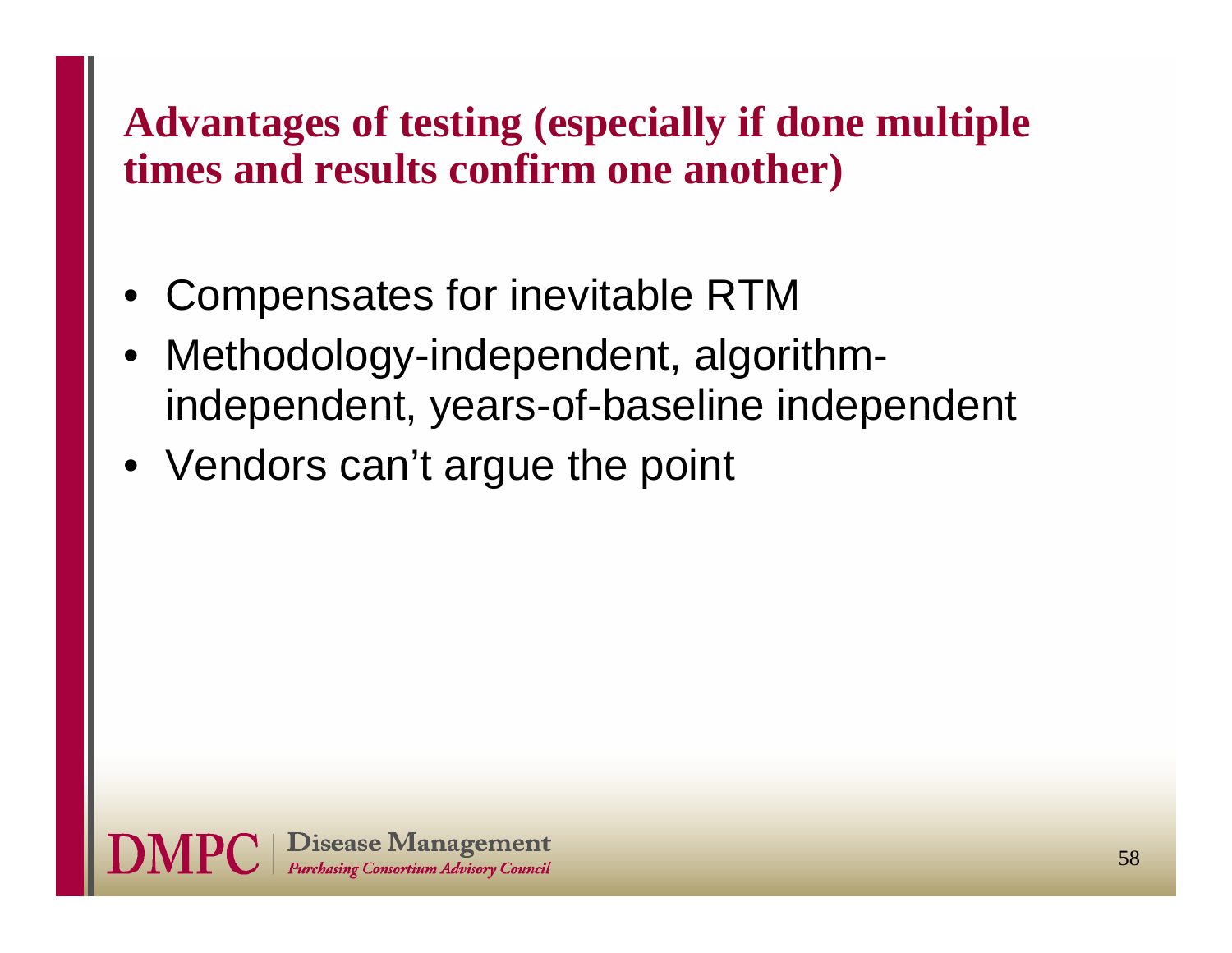### **Advantages of testing (especially if done multiple times and results confirm one another)**

- •Compensates for inevitable RTM
- Methodology-independent, algorithmindependent, years-of-baseline independent
- Vendors can't argue the point

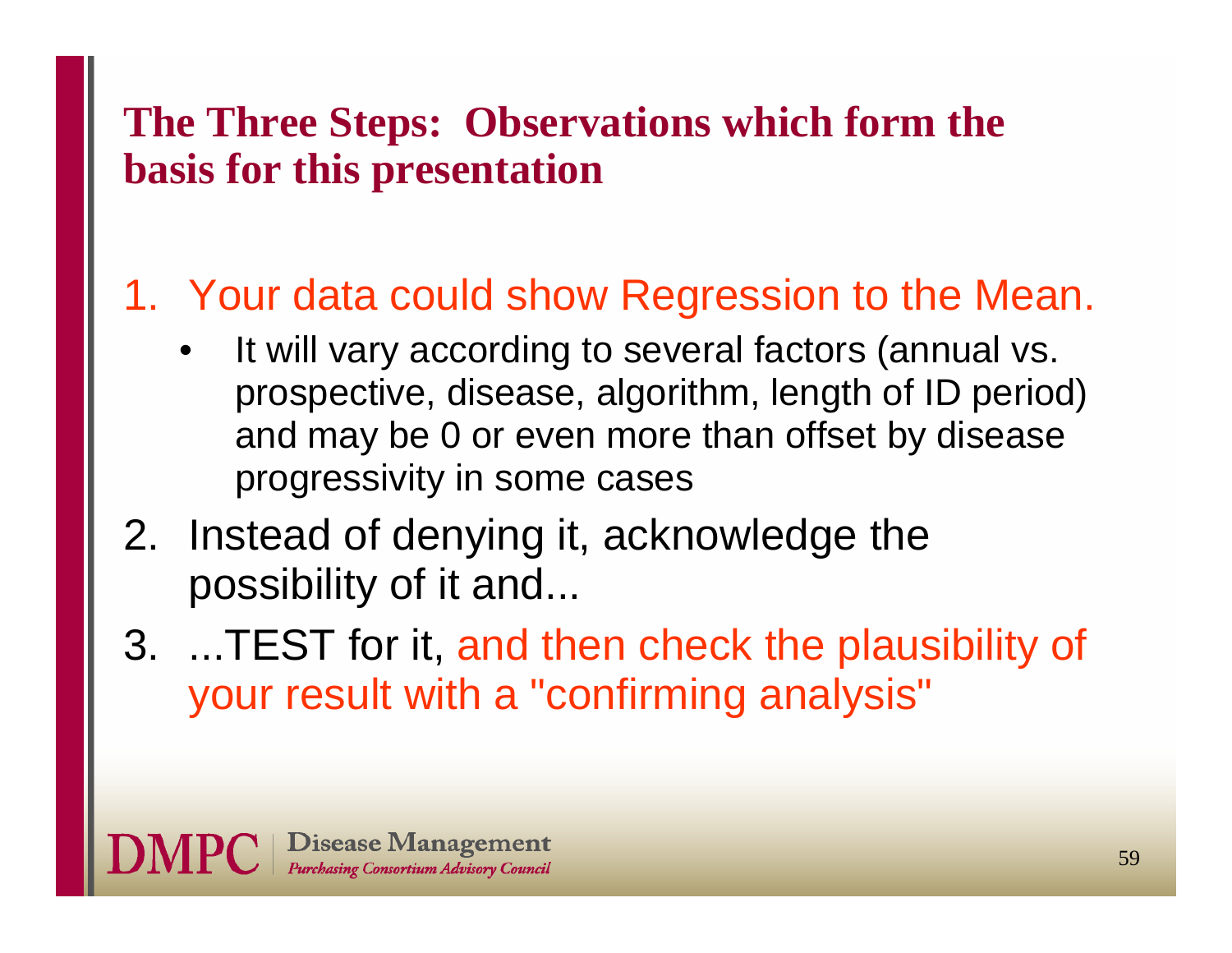### **The Three Steps: Observations which form the basis for this presentation**

### 1. Your data could show Regression to the Mean.

- • It will vary according to several factors (annual vs. prospective, disease, algorithm, length of ID period) and may be 0 or even more than offset by disease progressivity in some cases
- 2. Instead of denying it, acknowledge the possibility of it and...
- 3. ...TEST for it, and then check the plausibility of your result with a "confirming analysis"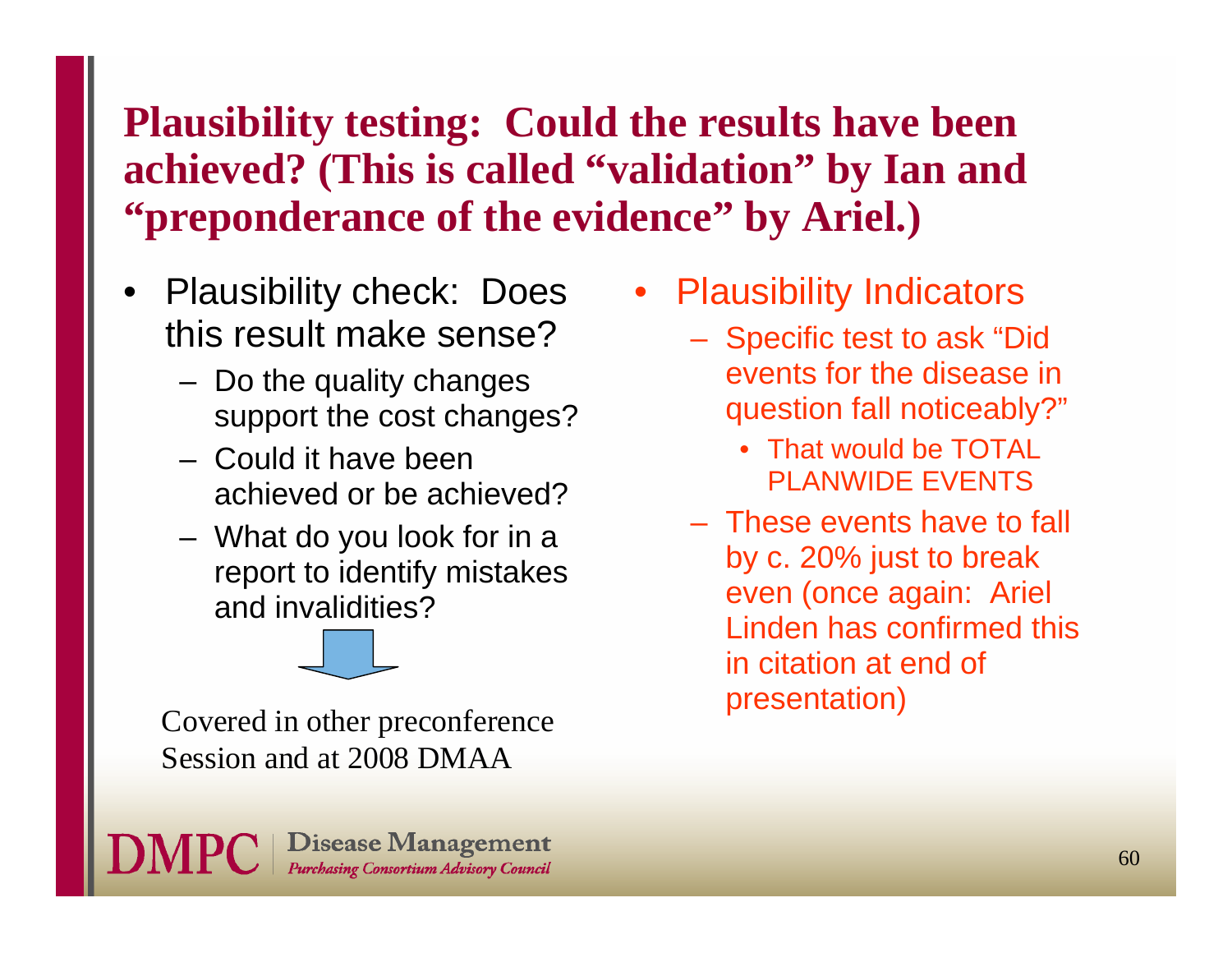### **Plausibility testing: Could the results have been achieved? (This is called "validation" by Ian and "preponderance of the evidence" by Ariel.)**

- • Plausibility check: Does this result make sense?
	- Do the quality changes support the cost changes?
	- Could it have been achieved or be achieved?
	- What do you look for in a report to identify mistakes and invalidities?

presentation) Covered in other preconference Session and at 2008 DMAA



- • Plausibility Indicators
	- Specific test to ask "Did events for the disease in question fall noticeably?"
		- That would be TOTAL PLANWIDE EVENTS
	- These events have to fall by c. 20% just to break even (once again: Ariel Linden has confirmed this in citation at end of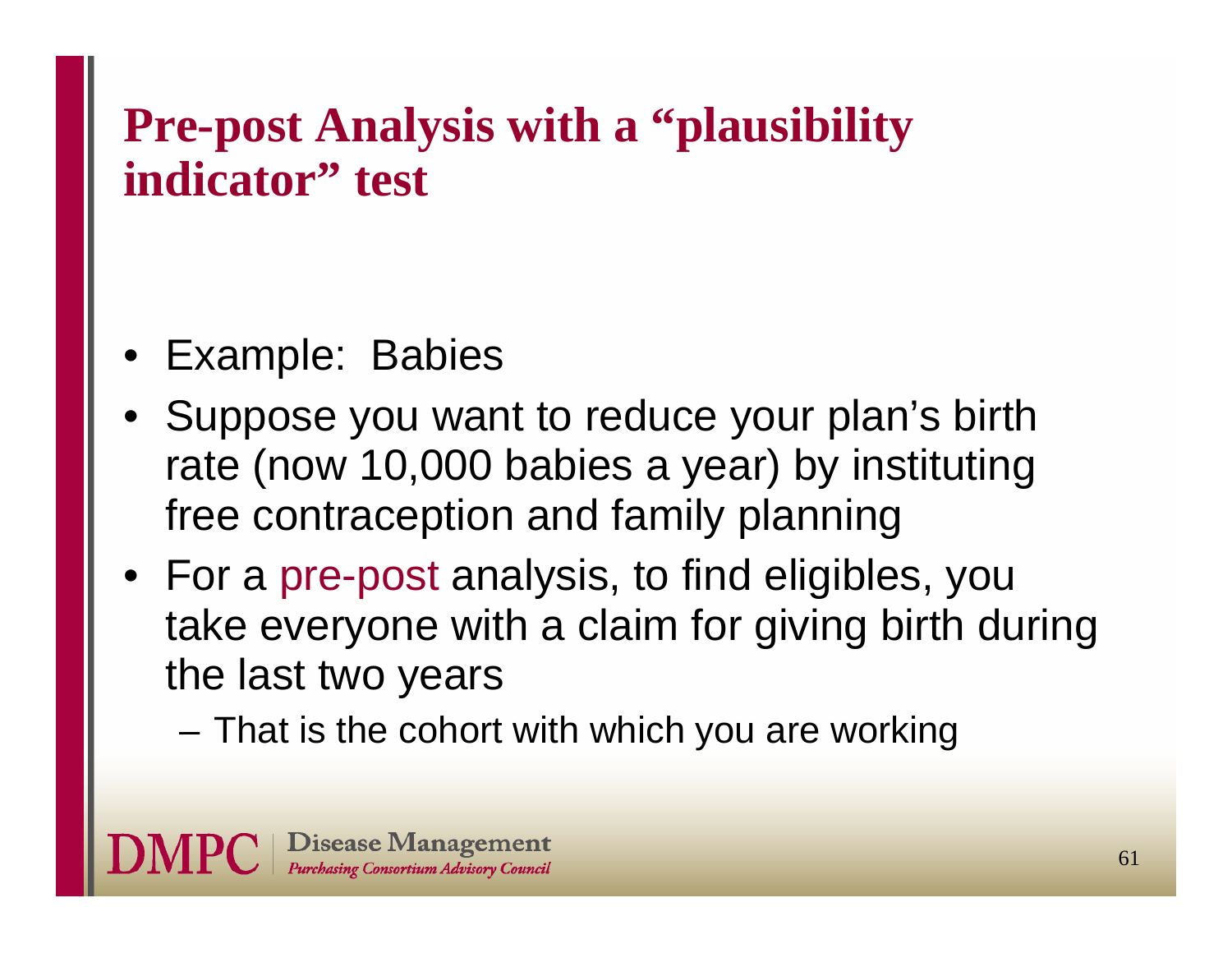# **Pre-post Analysis with a "plausibility indicator" test**

- •Example: Babies
- Suppose you want to reduce your plan's birth rate (now 10,000 babies a year) by instituting free contraception and family planning
- For a pre-post analysis, to find eligibles, you take everyone with a claim for giving birth during the last two years
	- That is the cohort with which you are working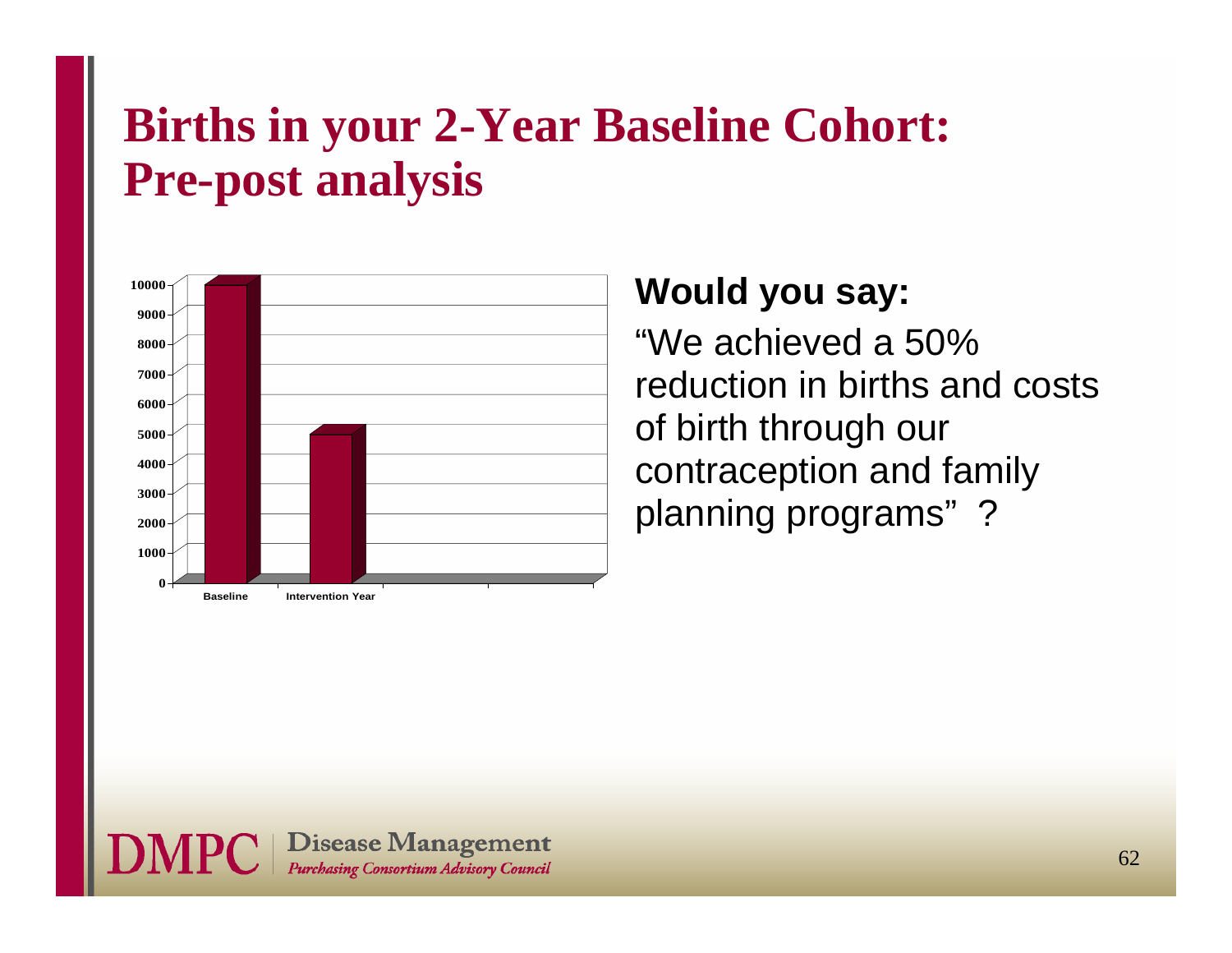### **Births in your 2-Year Baseline Cohort: Pre-post analysis**



#### **Would you say:**

"We achieved a 50% reduction in births and costs of birth through our contraception and family planning programs" ?

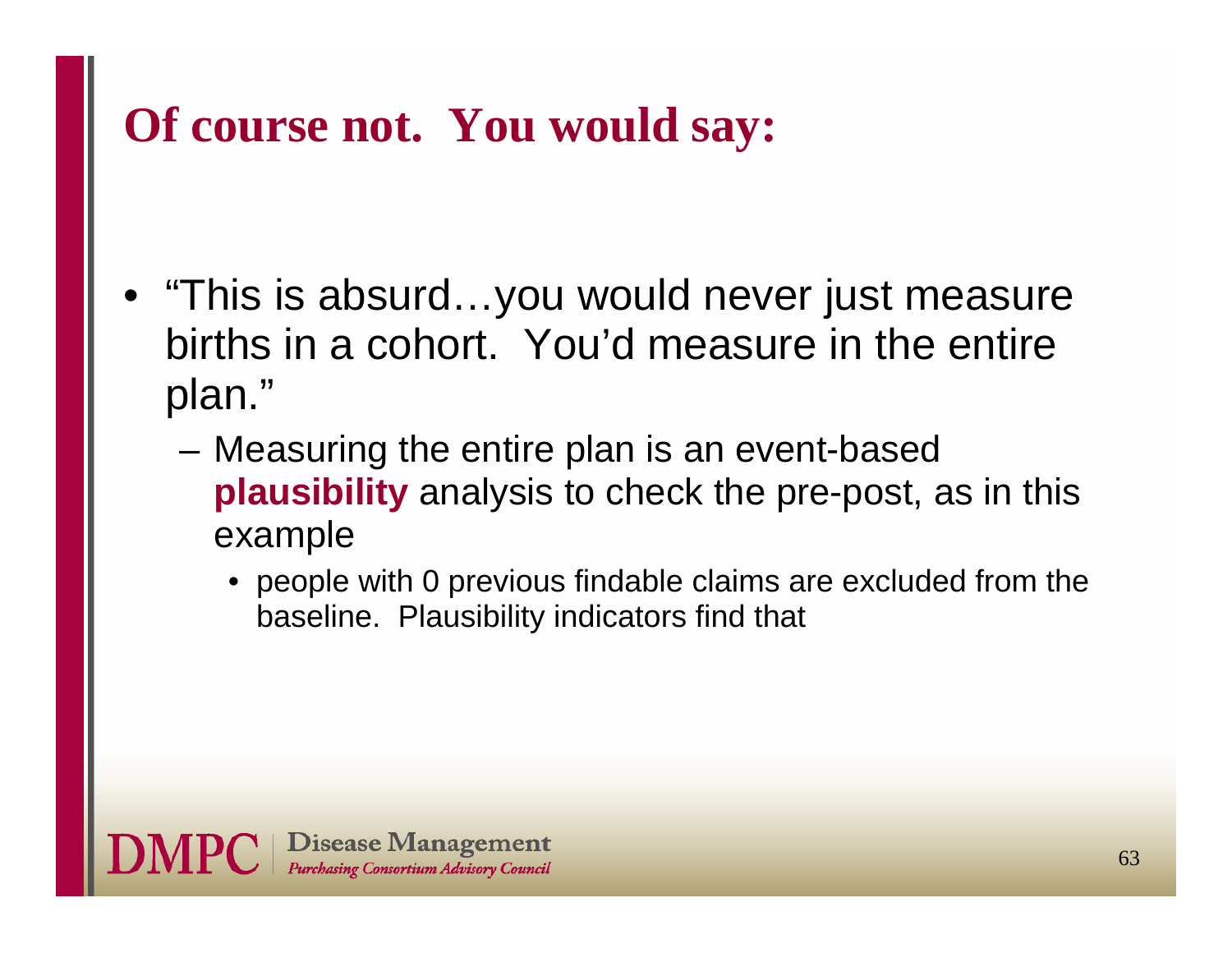# **Of course not. You would say:**

- • "This is absurd…you would never just measure births in a cohort. You'd measure in the entire plan."
	- – Measuring the entire plan is an event-based **plausibility** analysis to check the pre-post, as in this example
		- people with 0 previous findable claims are excluded from the baseline. Plausibility indicators find that

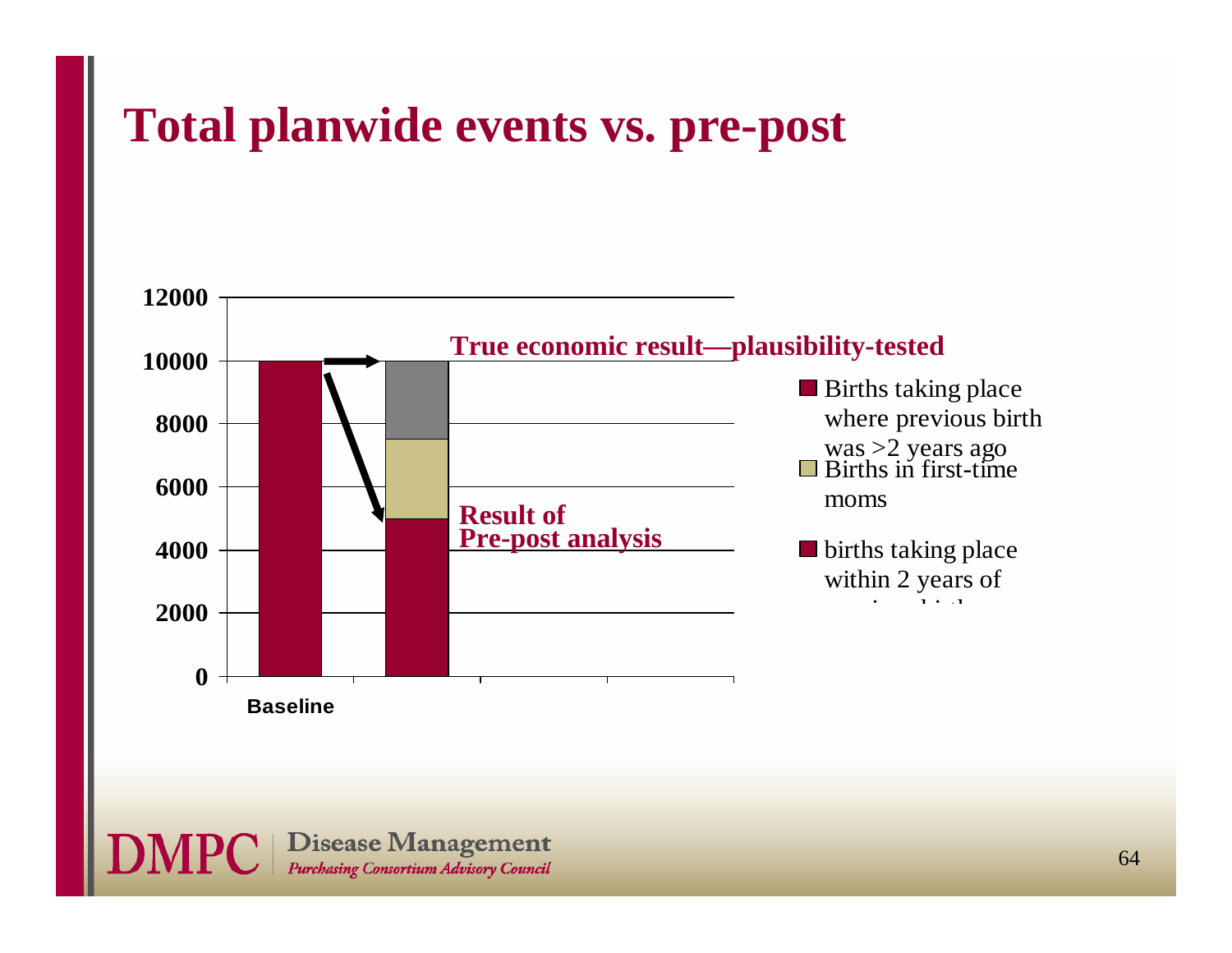### **Total planwide events vs. pre-post**



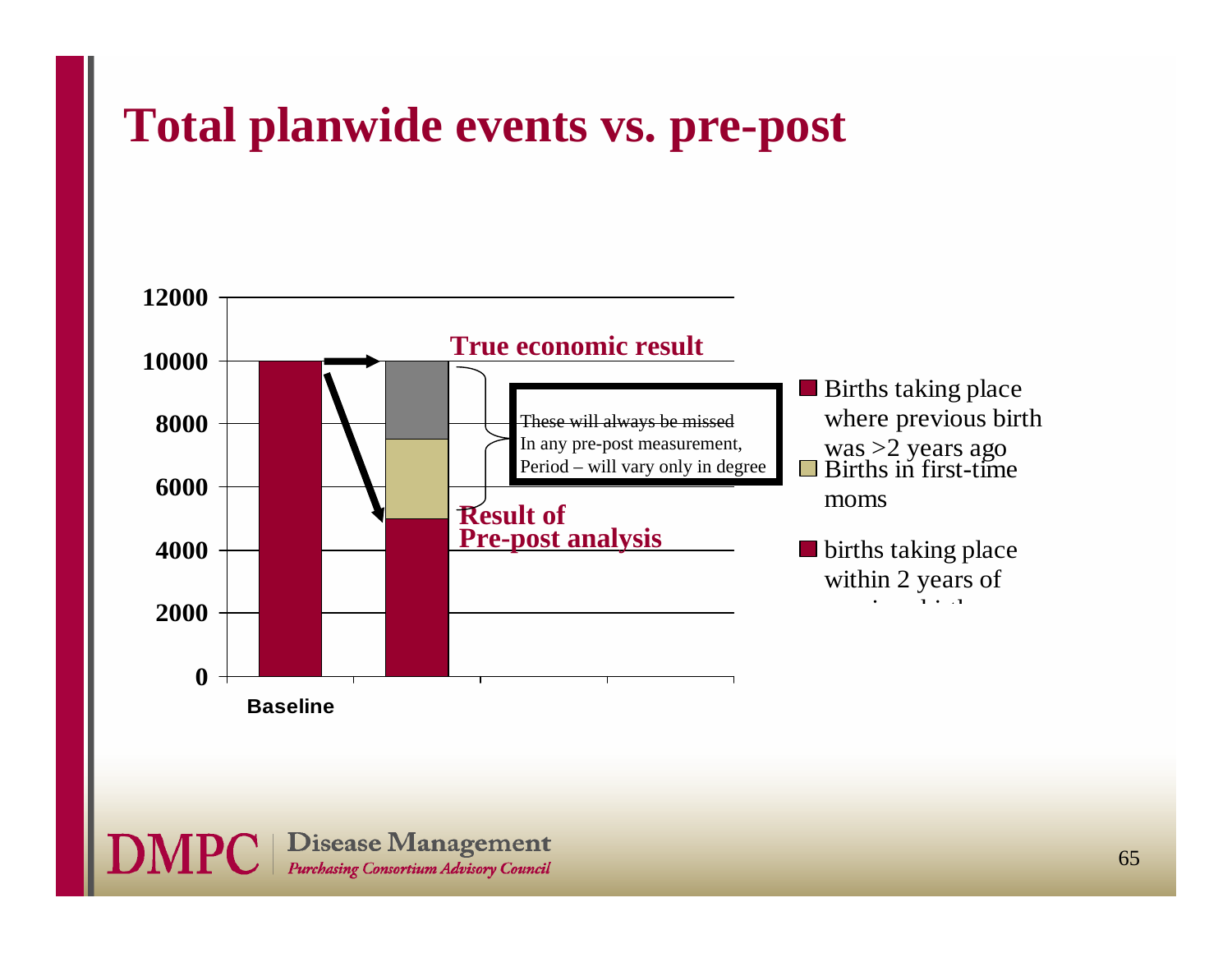### **Total planwide events vs. pre-post**



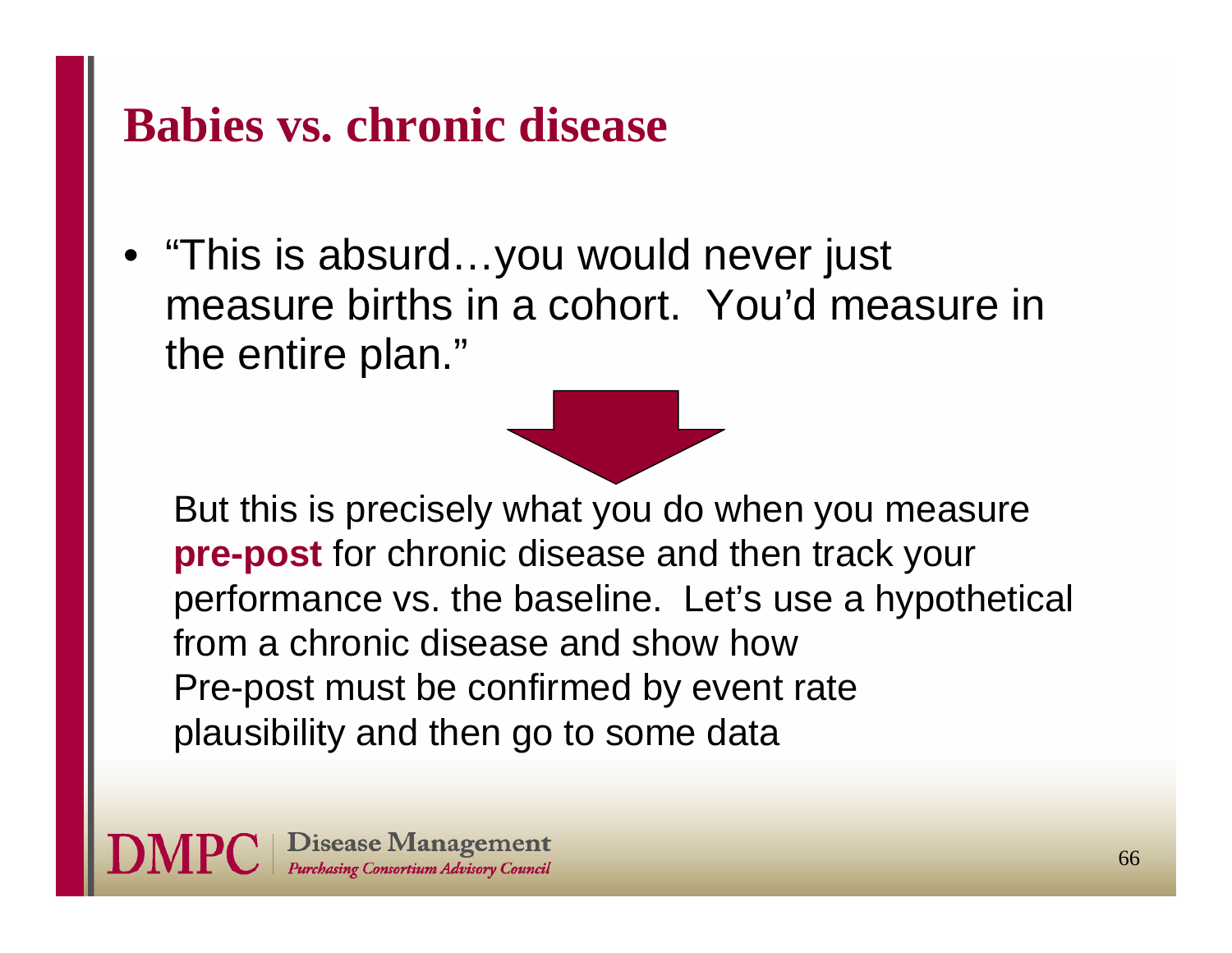### **Babies vs. chronic disease**

• "This is absurd…you would never just measure births in a cohort. You'd measure in the entire plan."



But this is precisely what you do when you measure **pre-post** for chronic disease and then track your performance vs. the baseline. Let's use a hypothetical from a chronic disease and show how Pre-post must be confirmed by event rate plausibility and then go to some data

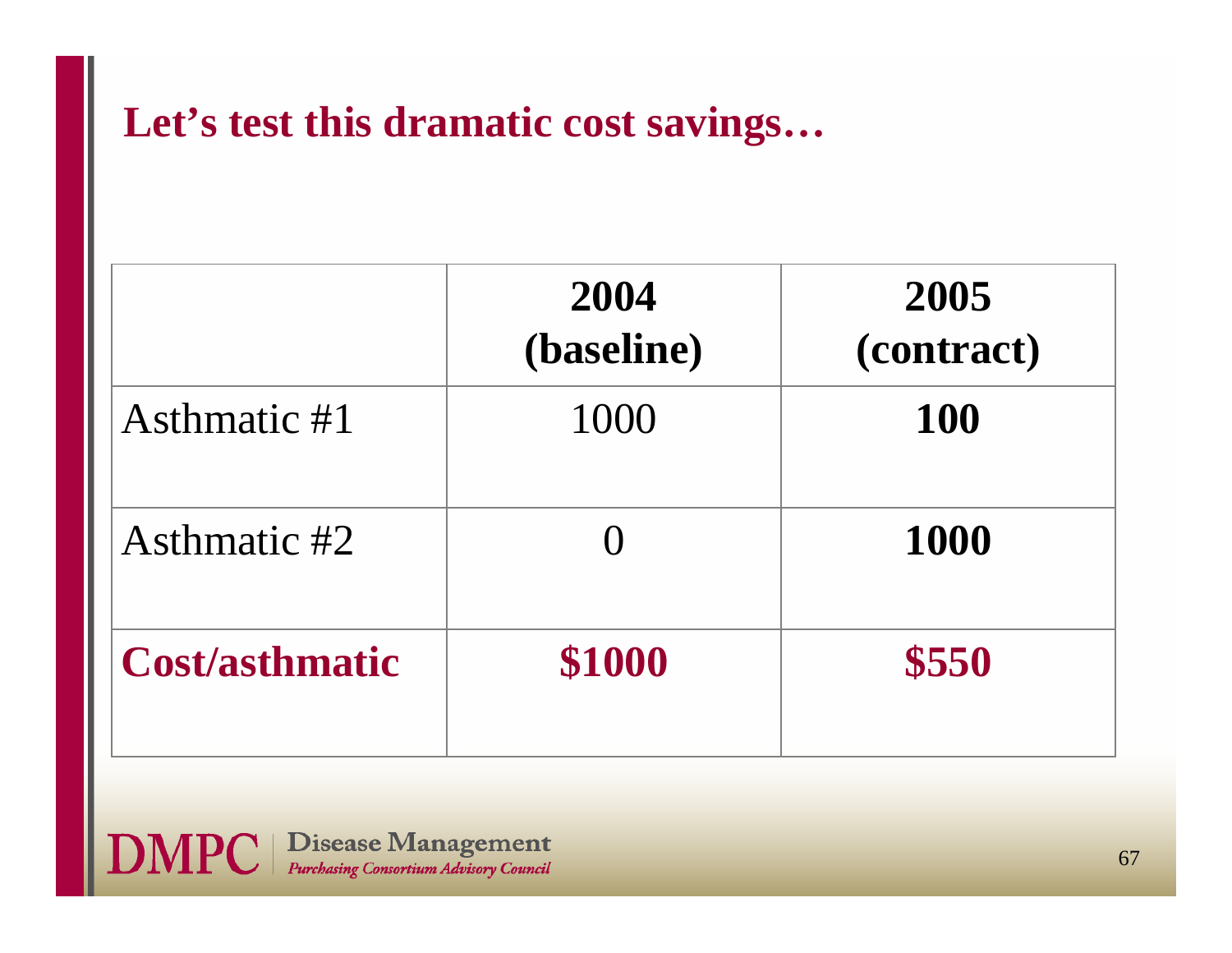### **Let's test this dramatic cost savings…**

|                       | 2004<br>(baseline) | 2005<br>(contract) |
|-----------------------|--------------------|--------------------|
| Asthmatic #1          | 1000               | <b>100</b>         |
| Asthmatic #2          |                    | 1000               |
| <b>Cost/asthmatic</b> | \$1000             | \$550              |

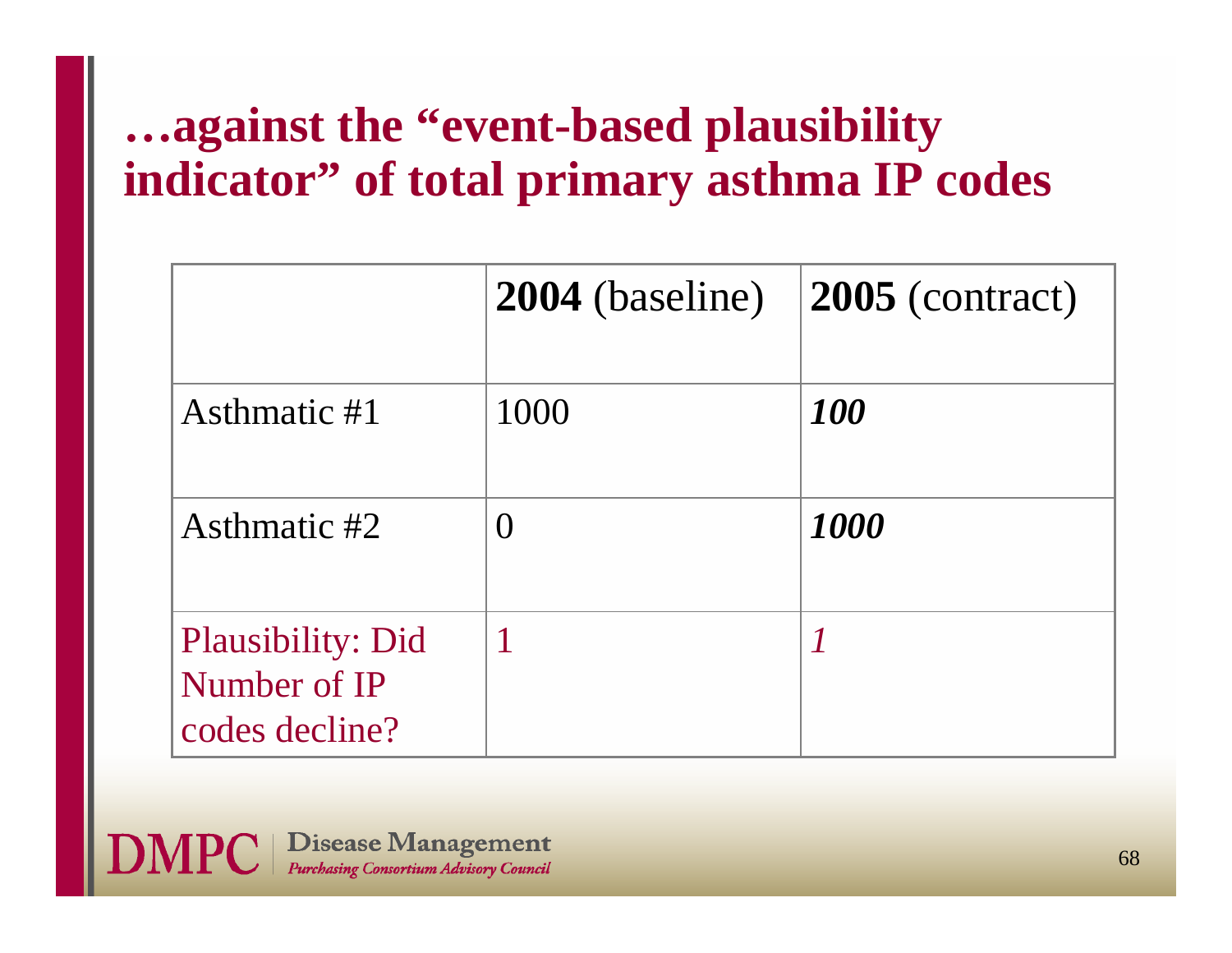# **…against the "event-based plausibility indicator" of total primary asthma IP codes**

|                                                            | <b>2004</b> (baseline) | 2005 (contract) |
|------------------------------------------------------------|------------------------|-----------------|
| Asthmatic #1                                               | 1000                   | 100             |
| Asthmatic #2                                               | $\left( \right)$       | 1000            |
| <b>Plausibility: Did</b><br>Number of IP<br>codes decline? |                        |                 |

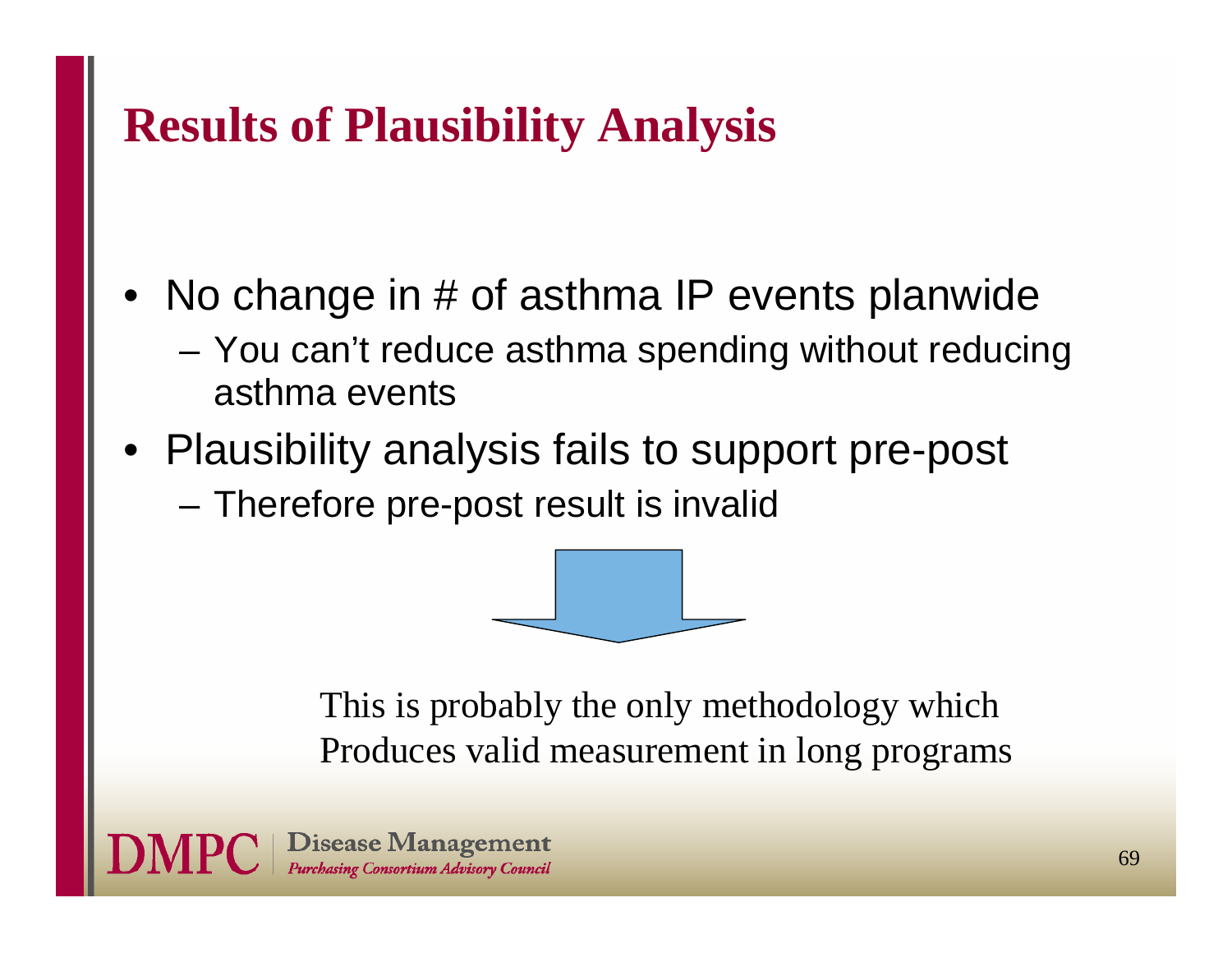# **Results of Plausibility Analysis**

- • No change in # of asthma IP events planwide
	- You can't reduce asthma spending without reducing asthma events
- Plausibility analysis fails to support pre-post
	- –Therefore pre-post result is invalid



This is probably the only methodology which Produces valid measurement in long programs

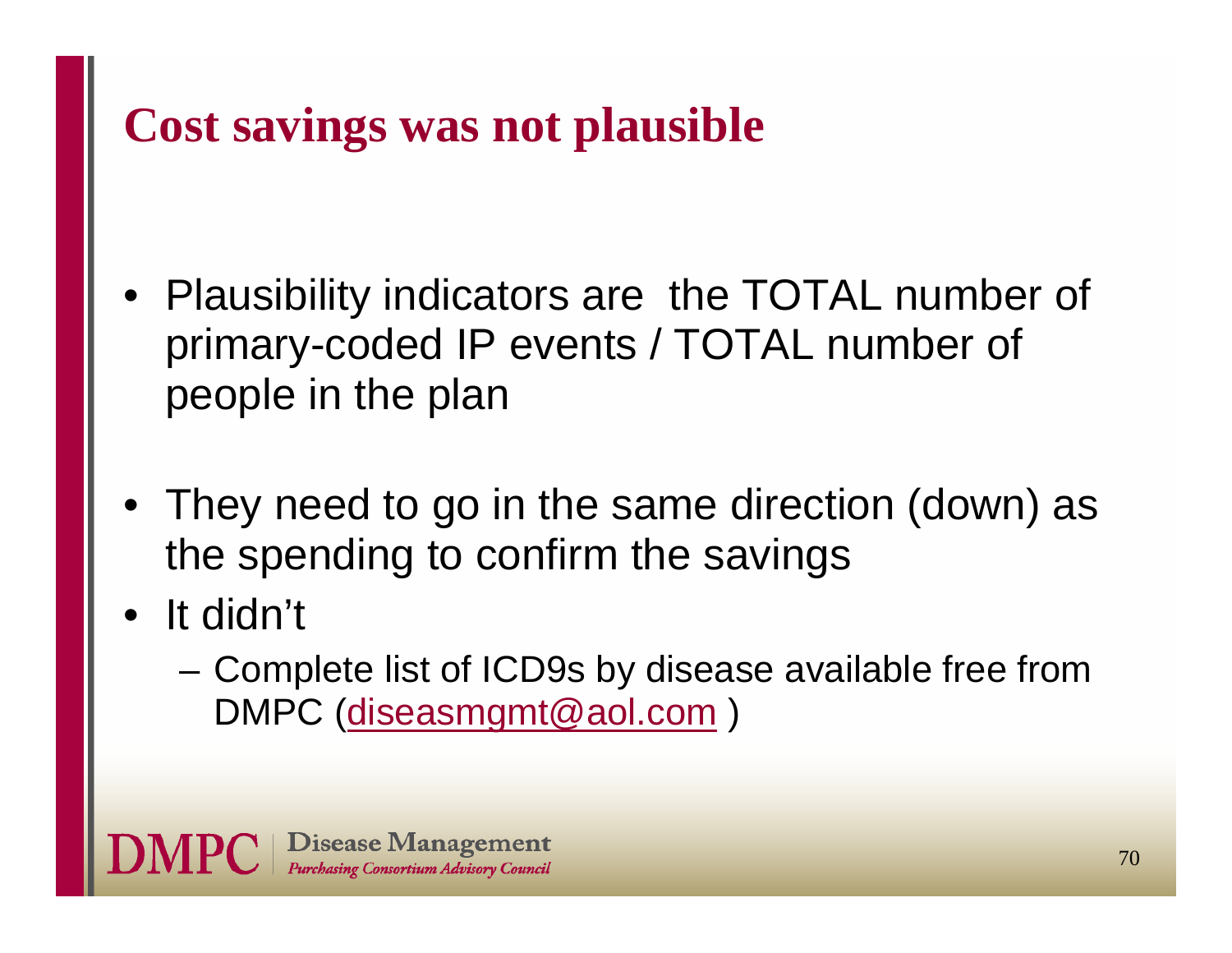# **Cost savings was not plausible**

- Plausibility indicators are the TOTAL number of primary-coded IP events / TOTAL number of people in the plan
- They need to go in the same direction (down) as the spending to confirm the savings
- • It didn't
	- Complete list of ICD9s by disease available free from DMPC (diseasmgmt@aol.com )

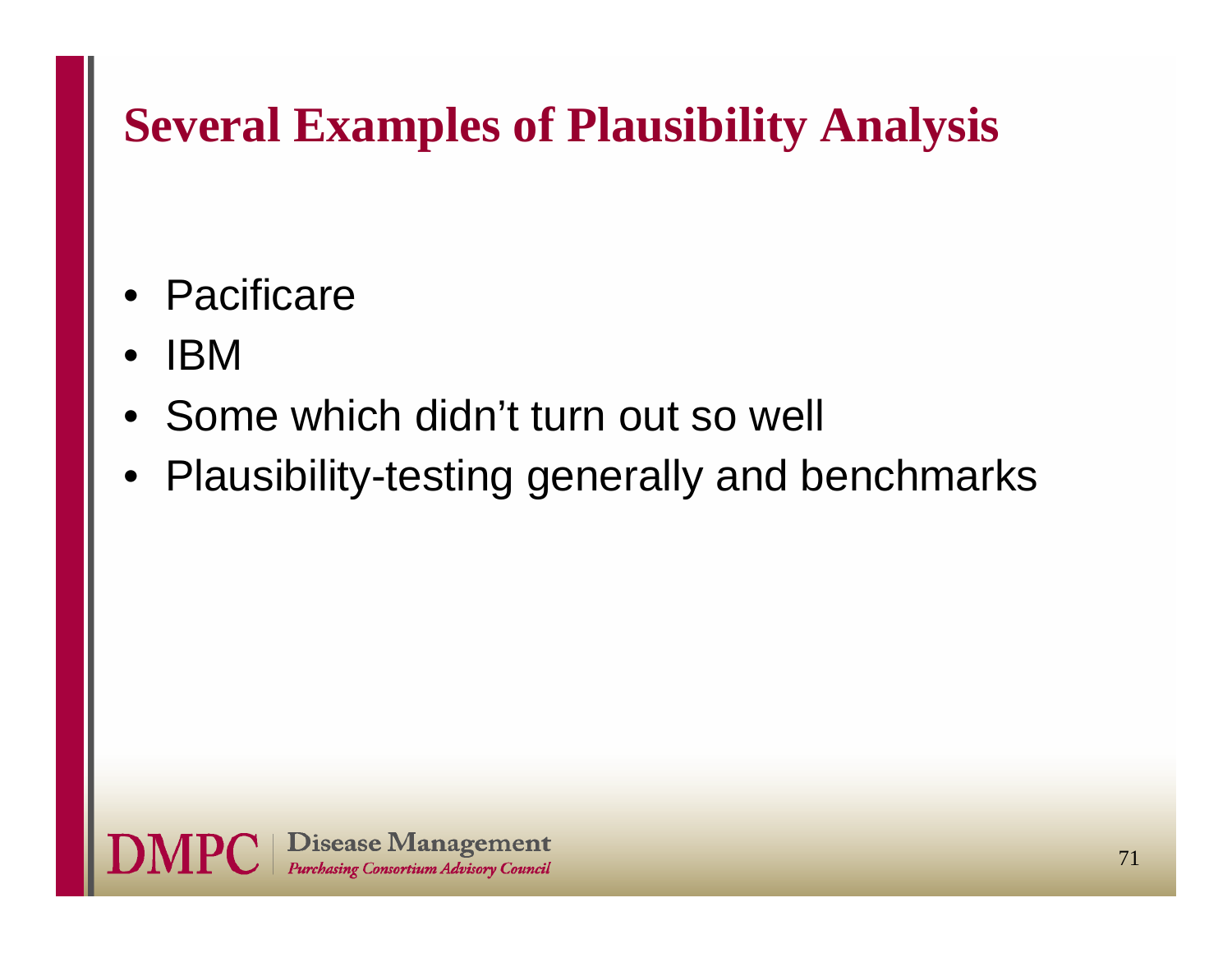# **Several Examples of Plausibility Analysis**

- •**Pacificare**
- •IBM
- Some which didn't turn out so well
- Plausibility-testing generally and benchmarks

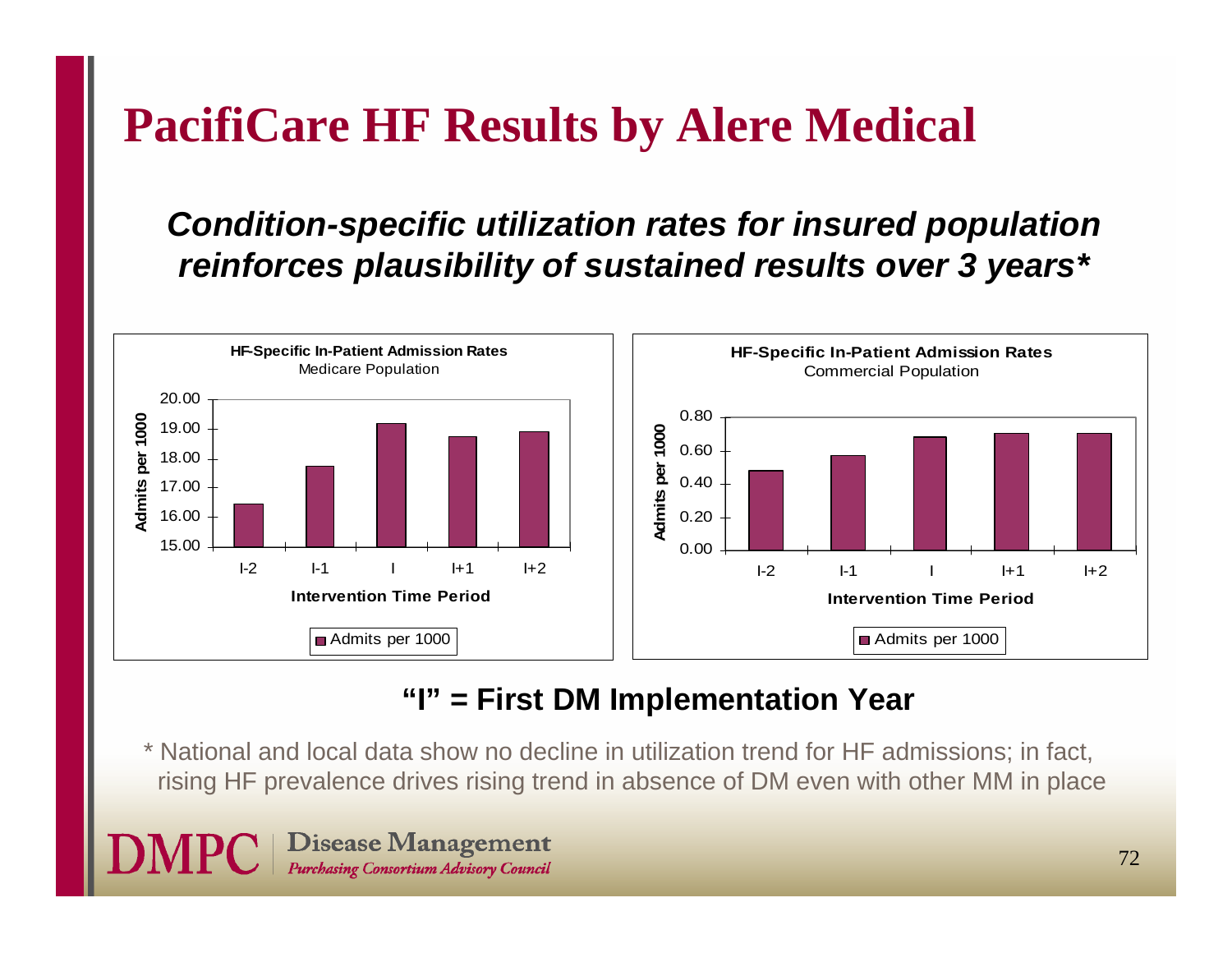# **PacifiCare HF Results by Alere Medical**

### *Condition-specific utilization rates for insured population reinforces plausibility of sustained results over 3 years\**



### **"I" = First DM Implementation Year**

\* National and local data show no decline in utilization trend for HF admissions; in fact, rising HF prevalence drives rising trend in absence of DM even with other MM in place

**Disease Management** Purchasing Consortium Advisory Council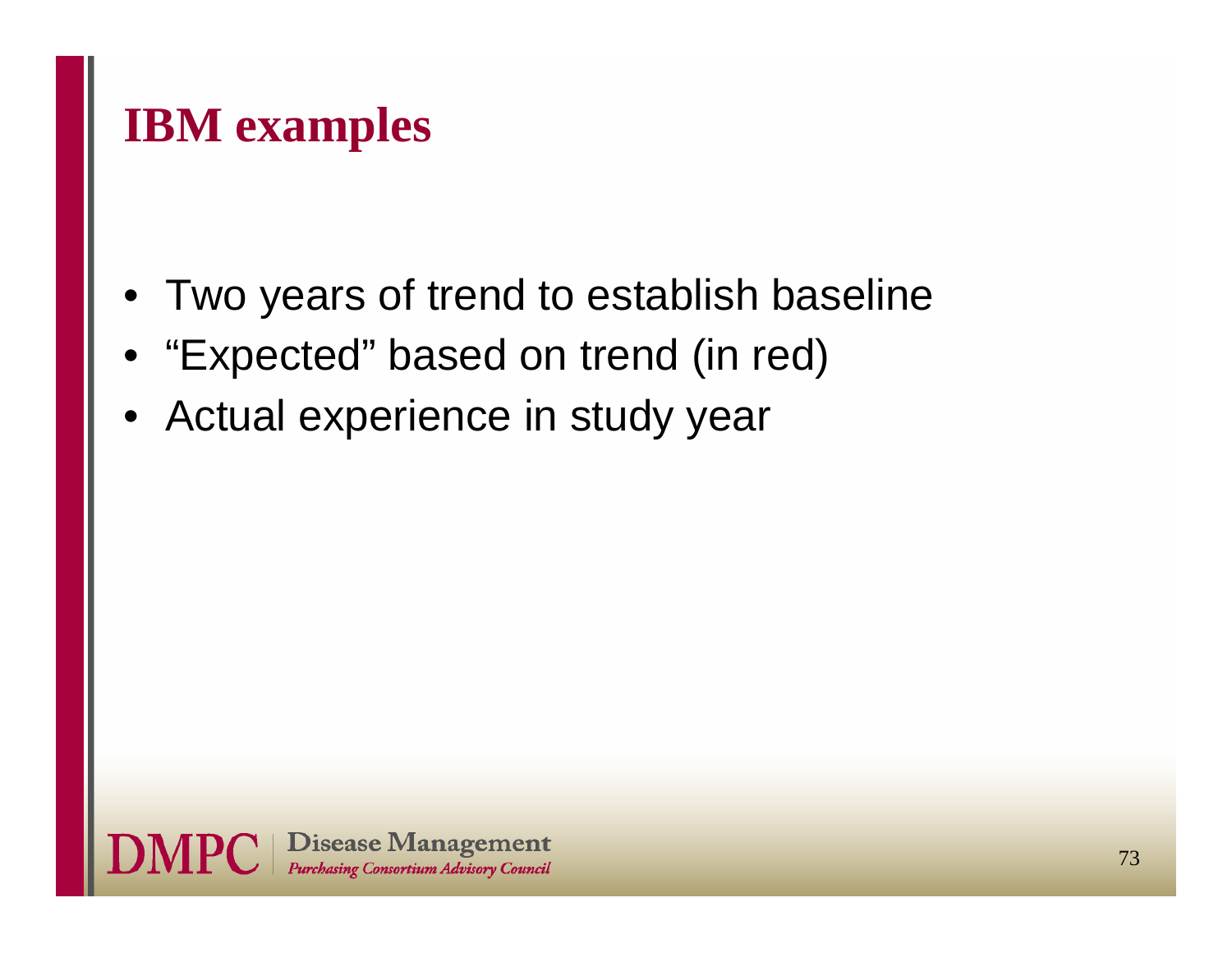### **IBM examples**

- Two years of trend to establish baseline
- •"Expected" based on trend (in red)
- Actual experience in study year

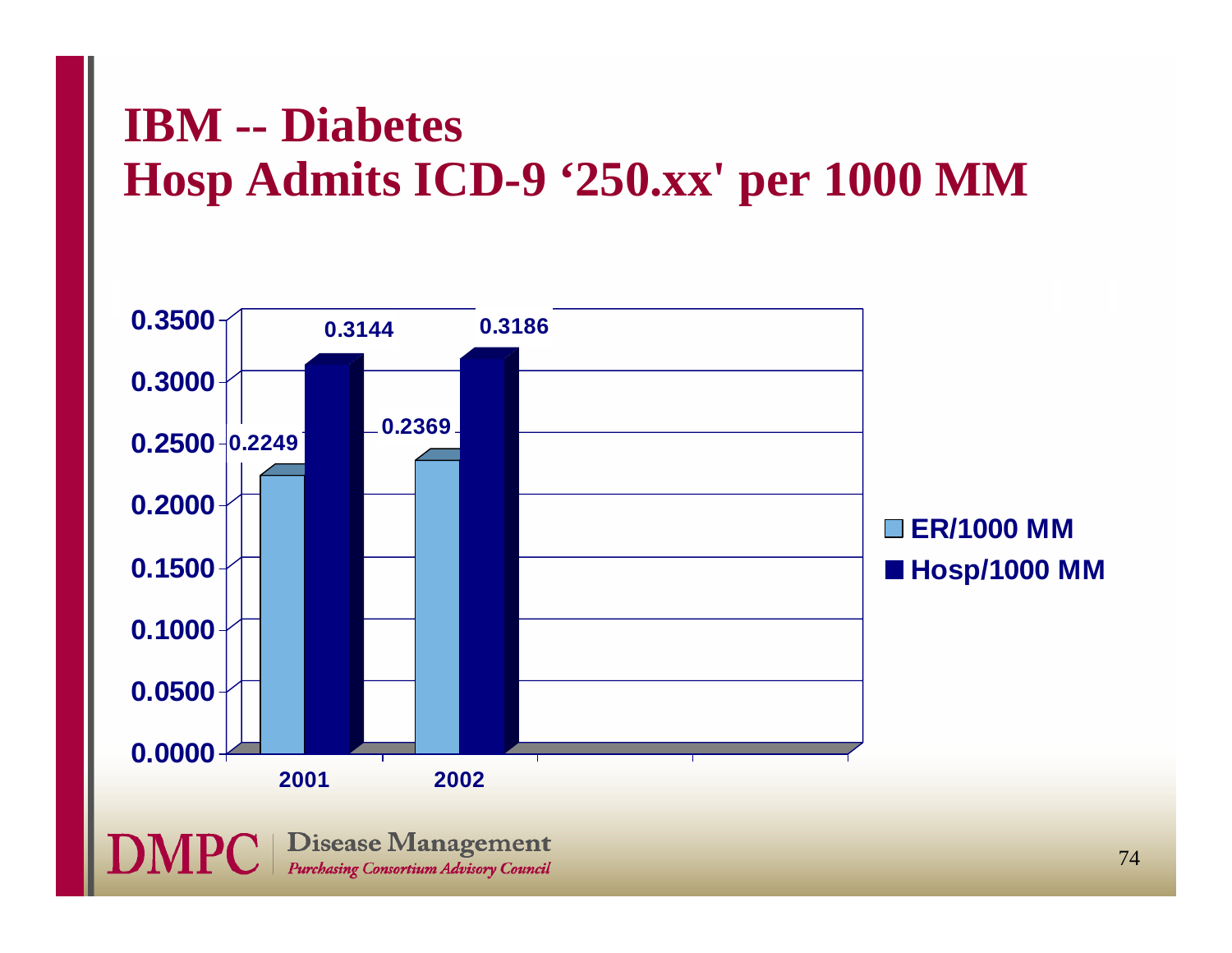# **IBM -- Diabetes Hosp Admits ICD-9 '250.xx' per 1000 MM**

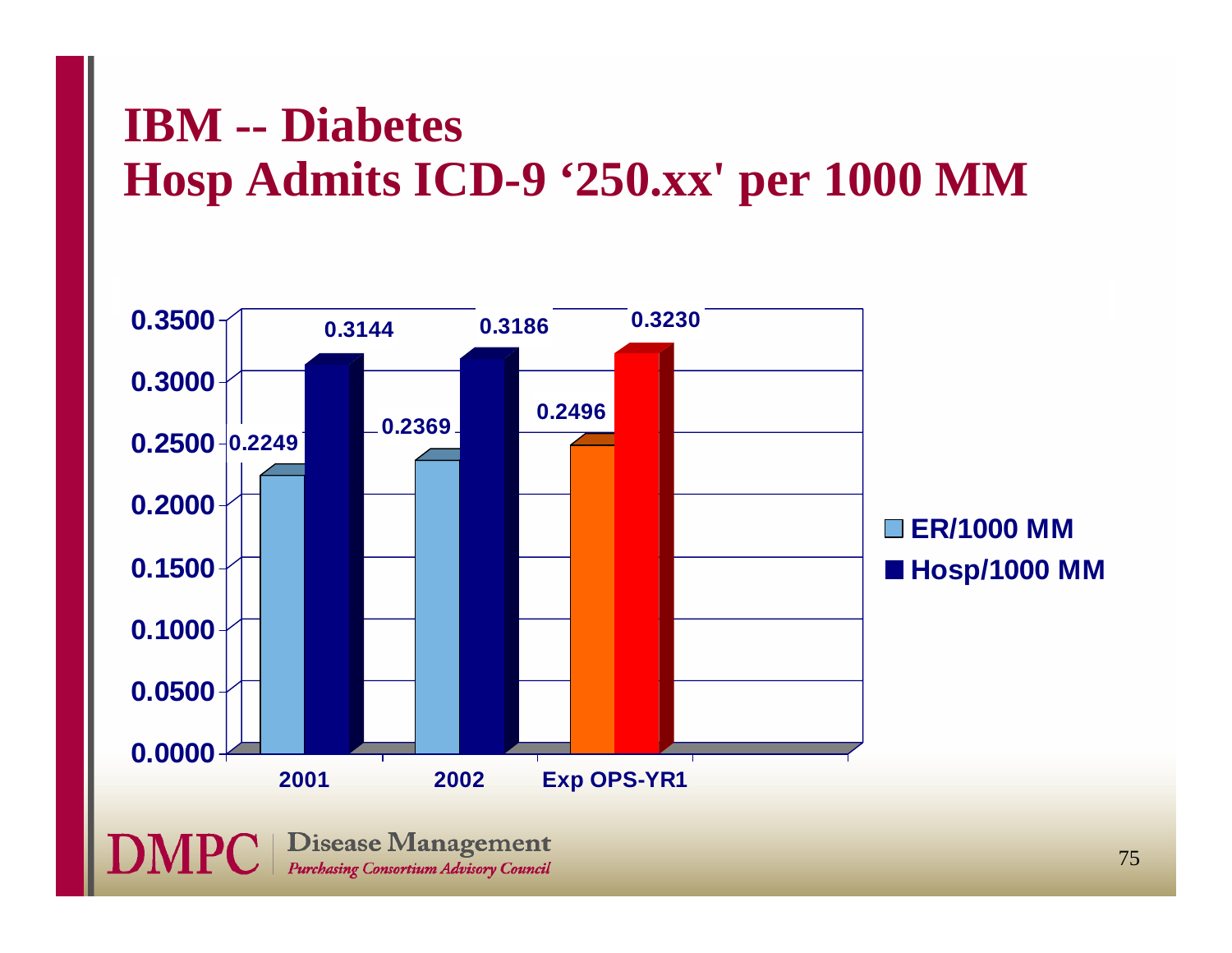## **IBM -- Diabetes Hosp Admits ICD-9 '250.xx' per 1000 MM**

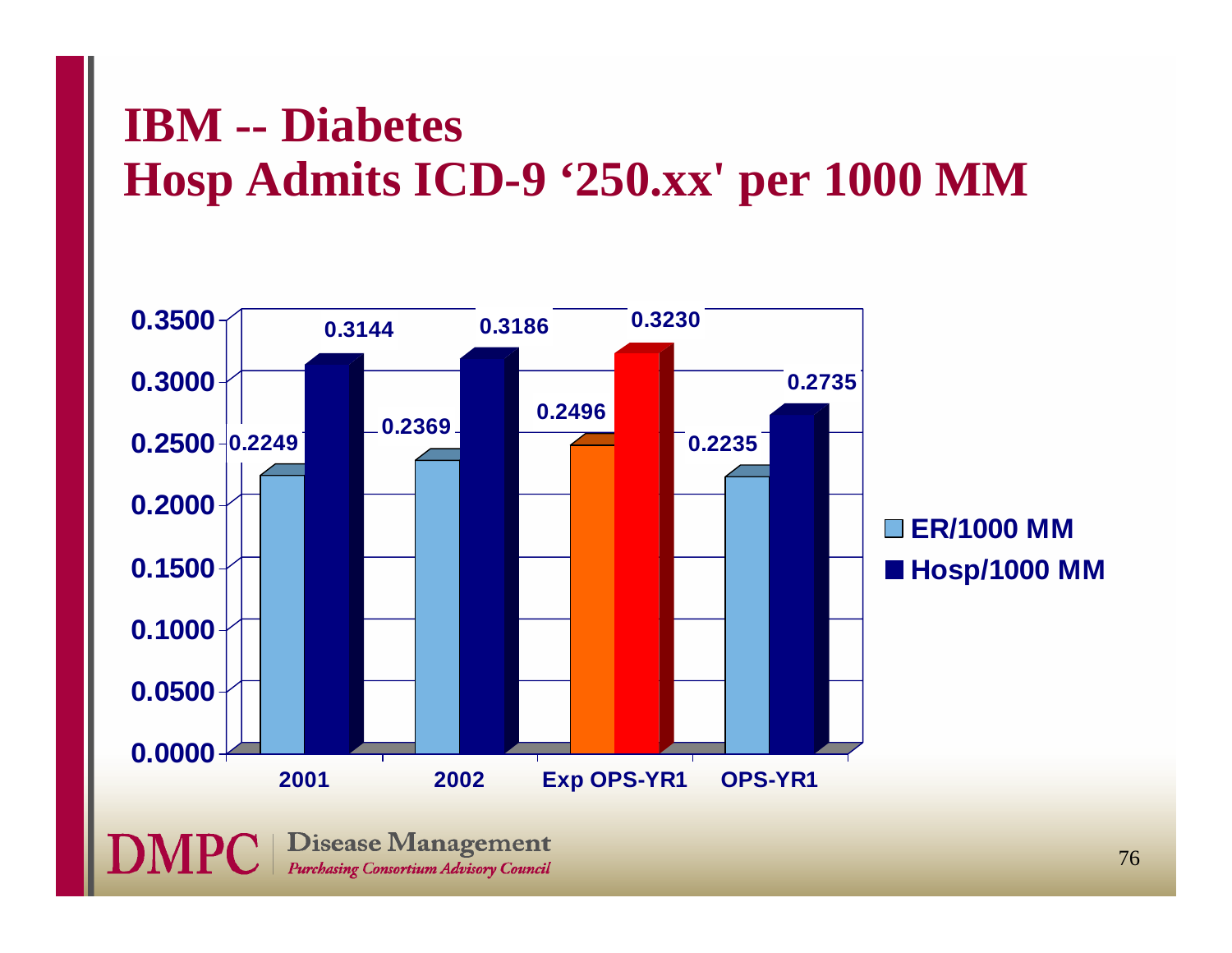## **IBM -- Diabetes Hosp Admits ICD-9 '250.xx' per 1000 MM**

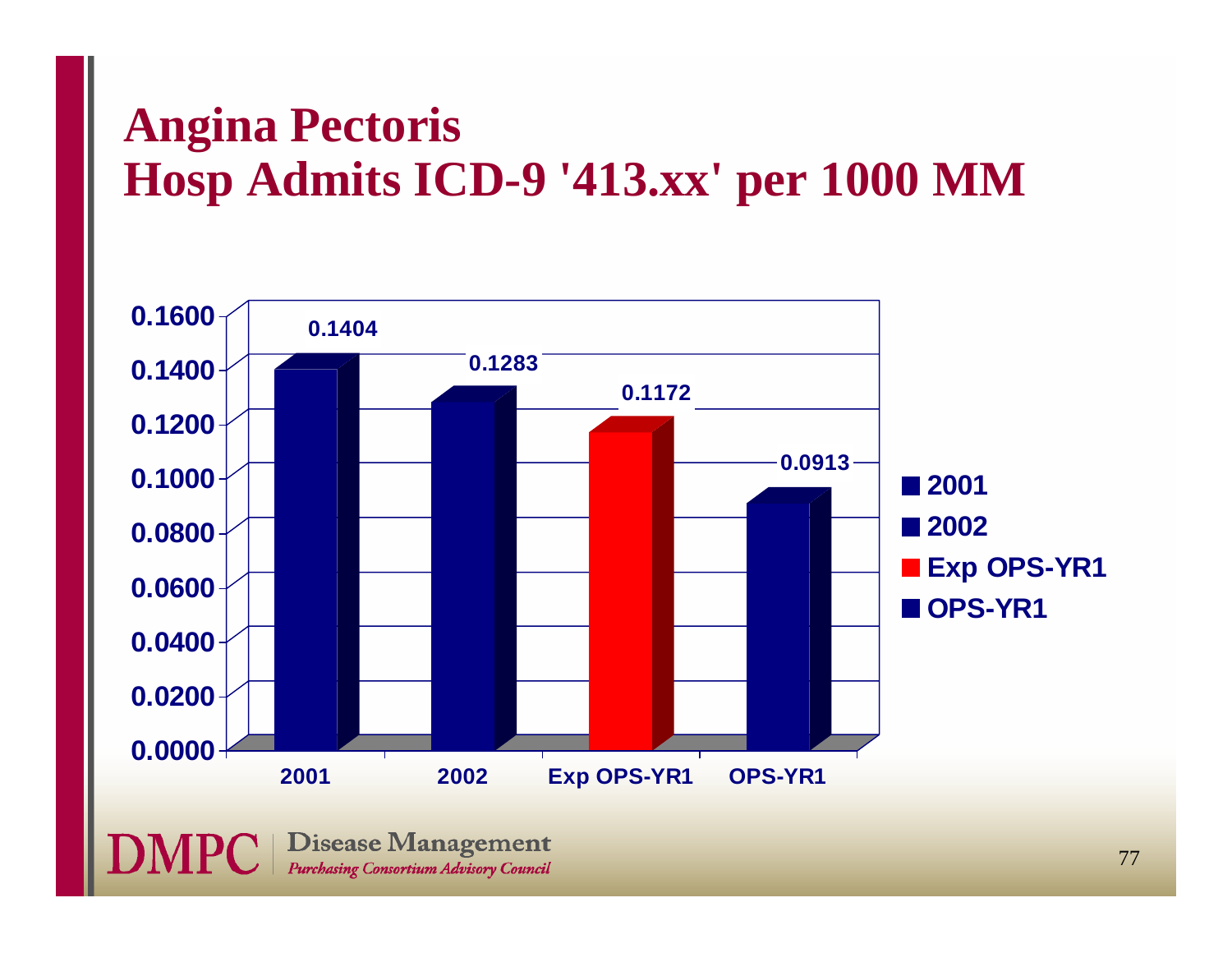# **Angina Pectoris Hosp Admits ICD-9 '413.xx' per 1000 MM**

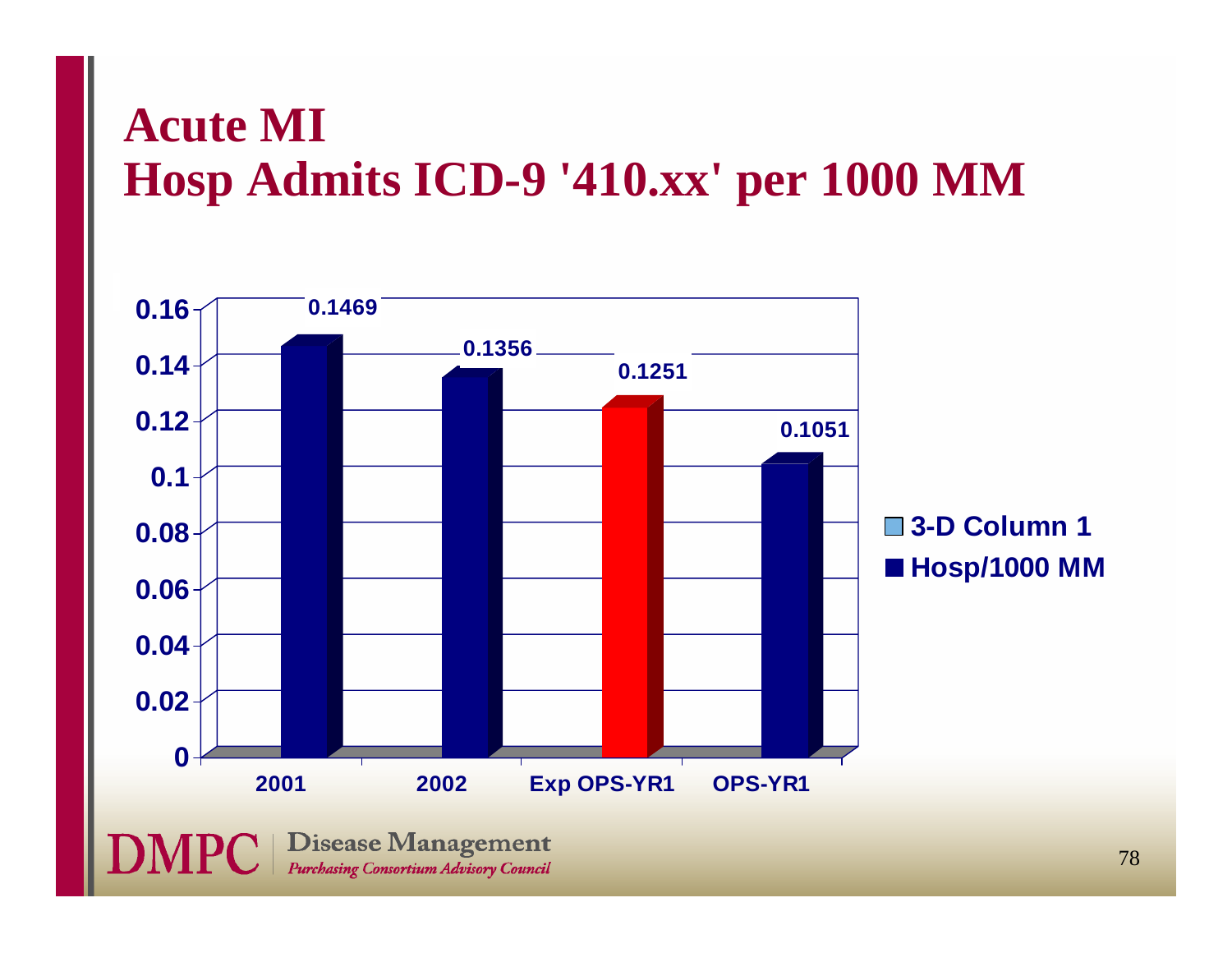### **Acute MI Hosp Admits ICD-9 '410.xx' per 1000 MM**

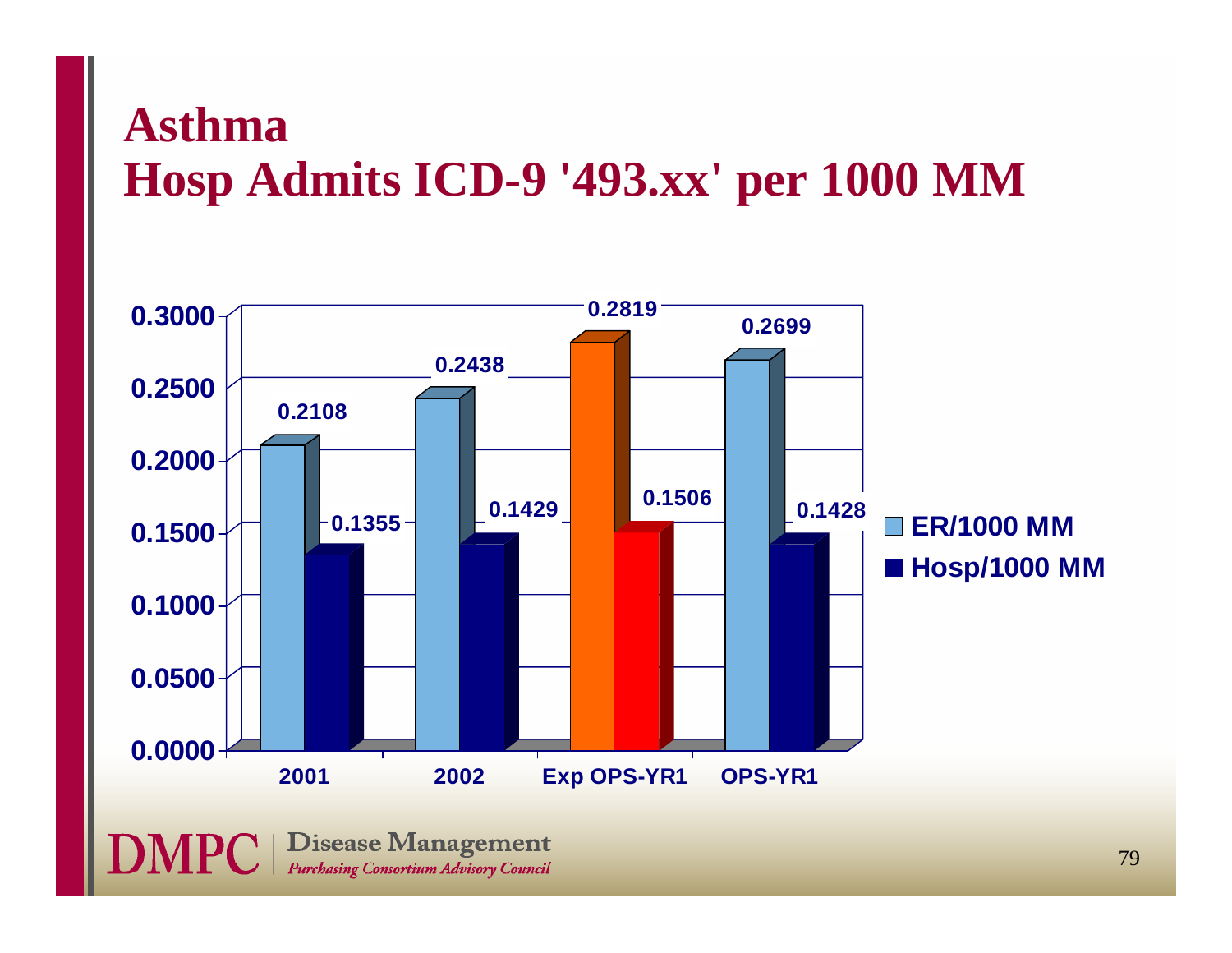### **AsthmaHosp Admits ICD-9 '493.xx' per 1000 MM**

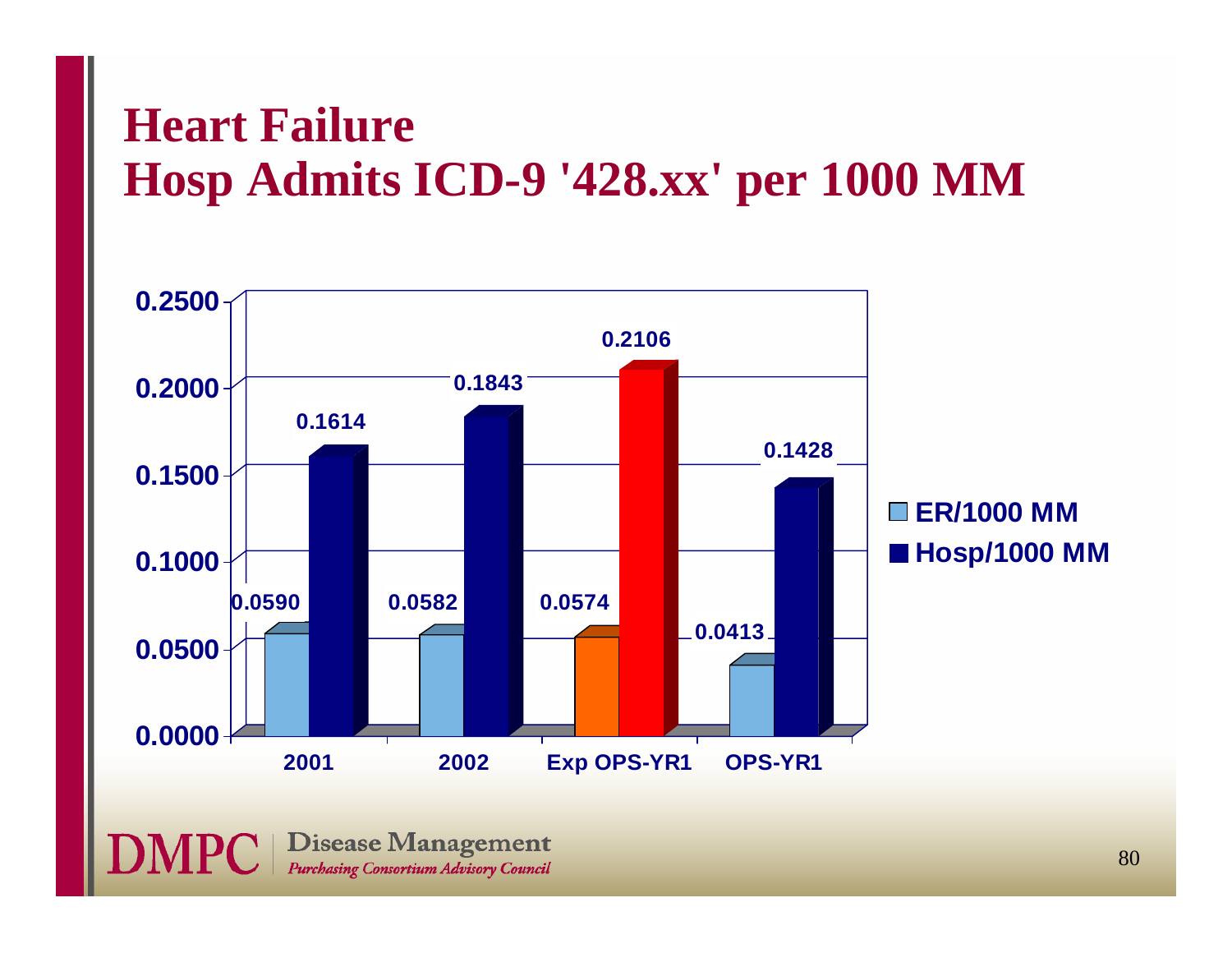### **Heart FailureHosp Admits ICD-9 '428.xx' per 1000 MM**



**DMPC** | Disease Management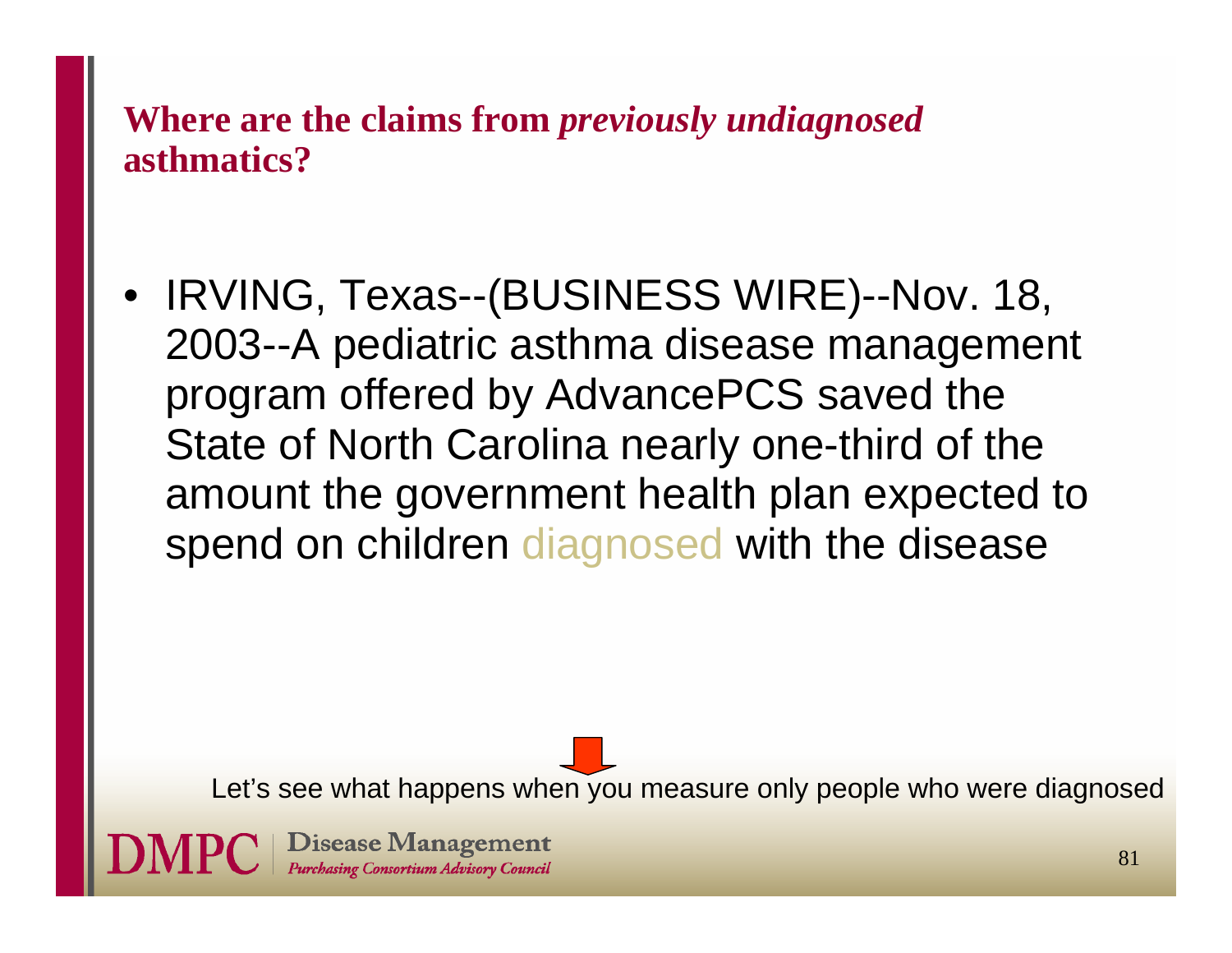### **Where are the claims from** *previously undiagnosed*  **asthmatics?**

• IRVING, Texas--(BUSINESS WIRE)--Nov. 18, 2003--A pediatric asthma disease management program offered by AdvancePCS saved the State of North Carolina nearly one-third of the amount the government health plan expected to spend on children diagnosed with the disease

Let's see what happens when you measure only people who were diagnosed

**Disease Management** Purchasing Consortium Advisory Council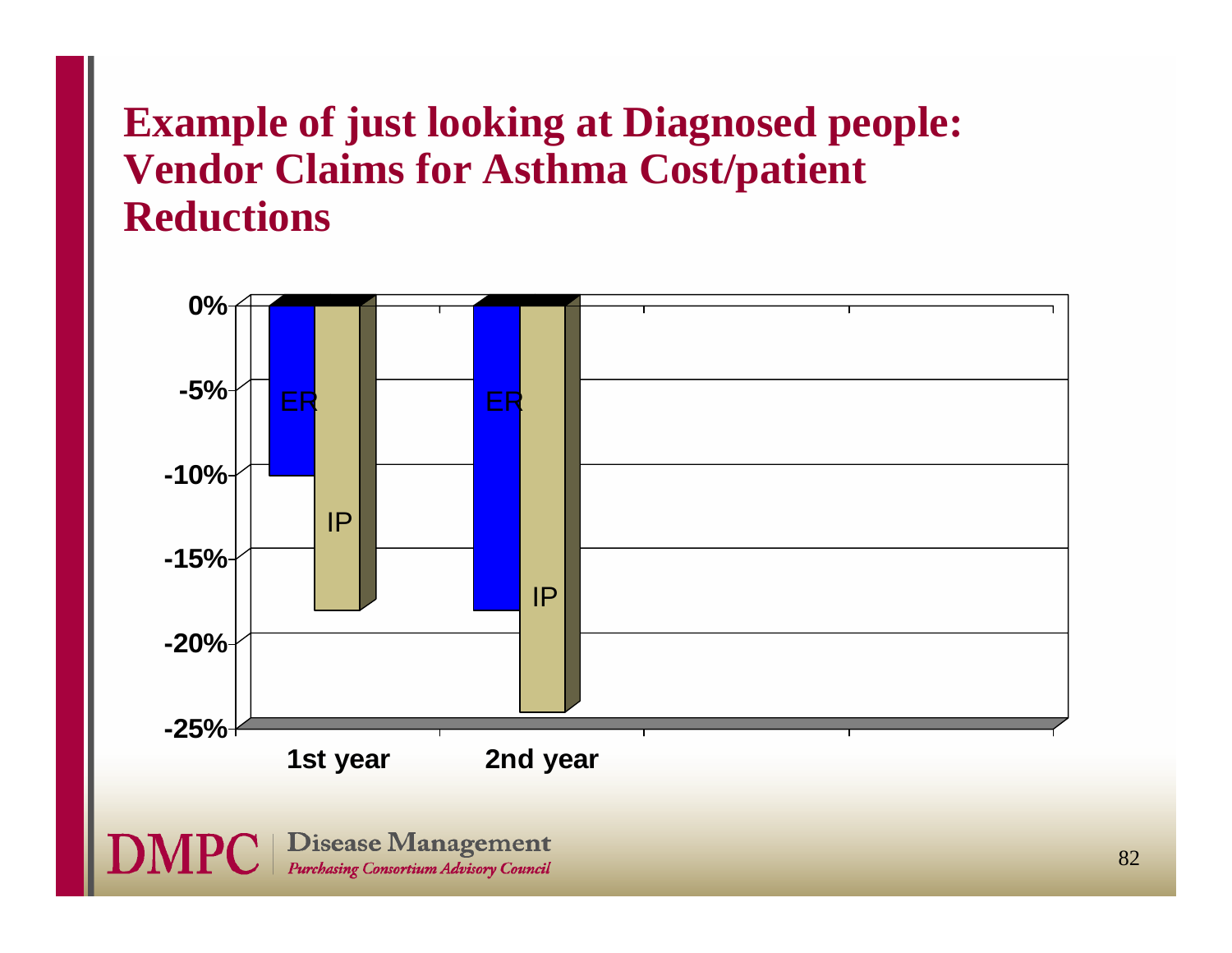### **Example of just looking at Diagnosed people: Vendor Claims for Asthma Cost/patient Reductions**

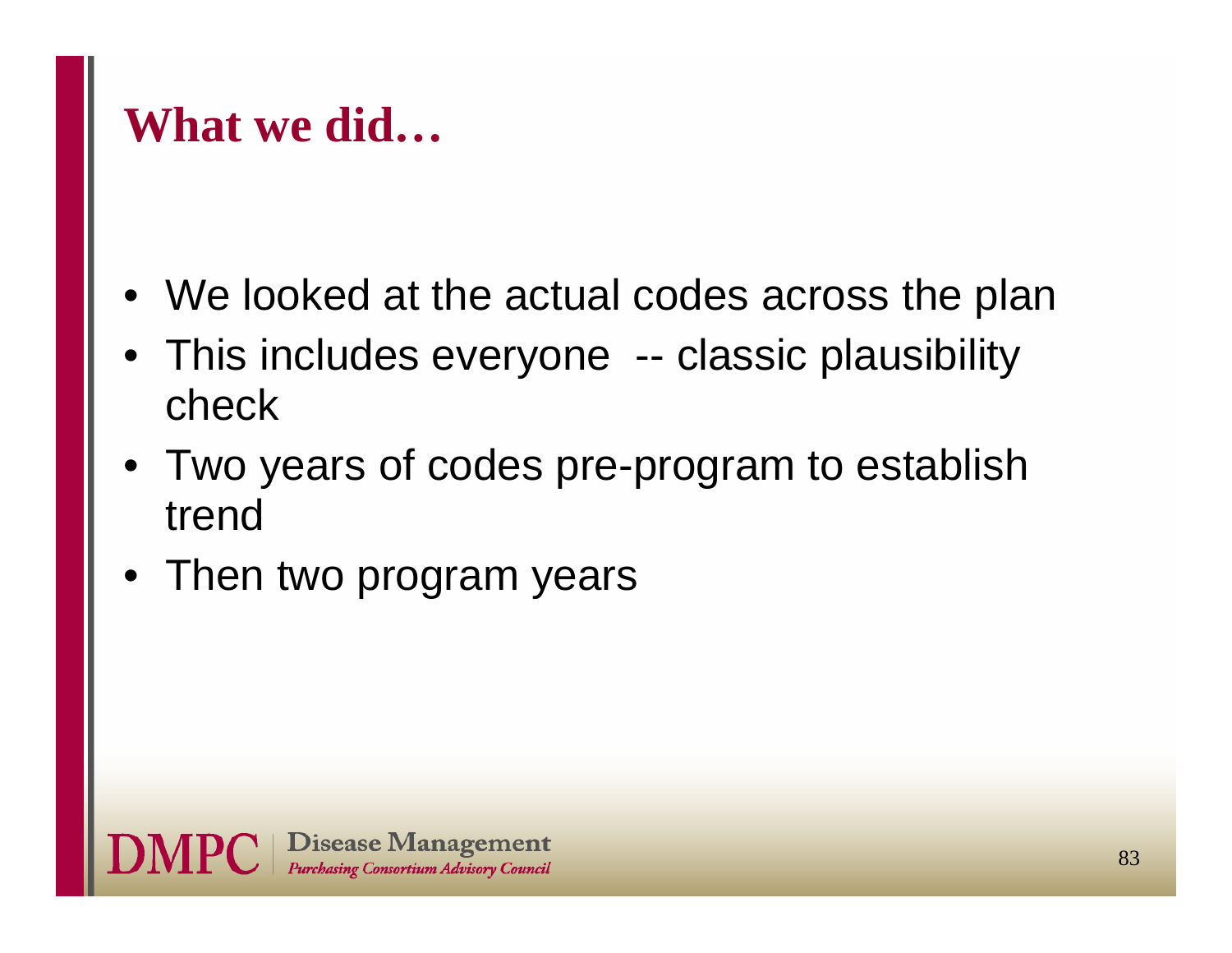### **What we did…**

- •We looked at the actual codes across the plan
- This includes everyone -- classic plausibility check
- Two years of codes pre-program to establish trend
- Then two program years

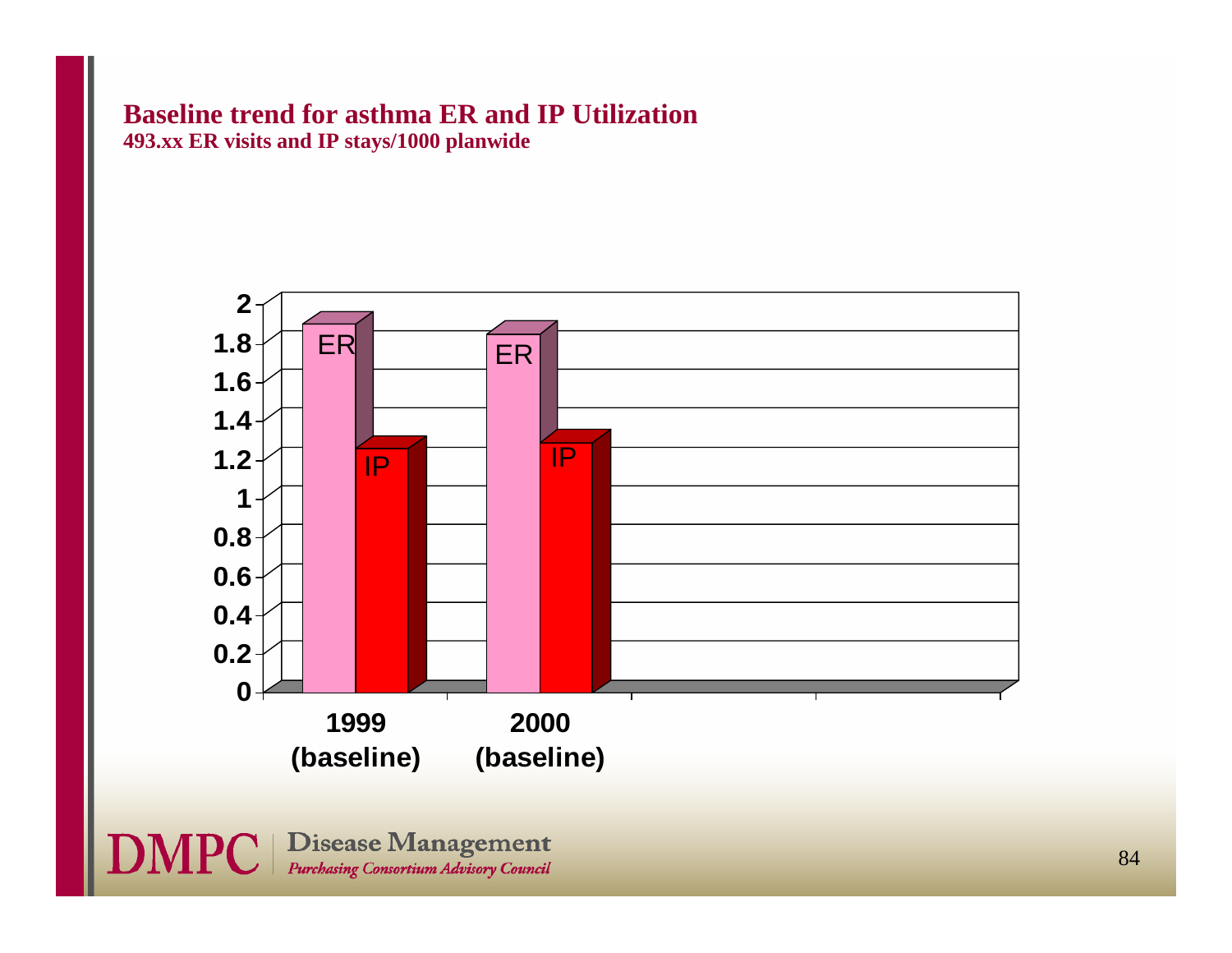#### **Baseline trend for asthma ER and IP Utilization 493.xx ER visits and IP stays/1000 planwide**

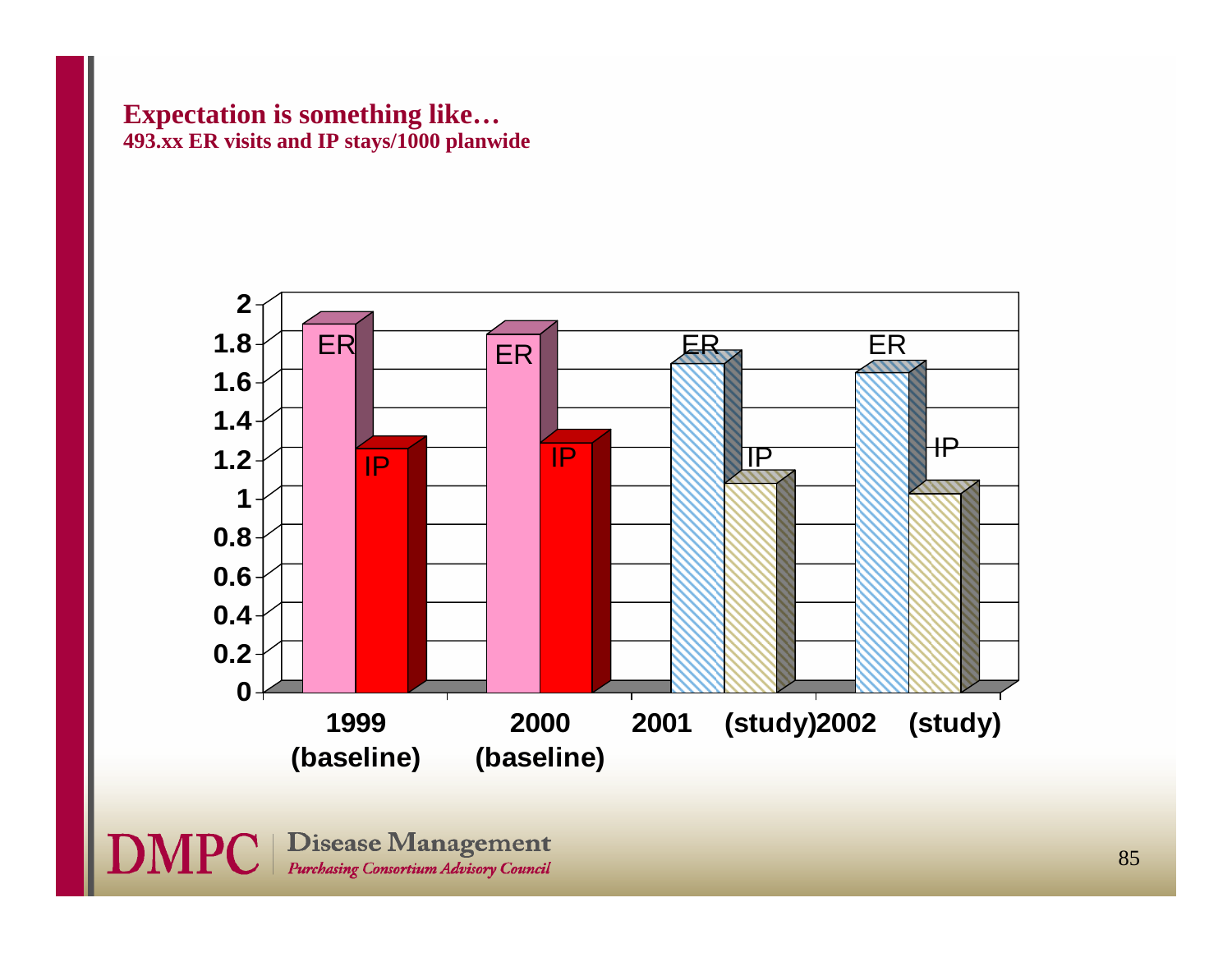#### **Expectation is something like… 493.xx ER visits and IP stays/1000 planwide**



**DMPC** | Disease Management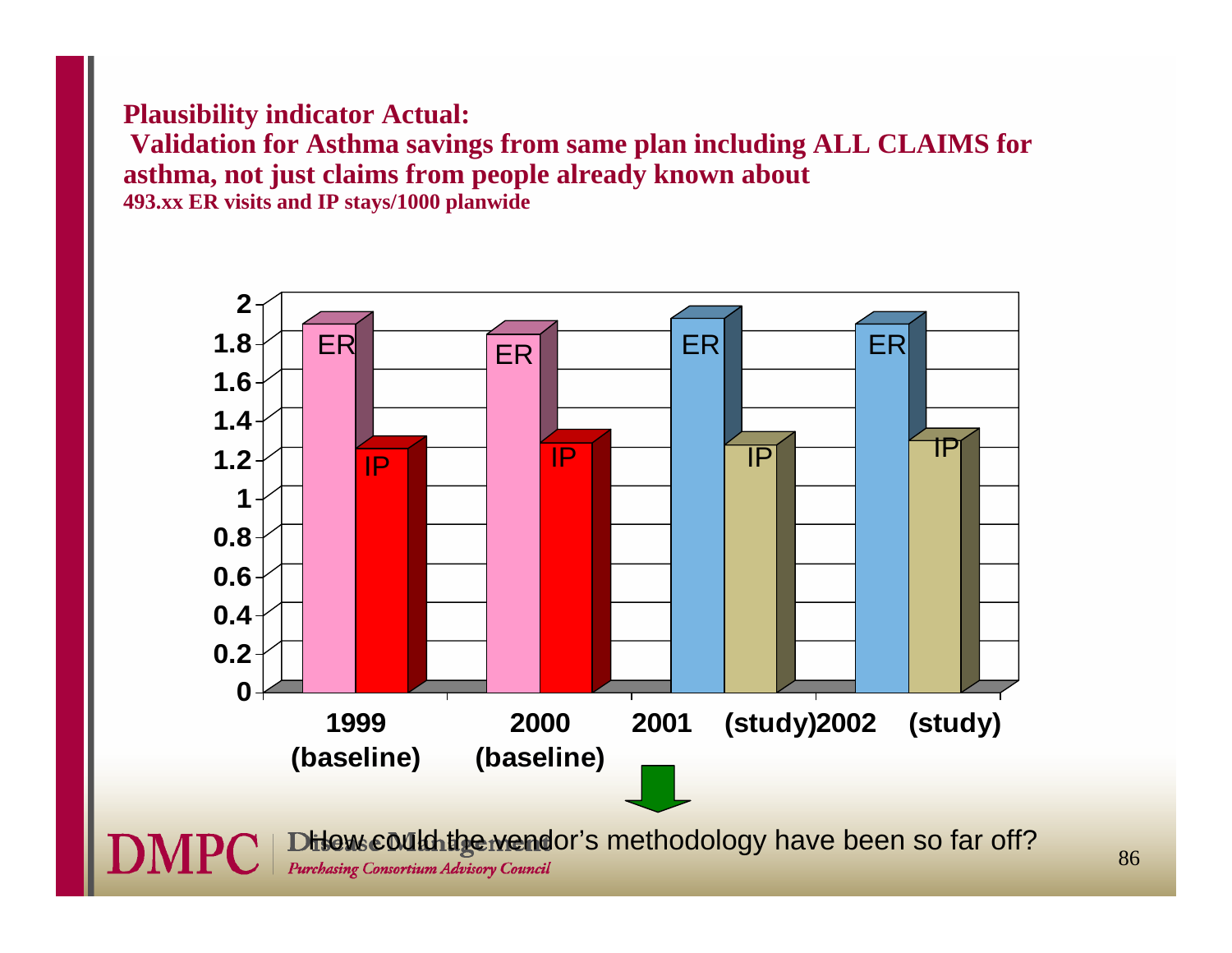#### **Plausibility indicator Actual:**

**Validation for Asthma savings from same plan including ALL CLAIMS for asthma, not just claims from people already known about 493.xx ER visits and IP stays/1000 planwide**

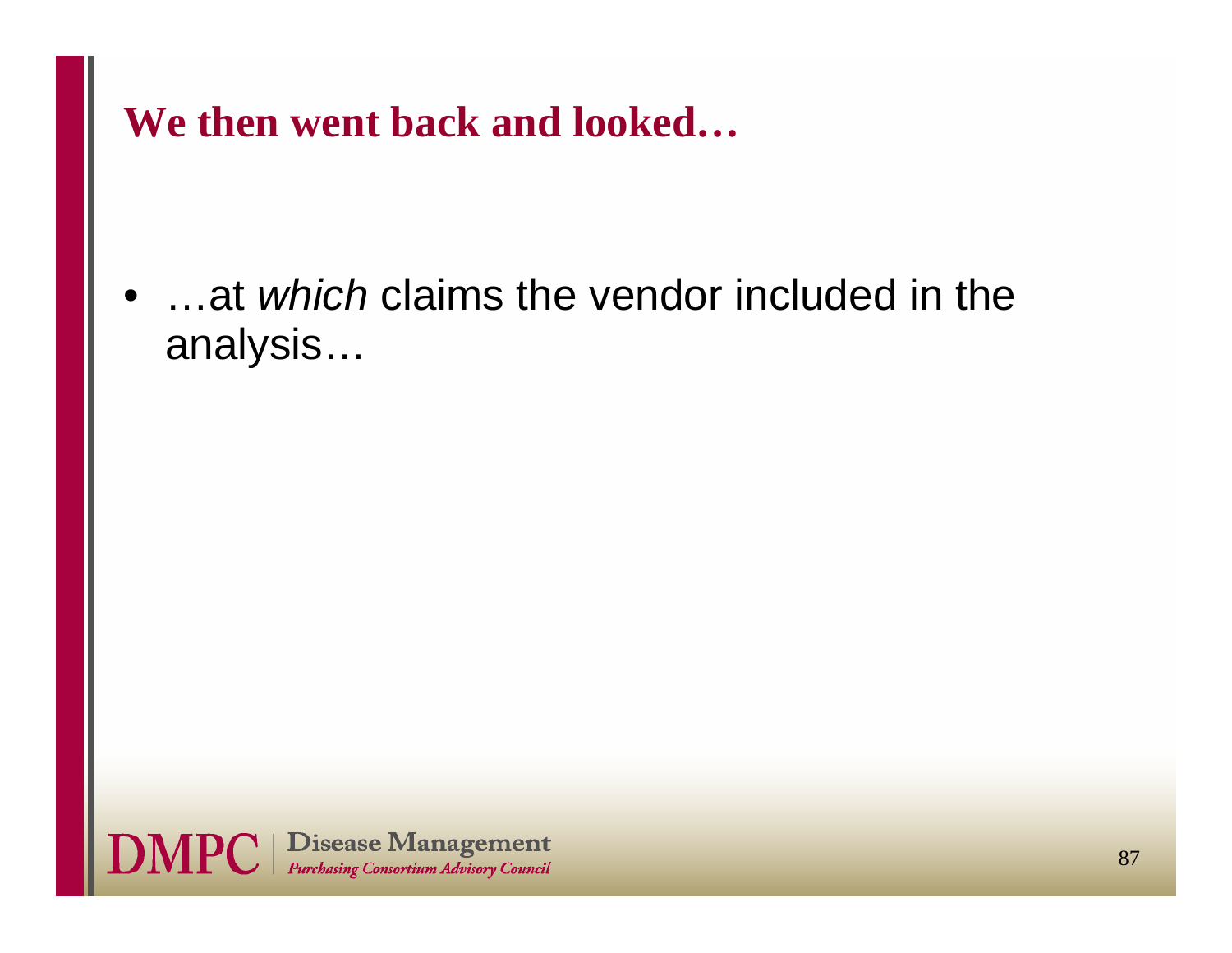**We then went back and looked…**

 $\bullet$  …at *which* claims the vendor included in the analysis…

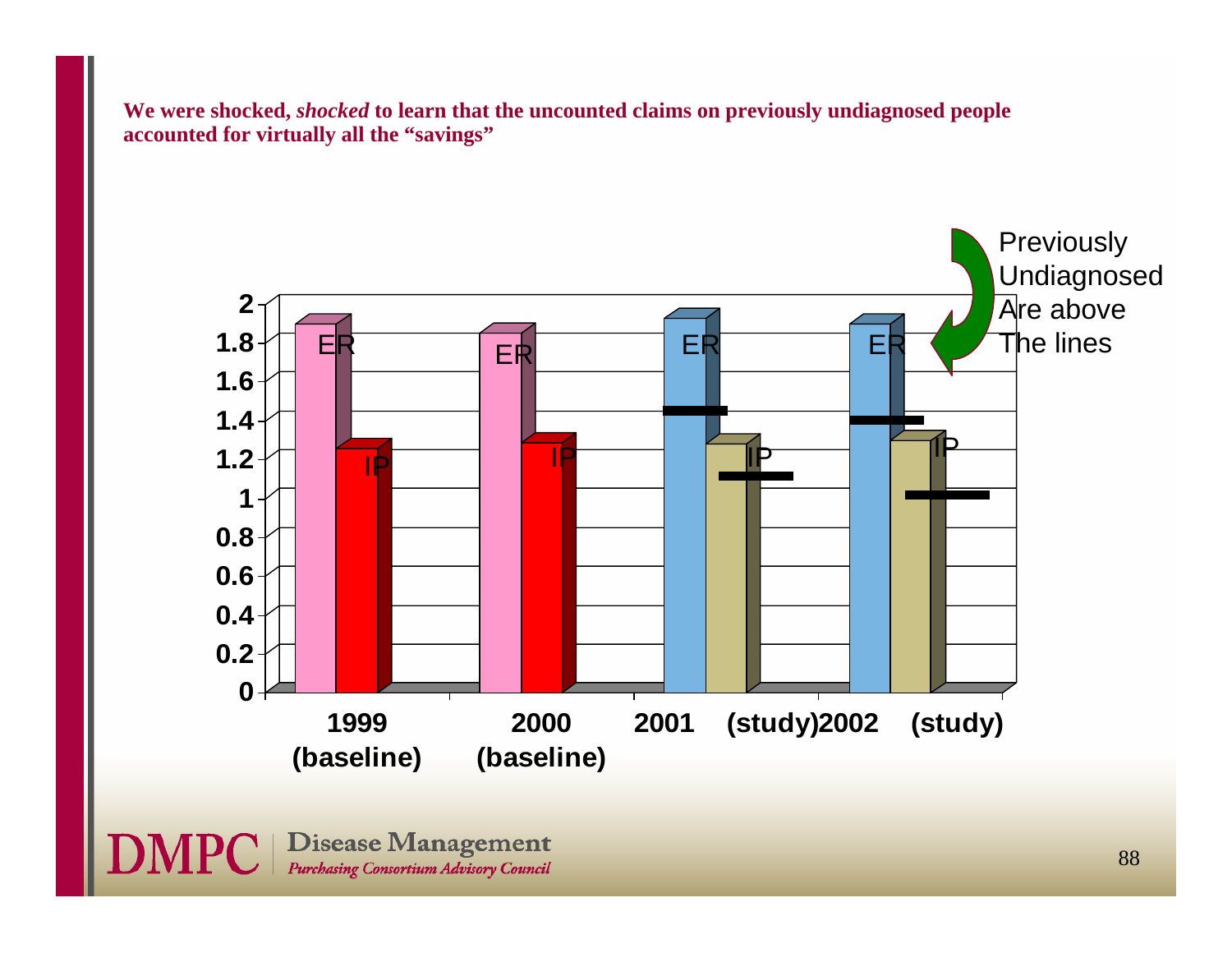**We were shocked,** *shocked* **to learn that the uncounted claims on previously undiagnosed people accounted for virtually all the "savings"**



**DMPC** | Disease Management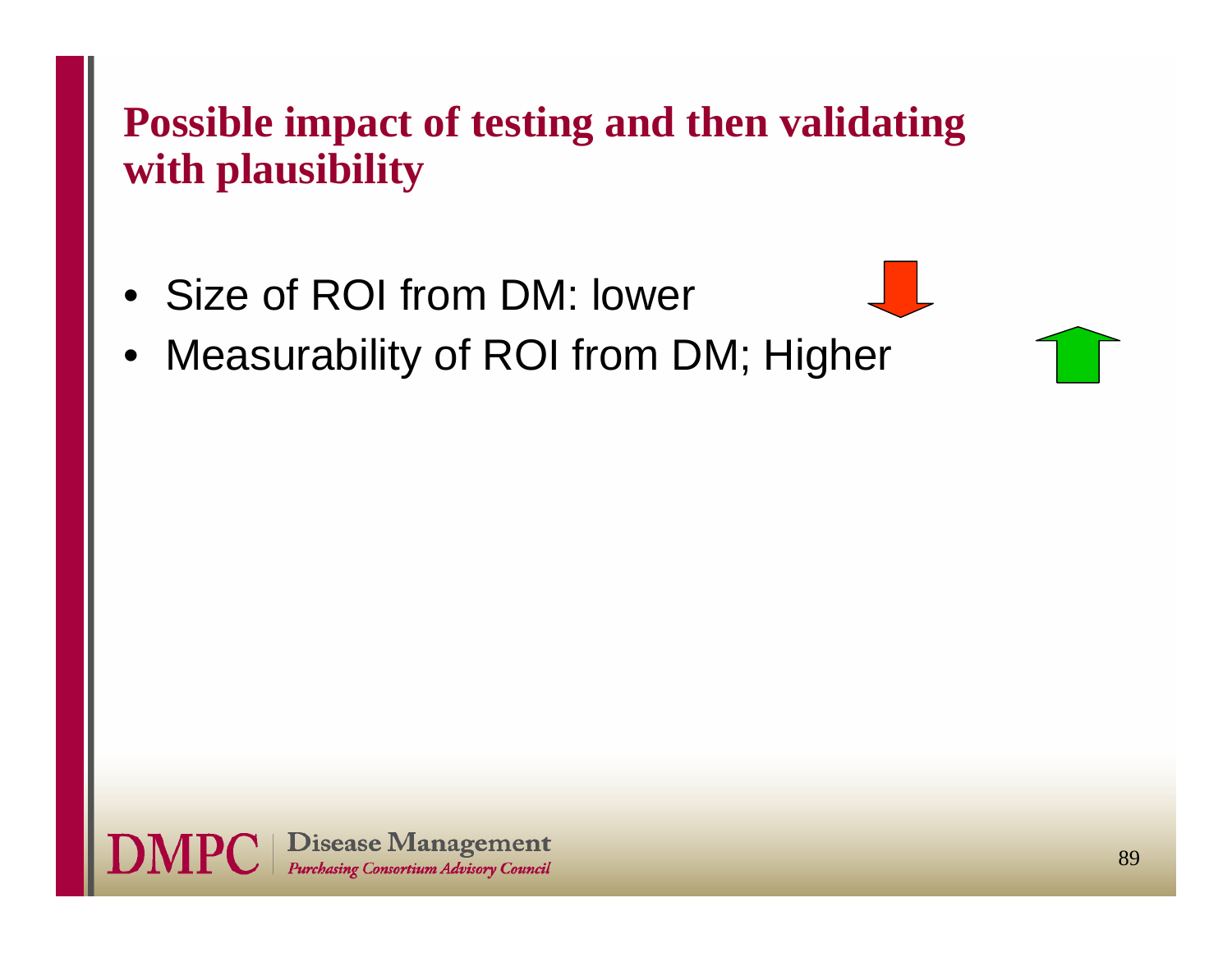### **Possible impact of testing and then validating with plausibility**

- Size of ROI from DM: lower
- •Measurability of ROI from DM; Higher

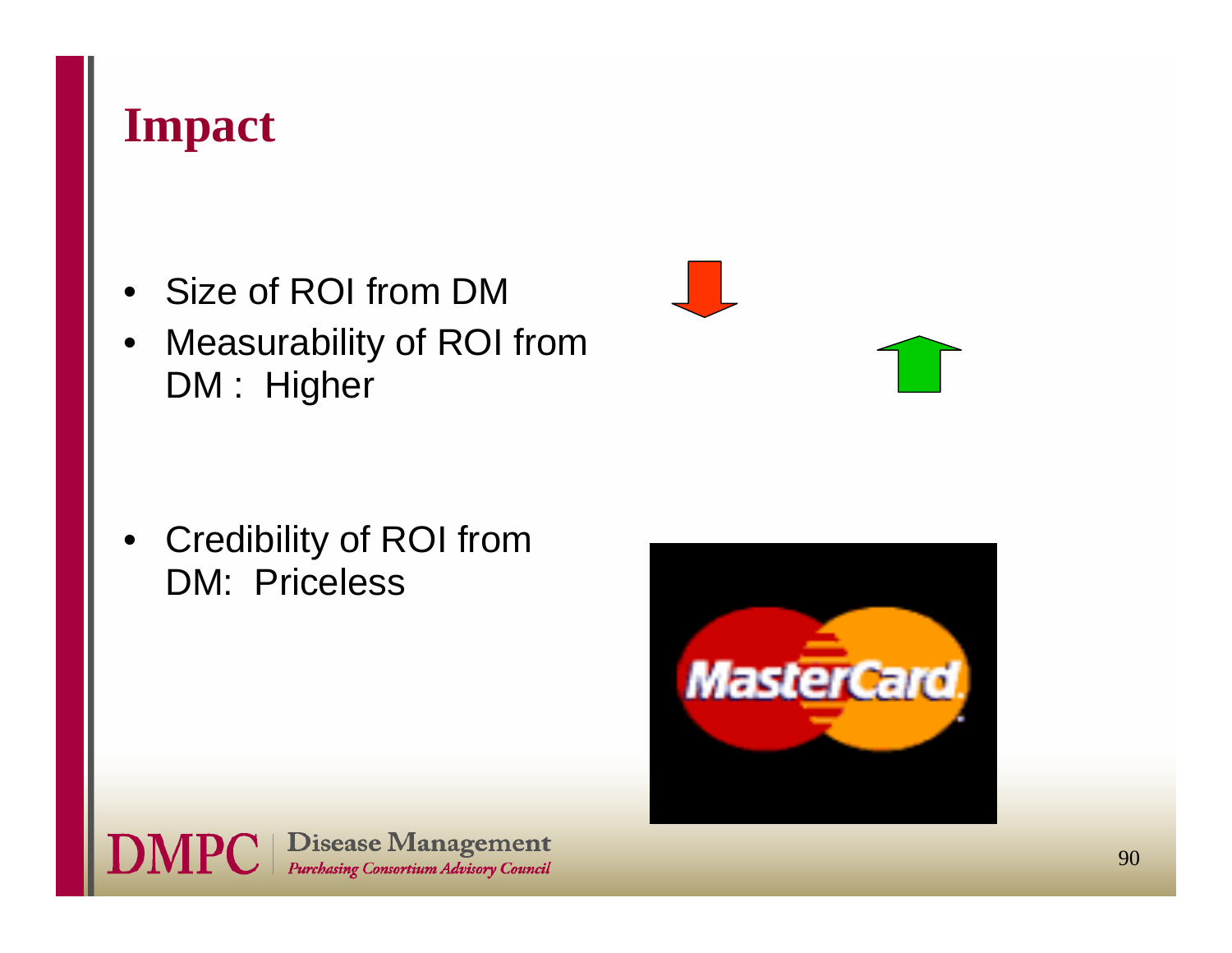

- •Size of ROI from DM
- $\bullet$  Measurability of ROI from DM : Higher

• Credibility of ROI from DM: Priceless

**DMPC** | Disease Management





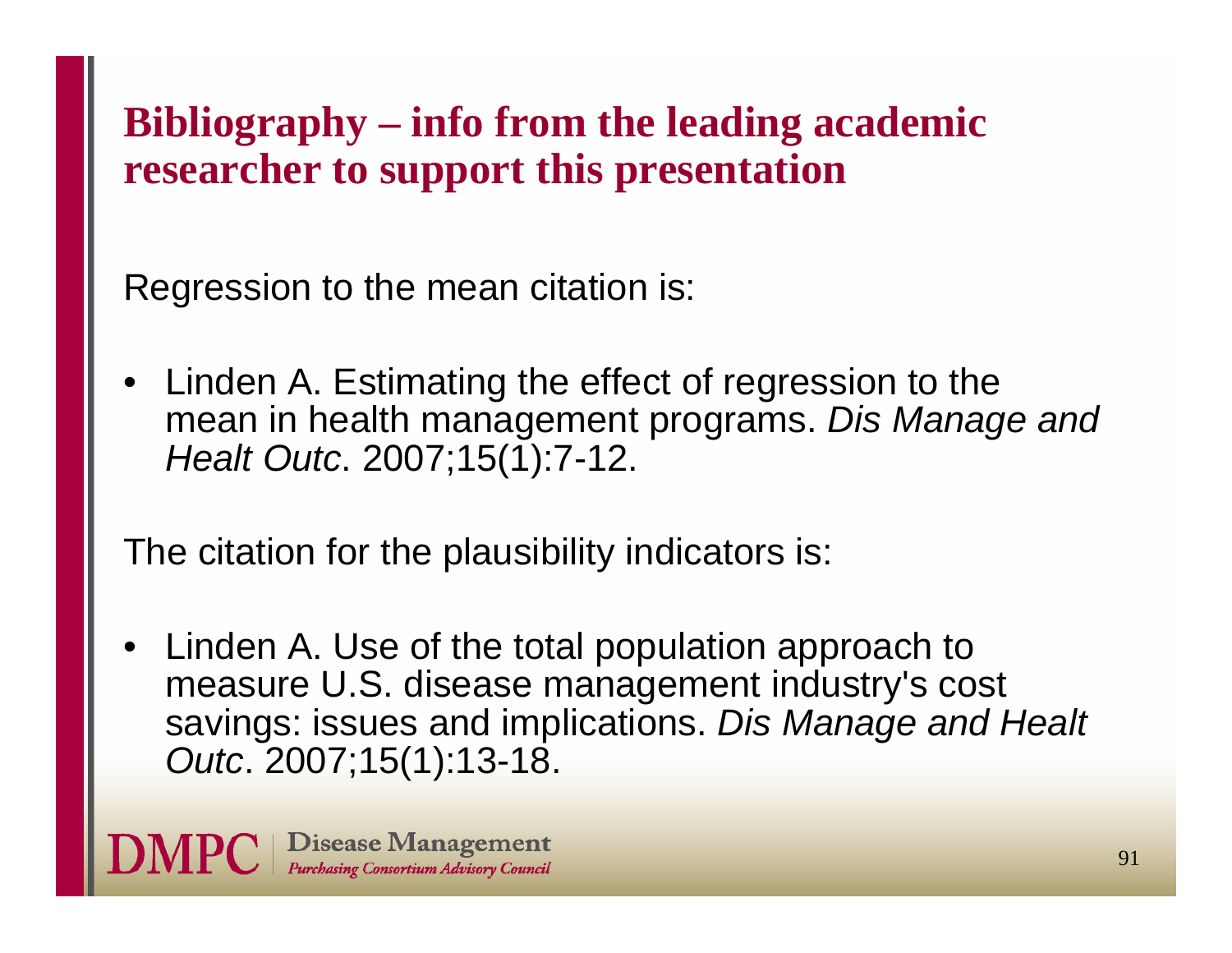### **Bibliography – info from the leading academic researcher to support this presentation**

Regression to the mean citation is:

• Linden A. Estimating the effect of regression to the mean in health management programs. *Dis Manage and Healt Outc*. 2007;15(1):7-12.

The citation for the plausibility indicators is:

• Linden A. Use of the total population approach to measure U.S. disease management industry's cost savings: issues and implications. *Dis Manage and Healt Outc*. 2007;15(1):13-18.

Disease Management **Purchasing Consortium Advisory Council**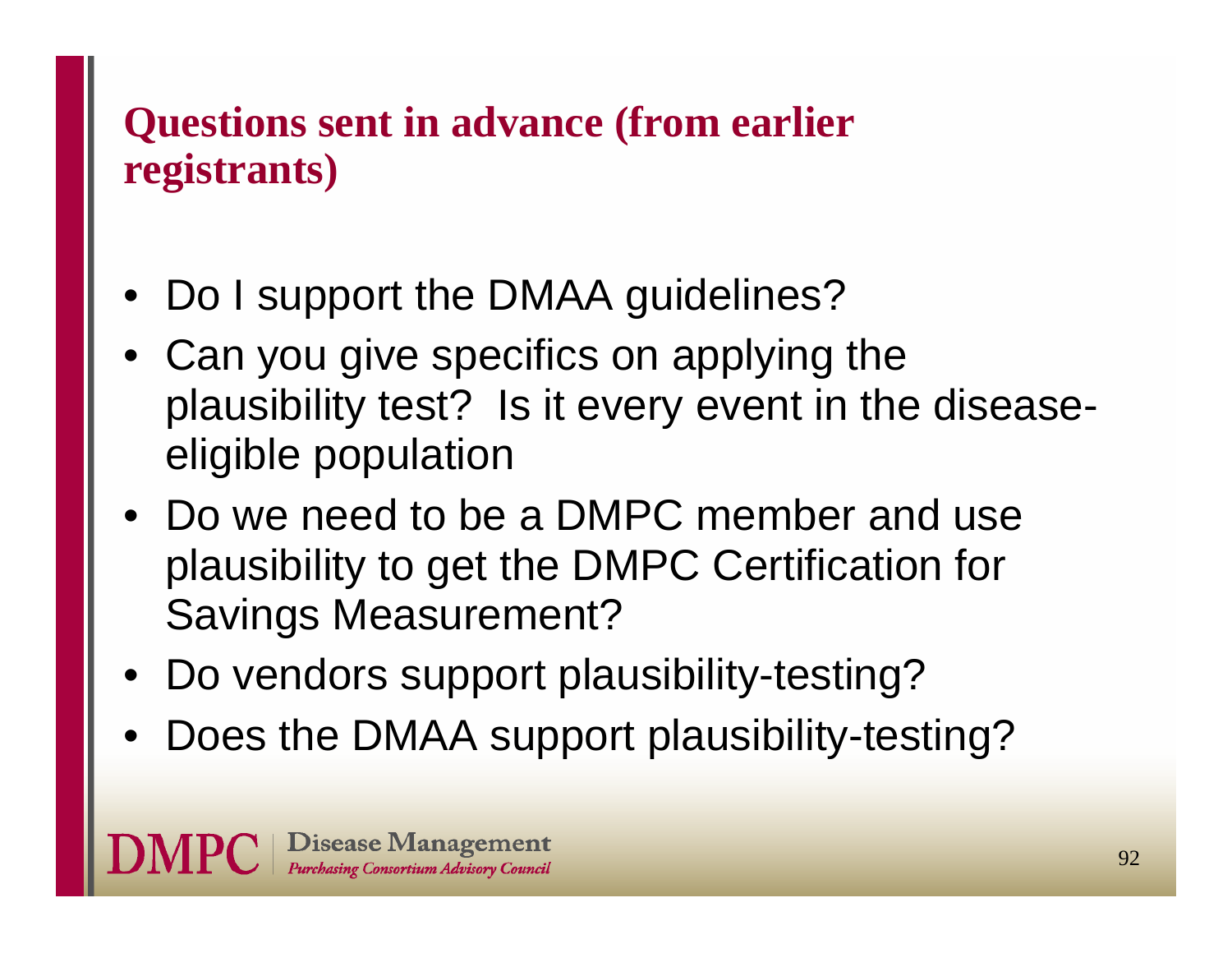### **Questions sent in advance (from earlier registrants)**

- Do I support the DMAA guidelines?
- • Can you give specifics on applying the plausibility test? Is it every event in the diseaseeligible population
- Do we need to be a DMPC member and use plausibility to get the DMPC Certification for Savings Measurement?
- Do vendors support plausibility-testing?
- •Does the DMAA support plausibility-testing?